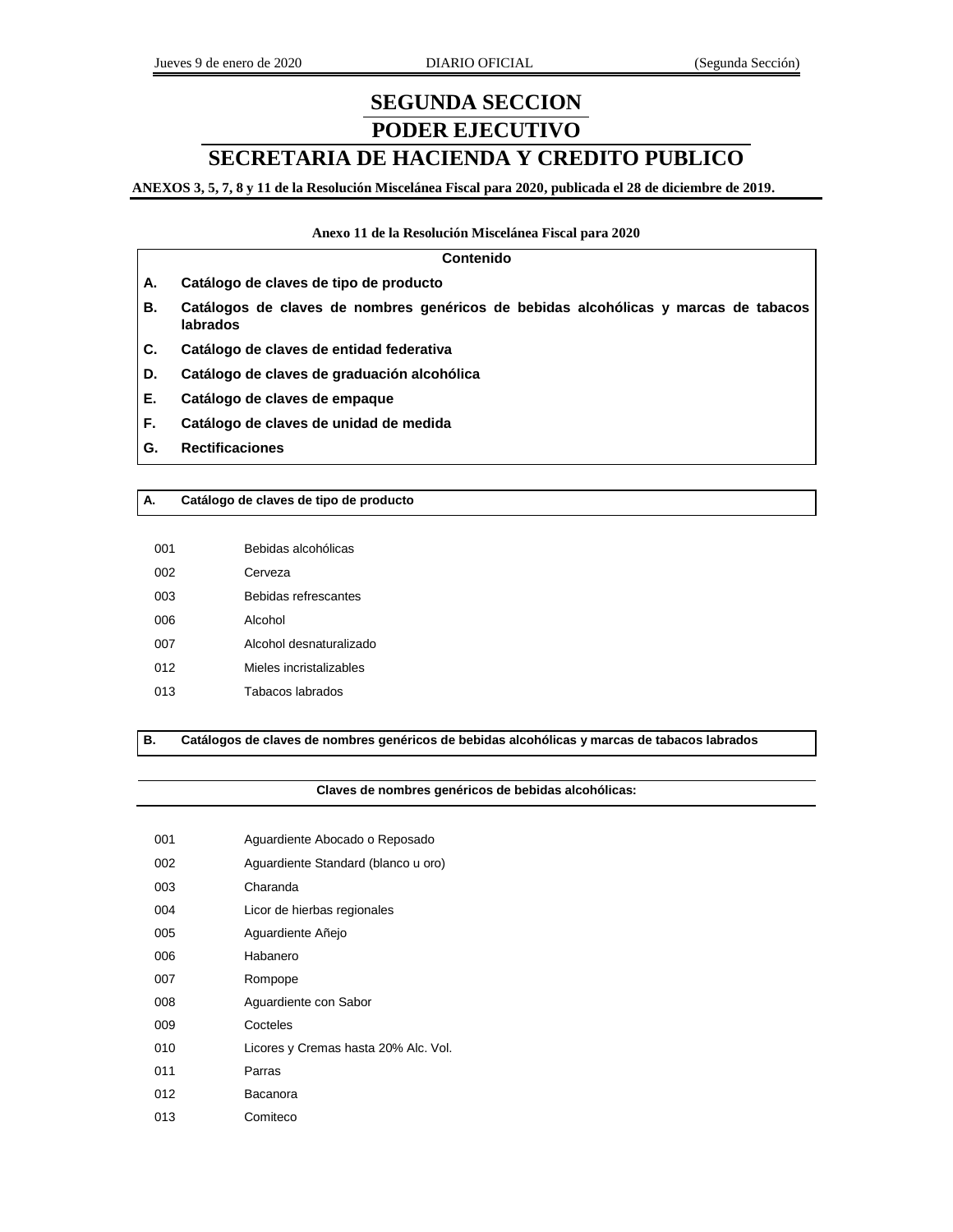# **SEGUNDA SECCION PODER EJECUTIVO**

# **SECRETARIA DE HACIENDA Y CREDITO PUBLICO**

**ANEXOS 3, 5, 7, 8 y 11 de la Resolución Miscelánea Fiscal para 2020, publicada el 28 de diciembre de 2019.**

#### **Anexo 11 de la Resolución Miscelánea Fiscal para 2020**

#### **Contenido**

- **A. Catálogo de claves de tipo de producto**
- **B. Catálogos de claves de nombres genéricos de bebidas alcohólicas y marcas de tabacos labrados**
- **C. Catálogo de claves de entidad federativa**
- **D. Catálogo de claves de graduación alcohólica**
- **E. Catálogo de claves de empaque**
- **F. Catálogo de claves de unidad de medida**
- **G. Rectificaciones**

#### **A. Catálogo de claves de tipo de producto**

| 001 | Bebidas alcohólicas         |
|-----|-----------------------------|
| 002 | Cerveza                     |
| ററദ | <b>Bebidas refrescantes</b> |
| 006 | Alcohol                     |
| 007 | Alcohol desnaturalizado     |
| 012 | Mieles incristalizables     |
| 013 | Tabacos labrados            |

**B. Catálogos de claves de nombres genéricos de bebidas alcohólicas y marcas de tabacos labrados**

#### **Claves de nombres genéricos de bebidas alcohólicas:**

| 001 | Aguardiente Abocado o Reposado       |
|-----|--------------------------------------|
| 002 | Aguardiente Standard (blanco u oro)  |
| 003 | Charanda                             |
| 004 | Licor de hierbas regionales          |
| 005 | Aguardiente Añejo                    |
| 006 | Habanero                             |
| 007 | Rompope                              |
| 008 | Aguardiente con Sabor                |
| 009 | Cocteles                             |
| 010 | Licores y Cremas hasta 20% Alc. Vol. |
| 011 | Parras                               |
| 012 | Bacanora                             |
| 013 | Comiteco                             |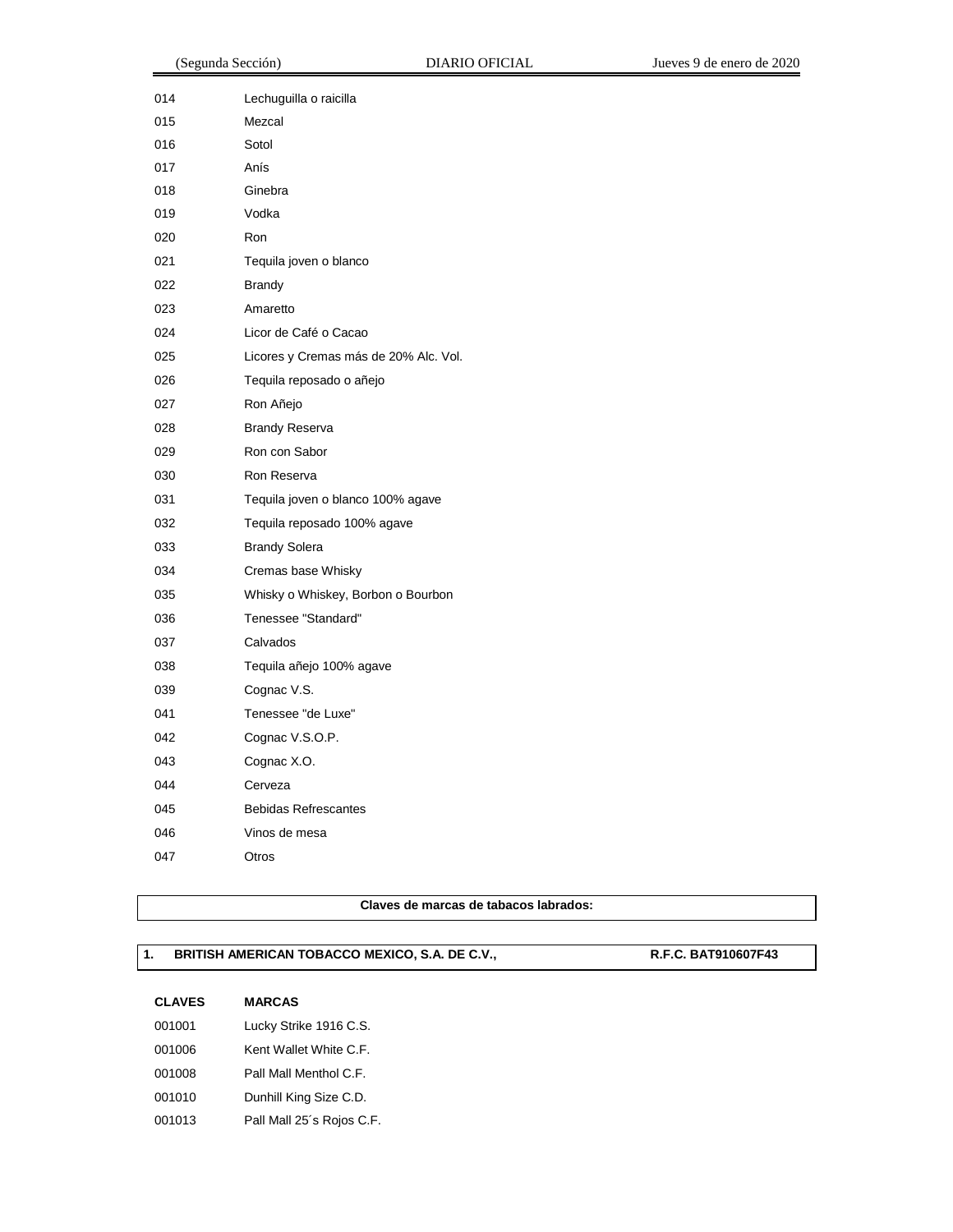|     | (Segunda Sección)                     | <b>DIARIO OFICIAL</b> | Jueves 9 de enero de 2020 |
|-----|---------------------------------------|-----------------------|---------------------------|
| 014 | Lechuguilla o raicilla                |                       |                           |
| 015 | Mezcal                                |                       |                           |
| 016 | Sotol                                 |                       |                           |
| 017 | Anís                                  |                       |                           |
| 018 | Ginebra                               |                       |                           |
| 019 | Vodka                                 |                       |                           |
| 020 | Ron                                   |                       |                           |
| 021 | Tequila joven o blanco                |                       |                           |
| 022 | <b>Brandy</b>                         |                       |                           |
| 023 | Amaretto                              |                       |                           |
| 024 | Licor de Café o Cacao                 |                       |                           |
| 025 | Licores y Cremas más de 20% Alc. Vol. |                       |                           |
| 026 | Tequila reposado o añejo              |                       |                           |
| 027 | Ron Añejo                             |                       |                           |
| 028 | <b>Brandy Reserva</b>                 |                       |                           |
| 029 | Ron con Sabor                         |                       |                           |
| 030 | Ron Reserva                           |                       |                           |
| 031 | Tequila joven o blanco 100% agave     |                       |                           |
| 032 | Tequila reposado 100% agave           |                       |                           |
| 033 | <b>Brandy Solera</b>                  |                       |                           |
| 034 | Cremas base Whisky                    |                       |                           |
| 035 | Whisky o Whiskey, Borbon o Bourbon    |                       |                           |
| 036 | Tenessee "Standard"                   |                       |                           |
| 037 | Calvados                              |                       |                           |
| 038 | Tequila añejo 100% agave              |                       |                           |
| 039 | Cognac V.S.                           |                       |                           |
| 041 | Tenessee "de Luxe"                    |                       |                           |
| 042 | Cognac V.S.O.P.                       |                       |                           |
| 043 | Cognac X.O.                           |                       |                           |
| 044 | Cerveza                               |                       |                           |
| 045 | <b>Bebidas Refrescantes</b>           |                       |                           |
|     |                                       |                       |                           |

**Claves de marcas de tabacos labrados:**

## 1. **BRITISH AMERICAN TOBACCO MEXICO, S.A. DE C.V., R.F.C. BAT910607F43**

## **CLAVES MARCAS**

Vinos de mesa

Otros

| 001001 | Lucky Strike 1916 C.S.    |
|--------|---------------------------|
| 001006 | Kent Wallet White C.F.    |
| 001008 | Pall Mall Menthol C.F.    |
| 001010 | Dunhill King Size C.D.    |
| 001013 | Pall Mall 25's Rojos C.F. |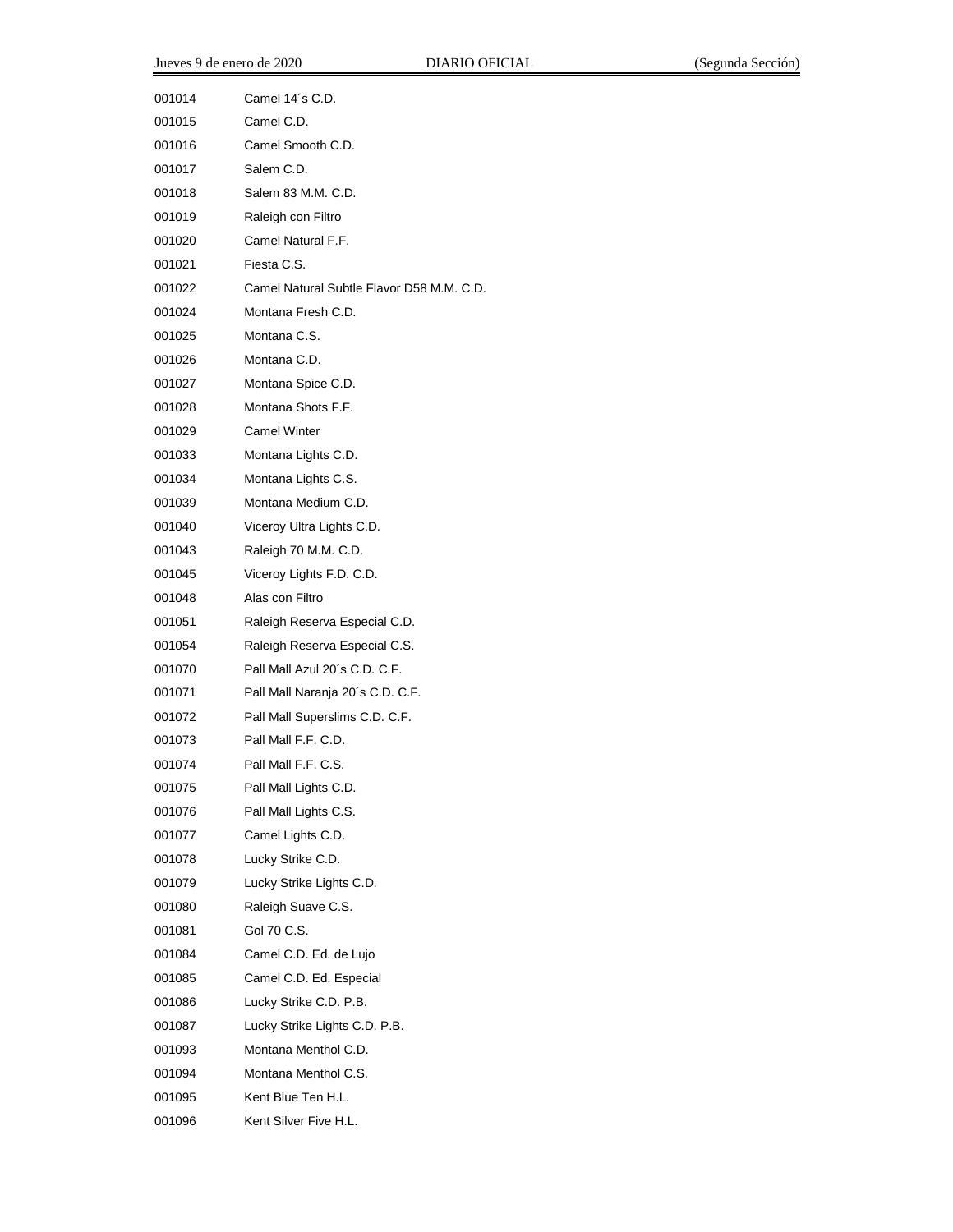| 001014 | Camel 14's C.D.                           |
|--------|-------------------------------------------|
| 001015 | Camel C.D.                                |
| 001016 | Camel Smooth C.D.                         |
| 001017 | Salem C.D.                                |
| 001018 | Salem 83 M.M. C.D.                        |
| 001019 | Raleigh con Filtro                        |
| 001020 | Camel Natural F.F.                        |
| 001021 | Fiesta C.S.                               |
| 001022 | Camel Natural Subtle Flavor D58 M.M. C.D. |
| 001024 | Montana Fresh C.D.                        |
| 001025 | Montana C.S.                              |
| 001026 | Montana C.D.                              |
| 001027 | Montana Spice C.D.                        |
| 001028 | Montana Shots F.F.                        |
| 001029 | <b>Camel Winter</b>                       |
| 001033 | Montana Lights C.D.                       |
| 001034 | Montana Lights C.S.                       |
| 001039 | Montana Medium C.D.                       |
| 001040 | Viceroy Ultra Lights C.D.                 |
| 001043 | Raleigh 70 M.M. C.D.                      |
| 001045 | Viceroy Lights F.D. C.D.                  |
| 001048 | Alas con Filtro                           |
| 001051 | Raleigh Reserva Especial C.D.             |
| 001054 | Raleigh Reserva Especial C.S.             |
| 001070 | Pall Mall Azul 20's C.D. C.F.             |
| 001071 | Pall Mall Naranja 20's C.D. C.F.          |
| 001072 | Pall Mall Superslims C.D. C.F.            |
| 001073 | Pall Mall F.F. C.D.                       |
| 001074 | Pall Mall F.F. C.S.                       |
| 001075 | Pall Mall Lights C.D.                     |
| 001076 | Pall Mall Lights C.S.                     |
| 001077 | Camel Lights C.D.                         |
| 001078 | Lucky Strike C.D.                         |
| 001079 | Lucky Strike Lights C.D.                  |
| 001080 | Raleigh Suave C.S.                        |
| 001081 | Gol 70 C.S.                               |
| 001084 | Camel C.D. Ed. de Lujo                    |
| 001085 | Camel C.D. Ed. Especial                   |
| 001086 | Lucky Strike C.D. P.B.                    |
| 001087 | Lucky Strike Lights C.D. P.B.             |
| 001093 | Montana Menthol C.D.                      |
| 001094 | Montana Menthol C.S.                      |
| 001095 | Kent Blue Ten H.L.                        |
| 001096 | Kent Silver Five H.L.                     |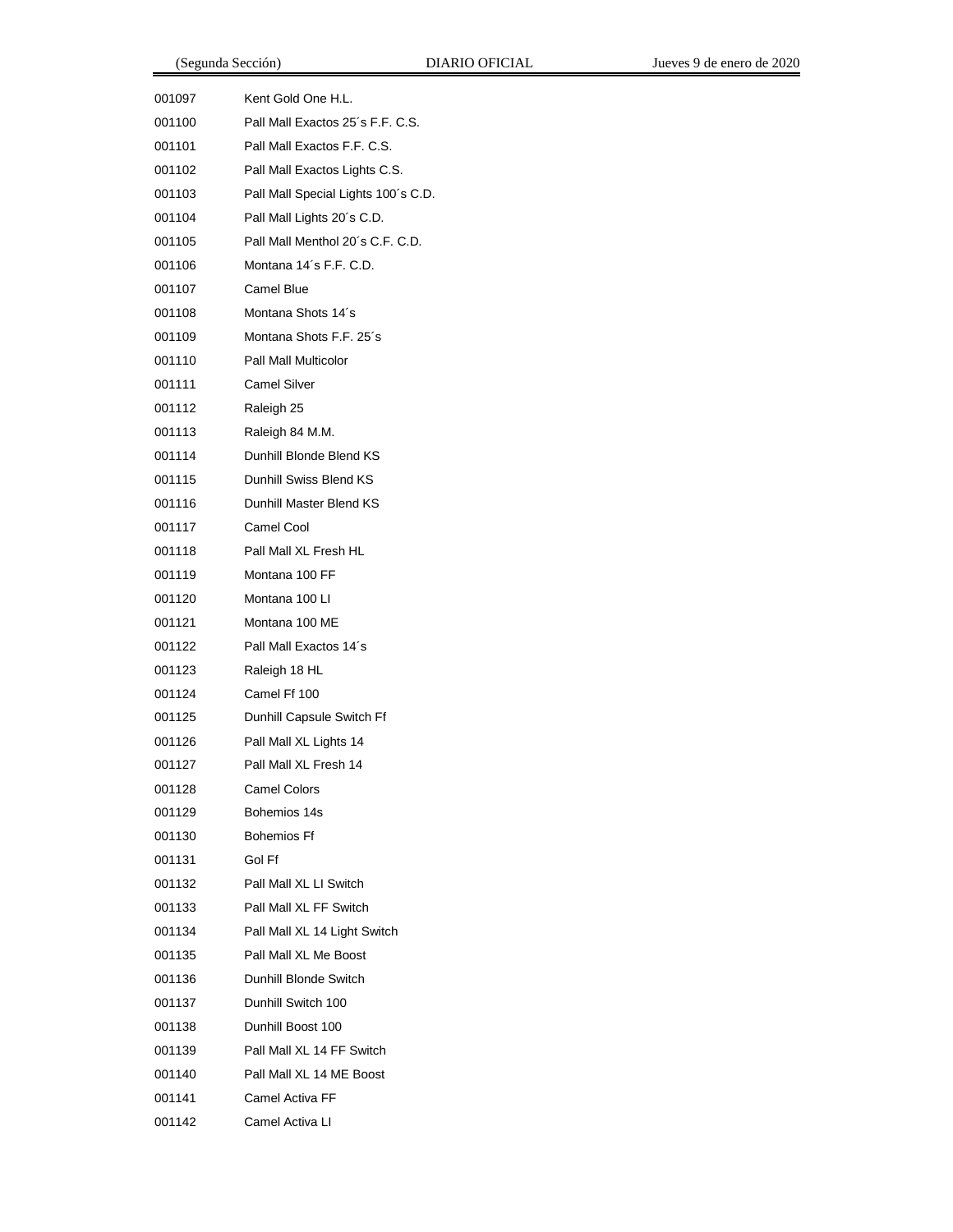| 001097 | Kent Gold One H.L.                  |
|--------|-------------------------------------|
| 001100 | Pall Mall Exactos 25's F.F. C.S.    |
| 001101 | Pall Mall Exactos F.F. C.S.         |
| 001102 | Pall Mall Exactos Lights C.S.       |
| 001103 | Pall Mall Special Lights 100's C.D. |
| 001104 | Pall Mall Lights 20's C.D.          |
| 001105 | Pall Mall Menthol 20's C.F. C.D.    |
| 001106 | Montana 14's F.F. C.D.              |
| 001107 | Camel Blue                          |
| 001108 | Montana Shots 14's                  |
| 001109 | Montana Shots F.F. 25's             |
| 001110 | Pall Mall Multicolor                |
| 001111 | Camel Silver                        |
| 001112 | Raleigh 25                          |
| 001113 | Raleigh 84 M.M.                     |
| 001114 | Dunhill Blonde Blend KS             |
| 001115 | Dunhill Swiss Blend KS              |
| 001116 | Dunhill Master Blend KS             |
| 001117 | Camel Cool                          |
| 001118 | Pall Mall XL Fresh HL               |
| 001119 | Montana 100 FF                      |
| 001120 | Montana 100 LI                      |
| 001121 | Montana 100 ME                      |
| 001122 | Pall Mall Exactos 14's              |
| 001123 | Raleigh 18 HL                       |
| 001124 | Camel Ff 100                        |
| 001125 | Dunhill Capsule Switch Ff           |
| 001126 | Pall Mall XL Lights 14              |
| 001127 | Pall Mall XL Fresh 14               |
| 001128 | <b>Camel Colors</b>                 |
| 001129 | Bohemios 14s                        |
| 001130 | <b>Bohemios Ff</b>                  |
| 001131 | Gol Ff                              |
| 001132 | Pall Mall XL LI Switch              |
| 001133 | Pall Mall XL FF Switch              |
| 001134 | Pall Mall XL 14 Light Switch        |
| 001135 | Pall Mall XL Me Boost               |
| 001136 | Dunhill Blonde Switch               |
| 001137 | Dunhill Switch 100                  |
| 001138 | Dunhill Boost 100                   |
| 001139 | Pall Mall XL 14 FF Switch           |
| 001140 | Pall Mall XL 14 ME Boost            |
| 001141 | Camel Activa FF                     |
| 001142 | Camel Activa LI                     |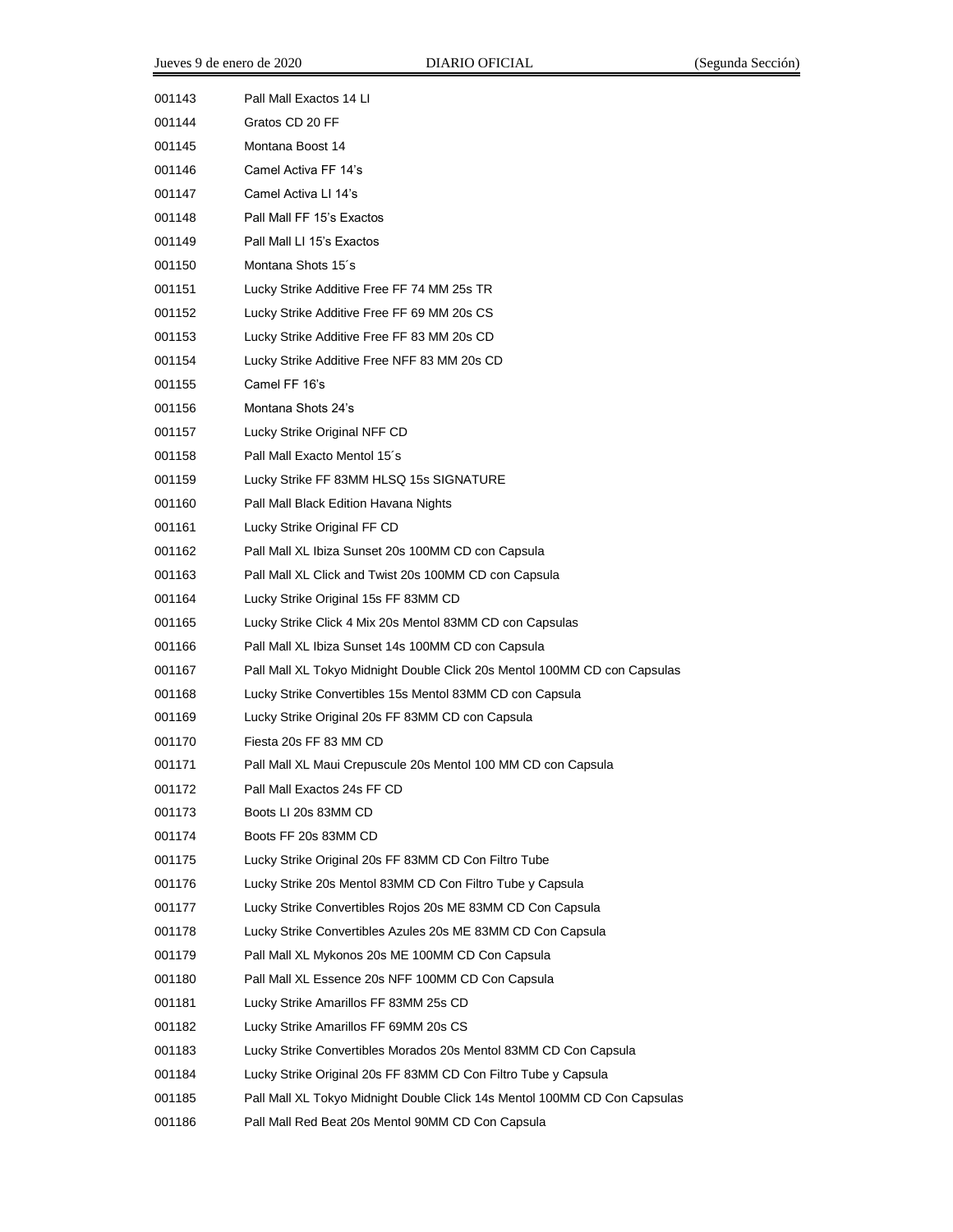| 001143 | Pall Mall Exactos 14 LI                                                   |
|--------|---------------------------------------------------------------------------|
| 001144 | Gratos CD 20 FF                                                           |
| 001145 | Montana Boost 14                                                          |
| 001146 | Camel Activa FF 14's                                                      |
| 001147 | Camel Activa LI 14's                                                      |
| 001148 | Pall Mall FF 15's Exactos                                                 |
| 001149 | Pall Mall LI 15's Exactos                                                 |
| 001150 | Montana Shots 15's                                                        |
| 001151 | Lucky Strike Additive Free FF 74 MM 25s TR                                |
| 001152 | Lucky Strike Additive Free FF 69 MM 20s CS                                |
| 001153 | Lucky Strike Additive Free FF 83 MM 20s CD                                |
| 001154 | Lucky Strike Additive Free NFF 83 MM 20s CD                               |
| 001155 | Camel FF 16's                                                             |
| 001156 | Montana Shots 24's                                                        |
| 001157 | Lucky Strike Original NFF CD                                              |
| 001158 | Pall Mall Exacto Mentol 15's                                              |
| 001159 | Lucky Strike FF 83MM HLSQ 15s SIGNATURE                                   |
| 001160 | Pall Mall Black Edition Havana Nights                                     |
| 001161 | Lucky Strike Original FF CD                                               |
| 001162 | Pall Mall XL Ibiza Sunset 20s 100MM CD con Capsula                        |
| 001163 | Pall Mall XL Click and Twist 20s 100MM CD con Capsula                     |
| 001164 | Lucky Strike Original 15s FF 83MM CD                                      |
| 001165 | Lucky Strike Click 4 Mix 20s Mentol 83MM CD con Capsulas                  |
| 001166 | Pall Mall XL Ibiza Sunset 14s 100MM CD con Capsula                        |
| 001167 | Pall Mall XL Tokyo Midnight Double Click 20s Mentol 100MM CD con Capsulas |
| 001168 | Lucky Strike Convertibles 15s Mentol 83MM CD con Capsula                  |
| 001169 | Lucky Strike Original 20s FF 83MM CD con Capsula                          |
| 001170 | Fiesta 20s FF 83 MM CD                                                    |
| 001171 | Pall Mall XL Maui Crepuscule 20s Mentol 100 MM CD con Capsula             |
| 001172 | Pall Mall Exactos 24s FF CD                                               |
| 001173 | Boots LI 20s 83MM CD                                                      |
| 001174 | Boots FF 20s 83MM CD                                                      |
| 001175 | Lucky Strike Original 20s FF 83MM CD Con Filtro Tube                      |
| 001176 | Lucky Strike 20s Mentol 83MM CD Con Filtro Tube y Capsula                 |
| 001177 | Lucky Strike Convertibles Rojos 20s ME 83MM CD Con Capsula                |
| 001178 | Lucky Strike Convertibles Azules 20s ME 83MM CD Con Capsula               |
| 001179 | Pall Mall XL Mykonos 20s ME 100MM CD Con Capsula                          |
| 001180 | Pall Mall XL Essence 20s NFF 100MM CD Con Capsula                         |
| 001181 | Lucky Strike Amarillos FF 83MM 25s CD                                     |
| 001182 | Lucky Strike Amarillos FF 69MM 20s CS                                     |
| 001183 | Lucky Strike Convertibles Morados 20s Mentol 83MM CD Con Capsula          |
| 001184 | Lucky Strike Original 20s FF 83MM CD Con Filtro Tube y Capsula            |
| 001185 | Pall Mall XL Tokyo Midnight Double Click 14s Mentol 100MM CD Con Capsulas |
| 001186 | Pall Mall Red Beat 20s Mentol 90MM CD Con Capsula                         |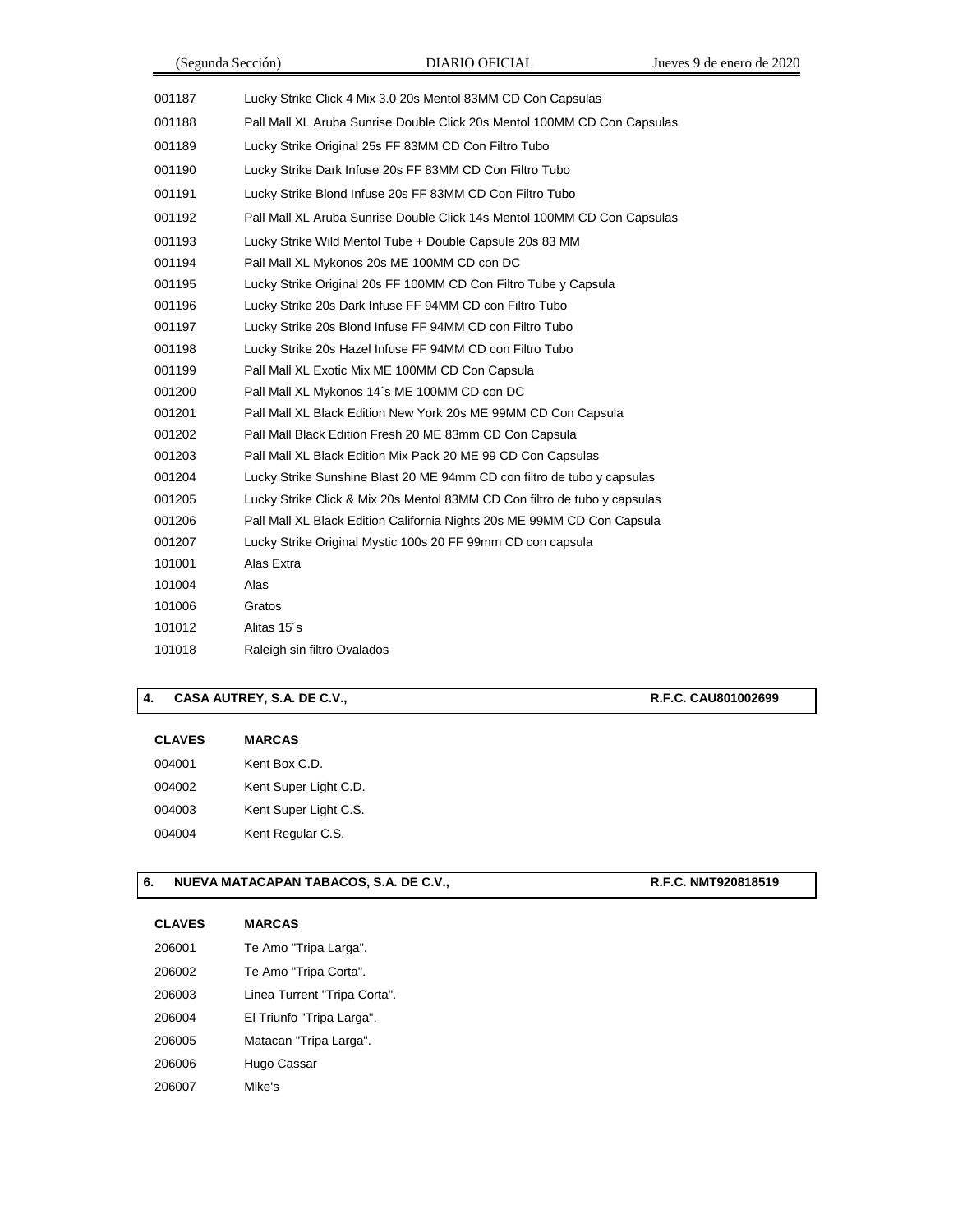|        | (Segunda Sección)           | <b>DIARIO OFICIAL</b>                                                     | Jueves 9 de enero de 2020 |
|--------|-----------------------------|---------------------------------------------------------------------------|---------------------------|
| 001187 |                             | Lucky Strike Click 4 Mix 3.0 20s Mentol 83MM CD Con Capsulas              |                           |
| 001188 |                             | Pall Mall XL Aruba Sunrise Double Click 20s Mentol 100MM CD Con Capsulas  |                           |
| 001189 |                             | Lucky Strike Original 25s FF 83MM CD Con Filtro Tubo                      |                           |
| 001190 |                             | Lucky Strike Dark Infuse 20s FF 83MM CD Con Filtro Tubo                   |                           |
| 001191 |                             | Lucky Strike Blond Infuse 20s FF 83MM CD Con Filtro Tubo                  |                           |
| 001192 |                             | Pall Mall XL Aruba Sunrise Double Click 14s Mentol 100MM CD Con Capsulas  |                           |
| 001193 |                             | Lucky Strike Wild Mentol Tube + Double Capsule 20s 83 MM                  |                           |
| 001194 |                             | Pall Mall XL Mykonos 20s ME 100MM CD con DC                               |                           |
| 001195 |                             | Lucky Strike Original 20s FF 100MM CD Con Filtro Tube y Capsula           |                           |
| 001196 |                             | Lucky Strike 20s Dark Infuse FF 94MM CD con Filtro Tubo                   |                           |
| 001197 |                             | Lucky Strike 20s Blond Infuse FF 94MM CD con Filtro Tubo                  |                           |
| 001198 |                             | Lucky Strike 20s Hazel Infuse FF 94MM CD con Filtro Tubo                  |                           |
| 001199 |                             | Pall Mall XL Exotic Mix ME 100MM CD Con Capsula                           |                           |
| 001200 |                             | Pall Mall XL Mykonos 14's ME 100MM CD con DC                              |                           |
| 001201 |                             | Pall Mall XL Black Edition New York 20s ME 99MM CD Con Capsula            |                           |
| 001202 |                             | Pall Mall Black Edition Fresh 20 ME 83mm CD Con Capsula                   |                           |
| 001203 |                             | Pall Mall XL Black Edition Mix Pack 20 ME 99 CD Con Capsulas              |                           |
| 001204 |                             | Lucky Strike Sunshine Blast 20 ME 94mm CD con filtro de tubo y capsulas   |                           |
| 001205 |                             | Lucky Strike Click & Mix 20s Mentol 83MM CD Con filtro de tubo y capsulas |                           |
| 001206 |                             | Pall Mall XL Black Edition California Nights 20s ME 99MM CD Con Capsula   |                           |
| 001207 |                             | Lucky Strike Original Mystic 100s 20 FF 99mm CD con capsula               |                           |
| 101001 | Alas Extra                  |                                                                           |                           |
| 101004 | Alas                        |                                                                           |                           |
| 101006 | Gratos                      |                                                                           |                           |
| 101012 | Alitas 15's                 |                                                                           |                           |
| 101018 | Raleigh sin filtro Ovalados |                                                                           |                           |
|        |                             |                                                                           |                           |

## **4. CASA AUTREY, S.A. DE C.V., R.F.C. CAU801002699**

#### **CLAVES MARCAS**

| 004001 | Kent Box C.D.         |
|--------|-----------------------|
| 004002 | Kent Super Light C.D. |
| 004003 | Kent Super Light C.S. |
| 004004 | Kent Regular C.S.     |

## **6. NUEVA MATACAPAN TABACOS, S.A. DE C.V., <b>R.F.C. NMT920818519**

| <b>CLAVES</b> | <b>MARCAS</b>                |
|---------------|------------------------------|
| 206001        | Te Amo "Tripa Larga".        |
| 206002        | Te Amo "Tripa Corta".        |
| 206003        | Linea Turrent "Tripa Corta". |
| 206004        | El Triunfo "Tripa Larga".    |
| 206005        | Matacan "Tripa Larga".       |
| 206006        | Hugo Cassar                  |
| 206007        | Mike's                       |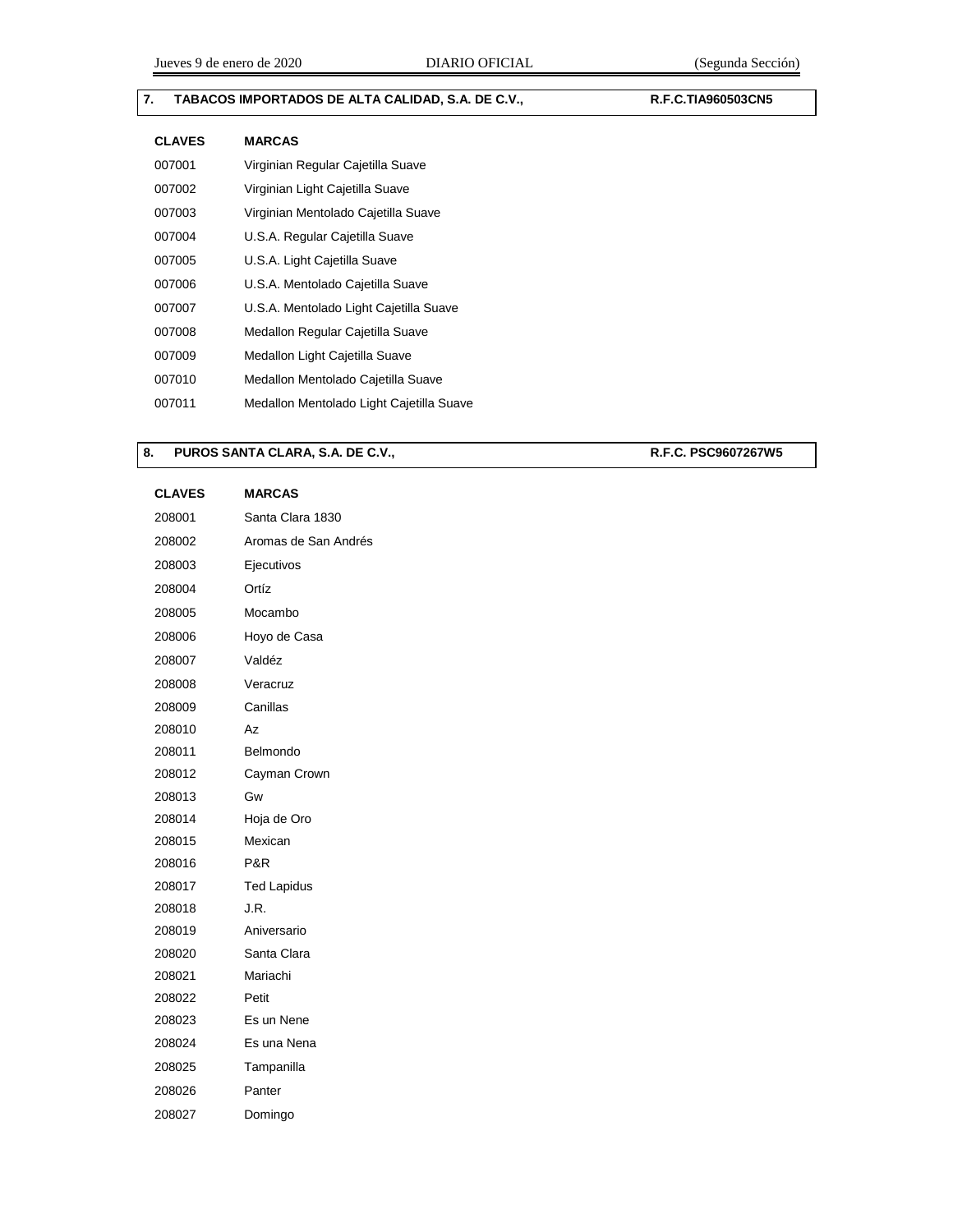## **7. TABACOS IMPORTADOS DE ALTA CALIDAD, S.A. DE C.V., R.F.C.TIA960503CN5**

| <b>CLAVES</b> | <b>MARCAS</b>                            |
|---------------|------------------------------------------|
| 007001        | Virginian Regular Cajetilla Suave        |
| 007002        | Virginian Light Cajetilla Suave          |
| 007003        | Virginian Mentolado Cajetilla Suave      |
| 007004        | U.S.A. Regular Cajetilla Suave           |
| 007005        | U.S.A. Light Cajetilla Suave             |
| 007006        | U.S.A. Mentolado Cajetilla Suave         |
| 007007        | U.S.A. Mentolado Light Cajetilla Suave   |
| 007008        | Medallon Regular Cajetilla Suave         |
| 007009        | Medallon Light Cajetilla Suave           |
| 007010        | Medallon Mentolado Cajetilla Suave       |
| 007011        | Medallon Mentolado Light Cajetilla Suave |

### 8. **PUROS SANTA CLARA, S.A. DE C.V., <b>R.F.C. PSC9607267W5**

| <b>CLAVES</b> | <b>MARCAS</b>        |
|---------------|----------------------|
| 208001        | Santa Clara 1830     |
| 208002        | Aromas de San Andrés |
| 208003        | Ejecutivos           |
| 208004        | Ortíz                |
| 208005        | Mocambo              |
| 208006        | Hoyo de Casa         |
| 208007        | Valdéz               |
| 208008        | Veracruz             |
| 208009        | Canillas             |
| 208010        | Az                   |
| 208011        | Belmondo             |
| 208012        | Cayman Crown         |
| 208013        | Gw                   |
| 208014        | Hoja de Oro          |
| 208015        | Mexican              |
| 208016        | P&R                  |
| 208017        | <b>Ted Lapidus</b>   |
| 208018        | J.R.                 |
| 208019        | Aniversario          |
| 208020        | Santa Clara          |
| 208021        | Mariachi             |
| 208022        | Petit                |
| 208023        | Es un Nene           |
| 208024        | Es una Nena          |
| 208025        | Tampanilla           |
| 208026        | Panter               |
| 208027        | Domingo              |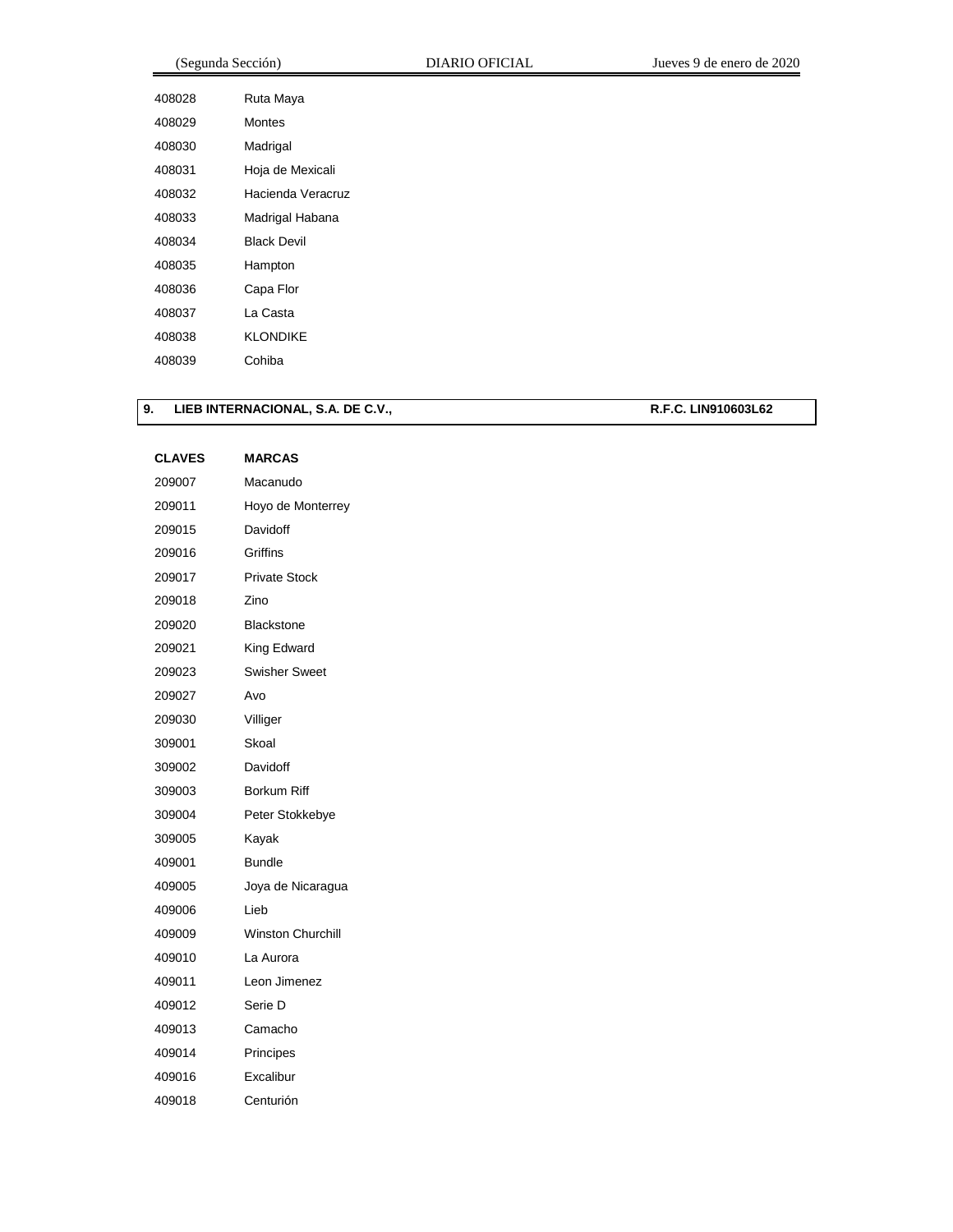| (Segunda Sección) |                    | <b>DIARIO OFICIAL</b> | Jueves 9 de enero de 2020 |
|-------------------|--------------------|-----------------------|---------------------------|
| 408028            | Ruta Maya          |                       |                           |
| 408029            | <b>Montes</b>      |                       |                           |
| 408030            | Madrigal           |                       |                           |
| 408031            | Hoja de Mexicali   |                       |                           |
| 408032            | Hacienda Veracruz  |                       |                           |
| 408033            | Madrigal Habana    |                       |                           |
| 408034            | <b>Black Devil</b> |                       |                           |
| 408035            | Hampton            |                       |                           |
| 408036            | Capa Flor          |                       |                           |
| 408037            | La Casta           |                       |                           |
| 408038            | <b>KLONDIKE</b>    |                       |                           |
| 408039            | Cohiba             |                       |                           |

## **9. LIEB INTERNACIONAL, S.A. DE C.V., R.F.C. LIN910603L62**

| <b>CLAVES</b> | <b>MARCAS</b>            |
|---------------|--------------------------|
| 209007        | Macanudo                 |
| 209011        | Hoyo de Monterrey        |
| 209015        | Davidoff                 |
| 209016        | Griffins                 |
| 209017        | <b>Private Stock</b>     |
| 209018        | Zino                     |
| 209020        | Blackstone               |
| 209021        | King Edward              |
| 209023        | Swisher Sweet            |
| 209027        | Avo                      |
| 209030        | Villiger                 |
| 309001        | Skoal                    |
| 309002        | Davidoff                 |
| 309003        | Borkum Riff              |
| 309004        | Peter Stokkebye          |
| 309005        | Kayak                    |
| 409001        | Bundle                   |
| 409005        | Joya de Nicaragua        |
| 409006        | Lieb                     |
| 409009        | <b>Winston Churchill</b> |
| 409010        | La Aurora                |
| 409011        | Leon Jimenez             |
| 409012        | Serie D                  |
| 409013        | Camacho                  |
| 409014        | Principes                |
| 409016        | Excalibur                |
| 409018        | Centurión                |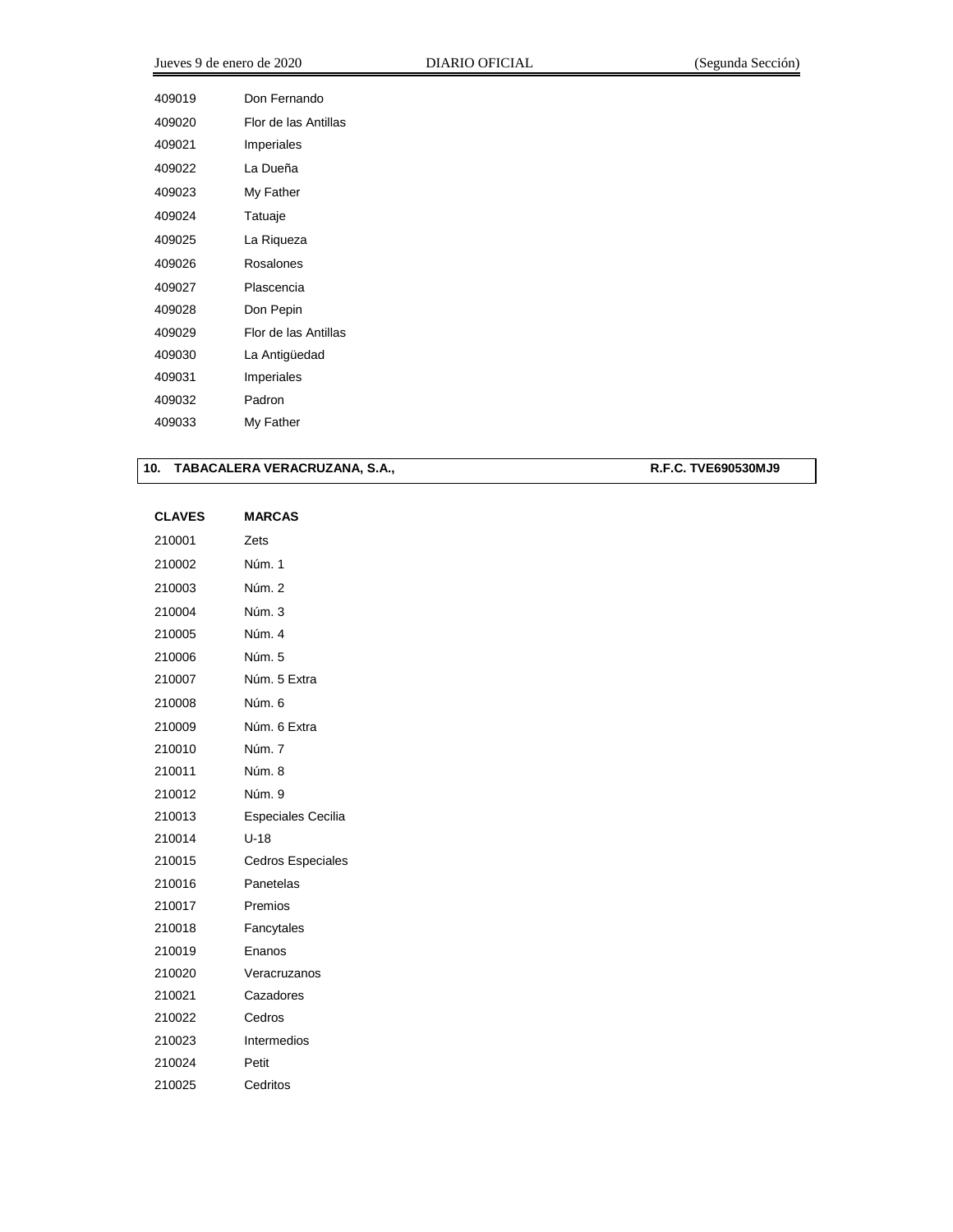| Jueves 9 de enero de 2020 |                      | DIARIO OFICIAL | (Segunda Sección) |
|---------------------------|----------------------|----------------|-------------------|
| 409019                    | Don Fernando         |                |                   |
| 409020                    | Flor de las Antillas |                |                   |
| 409021                    | Imperiales           |                |                   |
| 409022                    | La Dueña             |                |                   |
| 409023                    | My Father            |                |                   |
| 409024                    | Tatuaje              |                |                   |
| 409025                    | La Riqueza           |                |                   |
| 409026                    | Rosalones            |                |                   |

| 10. |  |  | TABACALERA VERACRUZANA, S.A., |  |
|-----|--|--|-------------------------------|--|
|-----|--|--|-------------------------------|--|

 Plascencia Don Pepin

 Flor de las Antillas La Antigüedad Imperiales Padron My Father

**10. TABACALERA VERACRUZANA, S.A., R.F.C. TVE690530MJ9**

| <b>CLAVES</b> | <b>MARCAS</b>            |
|---------------|--------------------------|
| 210001        | Zets                     |
| 210002        | Núm. 1                   |
| 210003        | Núm. 2                   |
| 210004        | Núm. 3                   |
| 210005        | Núm. 4                   |
| 210006        | Núm. 5                   |
| 210007        | Núm. 5 Extra             |
| 210008        | Núm. 6                   |
| 210009        | Núm. 6 Extra             |
| 210010        | Núm. 7                   |
| 210011        | Núm. 8                   |
| 210012        | Núm. 9                   |
| 210013        | Especiales Cecilia       |
| 210014        | $U-18$                   |
| 210015        | <b>Cedros Especiales</b> |
| 210016        | Panetelas                |
| 210017        | Premios                  |
| 210018        | Fancytales               |
| 210019        | Enanos                   |
| 210020        | Veracruzanos             |
| 210021        | Cazadores                |
| 210022        | Cedros                   |
| 210023        | Intermedios              |
| 210024        | Petit                    |
| 210025        | Cedritos                 |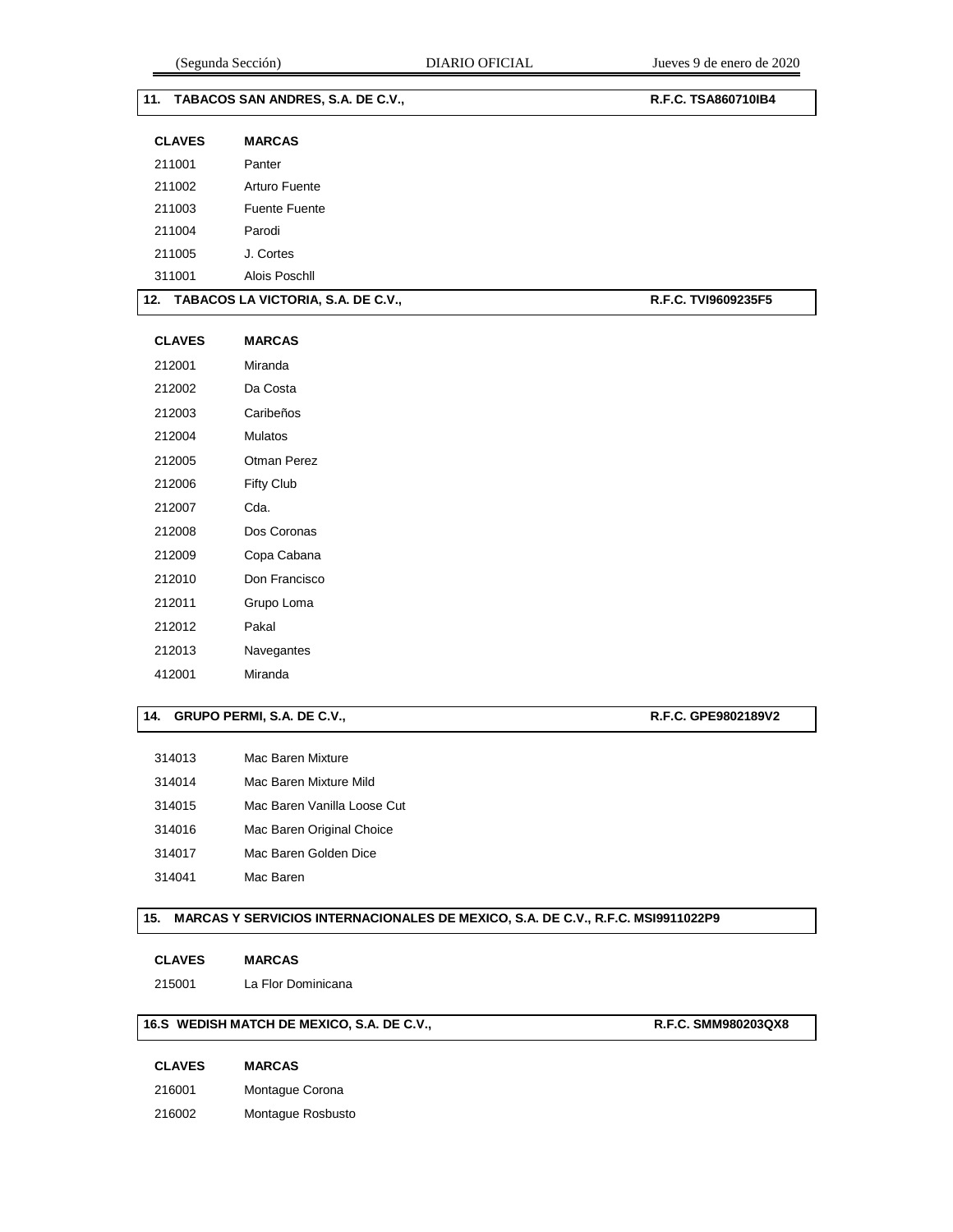| 11. TABACOS SAN ANDRES, S.A. DE C.V., |                                        | R.F.C. TSA860710IB4 |
|---------------------------------------|----------------------------------------|---------------------|
| <b>CLAVES</b>                         | <b>MARCAS</b>                          |                     |
| 211001                                | Panter                                 |                     |
| 211002                                | Arturo Fuente                          |                     |
| 211003                                | <b>Fuente Fuente</b>                   |                     |
| 211004                                | Parodi                                 |                     |
| 211005                                | J. Cortes                              |                     |
| 311001                                | Alois Poschll                          |                     |
|                                       | 12. TABACOS LA VICTORIA, S.A. DE C.V., | R.F.C. TVI9609235F5 |
| <b>CLAVES</b>                         | <b>MARCAS</b>                          |                     |
| 212001                                | Miranda                                |                     |
| 212002                                | Da Costa                               |                     |
| 212003                                | Caribeños                              |                     |
| 212004                                | Mulatos                                |                     |
| 212005                                | Otman Perez                            |                     |
| 212006                                | Fifty Club                             |                     |
| 212007                                | Cda.                                   |                     |
| 212008                                | Dos Coronas                            |                     |
| 212009                                | Copa Cabana                            |                     |
| 212010                                | Don Francisco                          |                     |
| 212011                                | Grupo Loma                             |                     |
| 212012                                | Pakal                                  |                     |
| 212013                                | Navegantes                             |                     |
| 412001                                | Miranda                                |                     |

## 14. **GRUPO PERMI, S.A. DE C.V., <b>R.F.C. GPE9802189V2**

- Mac Baren Mixture Mac Baren Mixture Mild
- 
- Mac Baren Vanilla Loose Cut
- Mac Baren Original Choice
- Mac Baren Golden Dice
- Mac Baren

#### **15. MARCAS Y SERVICIOS INTERNACIONALES DE MEXICO, S.A. DE C.V., R.F.C. MSI9911022P9**

#### **CLAVES MARCAS**

La Flor Dominicana

## **16.S WEDISH MATCH DE MEXICO, S.A. DE C.V., R.F.C. SMM980203QX8**

| <b>CLAVES</b> | <b>MARCAS</b>   |
|---------------|-----------------|
| 216001        | Montague Corona |

Montague Rosbusto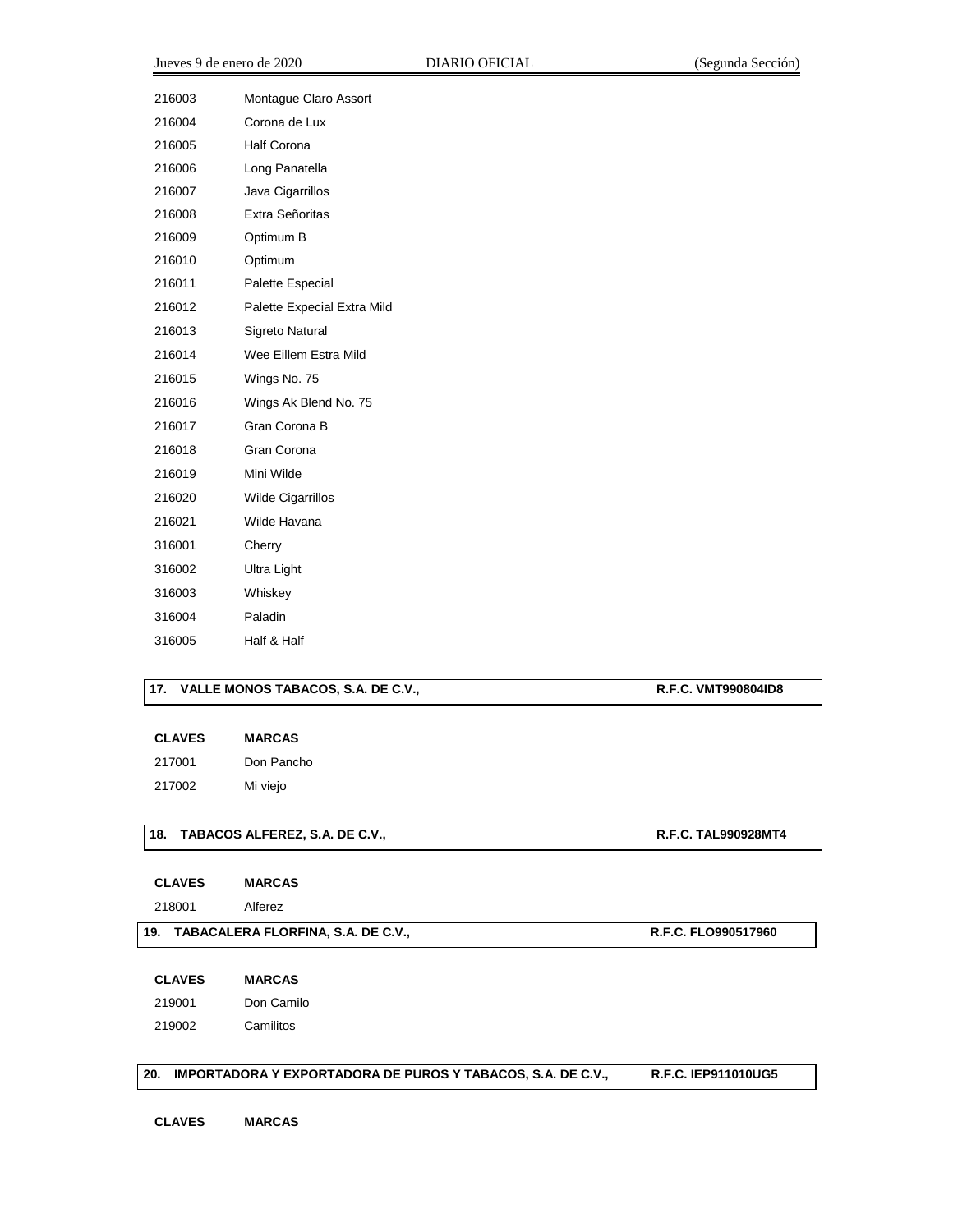| 216003 | Montague Claro Assort       |
|--------|-----------------------------|
| 216004 | Corona de Lux               |
| 216005 | <b>Half Corona</b>          |
| 216006 | Long Panatella              |
| 216007 | Java Cigarrillos            |
| 216008 | Extra Señoritas             |
| 216009 | Optimum B                   |
| 216010 | Optimum                     |
| 216011 | Palette Especial            |
| 216012 | Palette Expecial Extra Mild |
| 216013 | Sigreto Natural             |
| 216014 | Wee Eillem Estra Mild       |
| 216015 | Wings No. 75                |
| 216016 | Wings Ak Blend No. 75       |
| 216017 | Gran Corona B               |
| 216018 | Gran Corona                 |
| 216019 | Mini Wilde                  |
| 216020 | <b>Wilde Cigarrillos</b>    |
| 216021 | Wilde Havana                |
| 316001 | Cherry                      |
| 316002 | Ultra Light                 |
| 316003 | Whiskey                     |
| 316004 | Paladin                     |
| 316005 | Half & Half                 |
|        |                             |

#### 17. VALLE MONOS TABACOS, S.A. DE C.V., **R.F.C. VMT990804ID8**

| <b>CLAVES</b> | <b>MARCAS</b> |
|---------------|---------------|
|---------------|---------------|

 Don Pancho Mi viejo

#### **18. TABACOS ALFEREZ, S.A. DE C.V., R.F.C. TAL990928MT4**

**CLAVES MARCAS**

Alferez

#### **19. TABACALERA FLORFINA, S.A. DE C.V., R.F.C. FLO990517960**

**CLAVES MARCAS**

Don Camilo

Camilitos

#### **20. IMPORTADORA Y EXPORTADORA DE PUROS Y TABACOS, S.A. DE C.V., R.F.C. IEP911010UG5**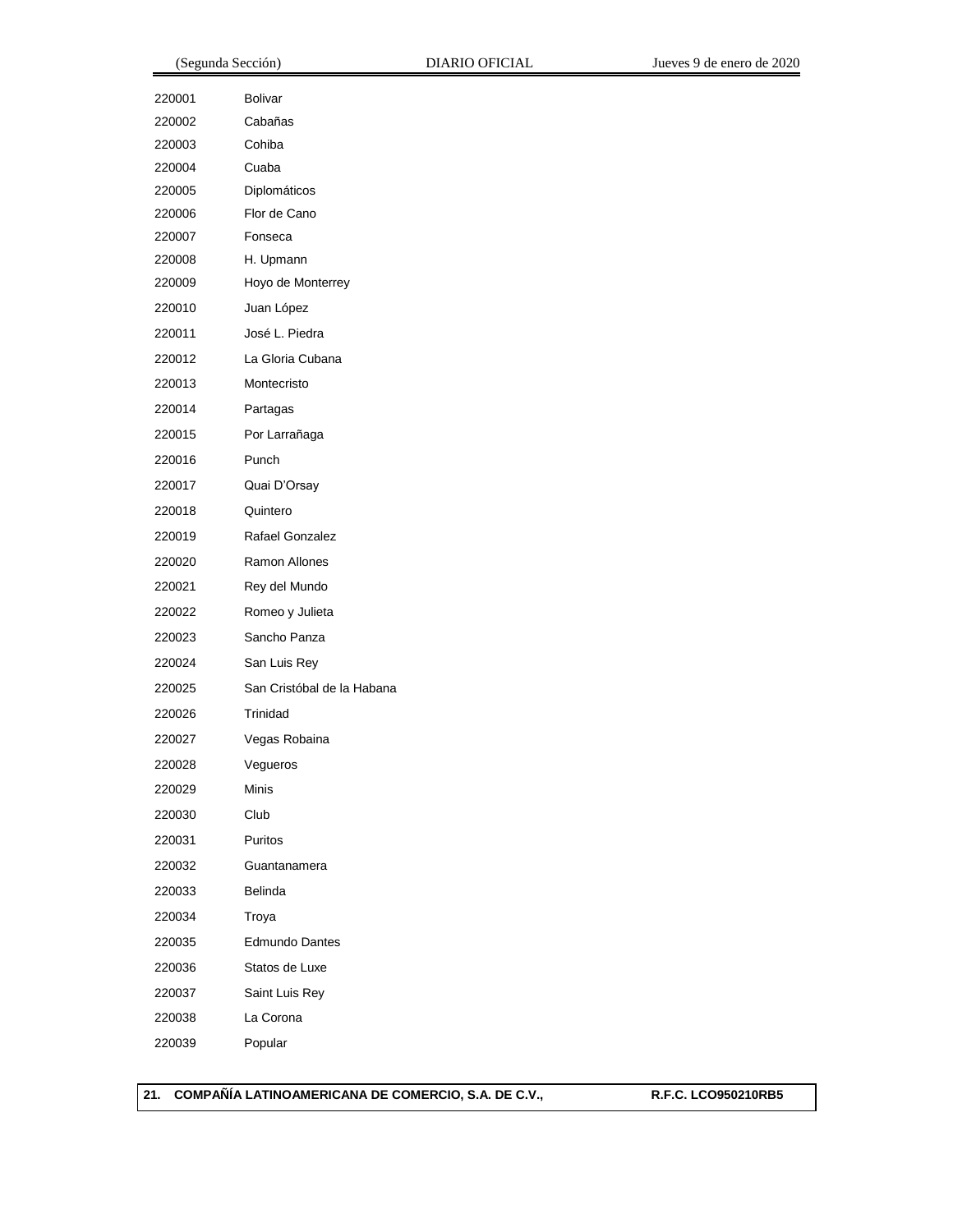| 220001 | <b>Bolivar</b>             |
|--------|----------------------------|
| 220002 | Cabañas                    |
| 220003 | Cohiba                     |
| 220004 | Cuaba                      |
| 220005 | Diplomáticos               |
| 220006 | Flor de Cano               |
| 220007 | Fonseca                    |
| 220008 | H. Upmann                  |
| 220009 | Hoyo de Monterrey          |
| 220010 | Juan López                 |
| 220011 | José L. Piedra             |
| 220012 | La Gloria Cubana           |
| 220013 | Montecristo                |
| 220014 | Partagas                   |
| 220015 | Por Larrañaga              |
| 220016 | Punch                      |
| 220017 | Quai D'Orsay               |
| 220018 | Quintero                   |
| 220019 | Rafael Gonzalez            |
| 220020 | Ramon Allones              |
| 220021 | Rey del Mundo              |
| 220022 | Romeo y Julieta            |
| 220023 | Sancho Panza               |
| 220024 | San Luis Rey               |
| 220025 | San Cristóbal de la Habana |
| 220026 | Trinidad                   |
| 220027 | Vegas Robaina              |
| 220028 | Vegueros                   |
| 220029 | Minis                      |
| 220030 | Club                       |
| 220031 | Puritos                    |
| 220032 | Guantanamera               |
| 220033 | Belinda                    |
| 220034 | Troya                      |
| 220035 | Edmundo Dantes             |
| 220036 | Statos de Luxe             |
| 220037 | Saint Luis Rey             |
| 220038 | La Corona                  |
| 220039 | Popular                    |

**21. COMPAÑÍA LATINOAMERICANA DE COMERCIO, S.A. DE C.V., R.F.C. LCO950210RB5**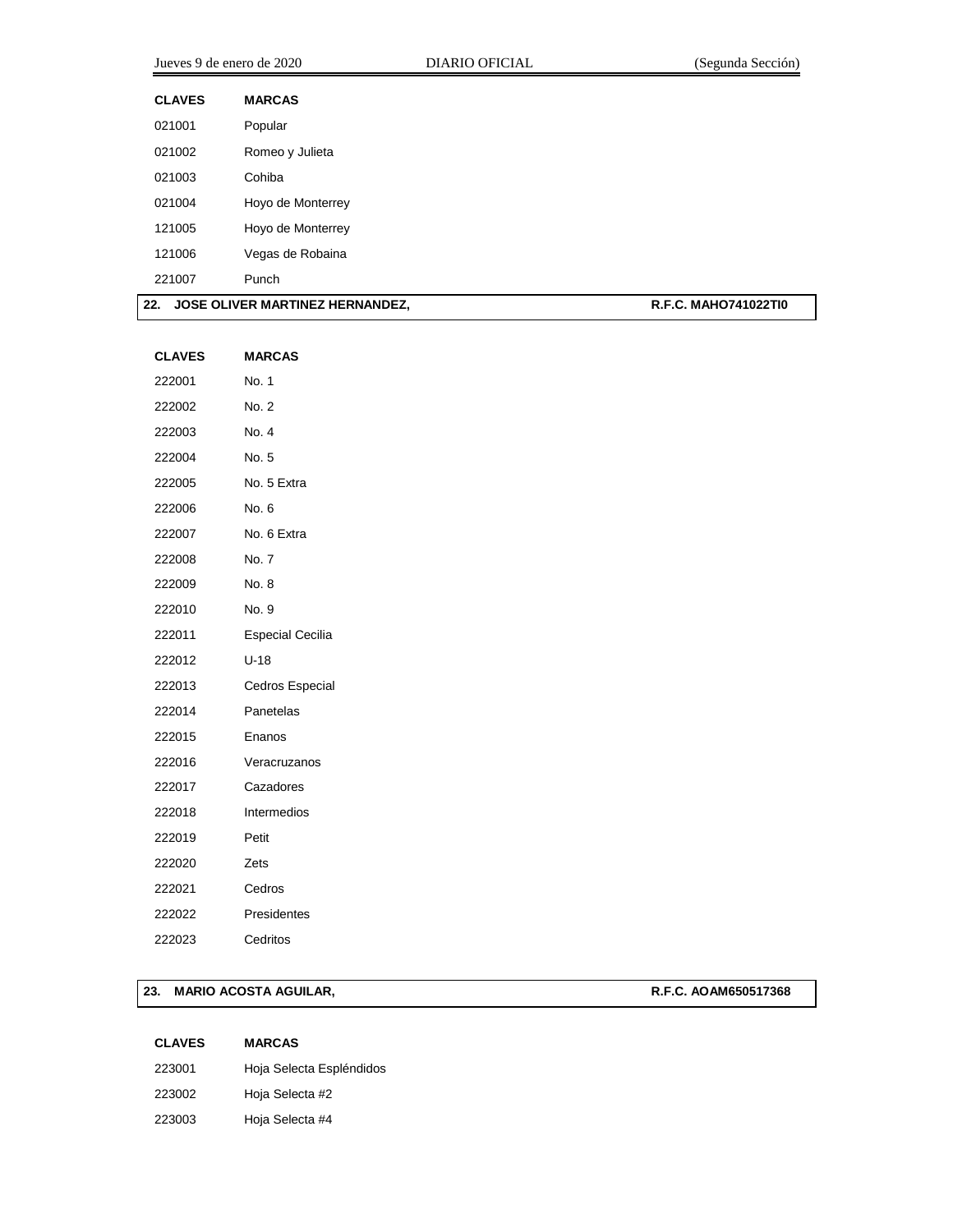| Jueves 9 de enero de 2020 |                   | <b>DIARIO OFICIAL</b> | (Segunda Sección) |
|---------------------------|-------------------|-----------------------|-------------------|
| <b>CLAVES</b>             | <b>MARCAS</b>     |                       |                   |
| 021001                    | Popular           |                       |                   |
| 021002                    | Romeo y Julieta   |                       |                   |
| 021003                    | Cohiba            |                       |                   |
| 021004                    | Hoyo de Monterrey |                       |                   |
| 121005                    | Hoyo de Monterrey |                       |                   |
| 121006                    | Vegas de Robaina  |                       |                   |
| 221007                    | Punch             |                       |                   |

| 22. | . JOSE OLIVER MARTINEZ HERNANDEZ. | <b>R.F.C. MAHO741022TI0</b> |
|-----|-----------------------------------|-----------------------------|
|-----|-----------------------------------|-----------------------------|

| <b>CLAVES</b> | <b>MARCAS</b>           |
|---------------|-------------------------|
| 222001        | No. 1                   |
| 222002        | No. 2                   |
| 222003        | No. 4                   |
| 222004        | No. 5                   |
| 222005        | No. 5 Extra             |
| 222006        | No. 6                   |
| 222007        | No. 6 Extra             |
| 222008        | No. 7                   |
| 222009        | No. 8                   |
| 222010        | No. 9                   |
| 222011        | <b>Especial Cecilia</b> |
| 222012        | U-18                    |
| 222013        | <b>Cedros Especial</b>  |
| 222014        | Panetelas               |
| 222015        | Enanos                  |
| 222016        | Veracruzanos            |
| 222017        | Cazadores               |
| 222018        | Intermedios             |
| 222019        | Petit                   |
| 222020        | Zets                    |
| 222021        | Cedros                  |
| 222022        | Presidentes             |
| 222023        | Cedritos                |
|               |                         |

### **23. MARIO ACOSTA AGUILAR, R.F.C. AOAM650517368**

| <b>CLAVES</b> | <b>MARCAS</b>            |
|---------------|--------------------------|
| 223001        | Hoja Selecta Espléndidos |
| 223002        | Hoja Selecta #2          |
| 223003        | Hoja Selecta #4          |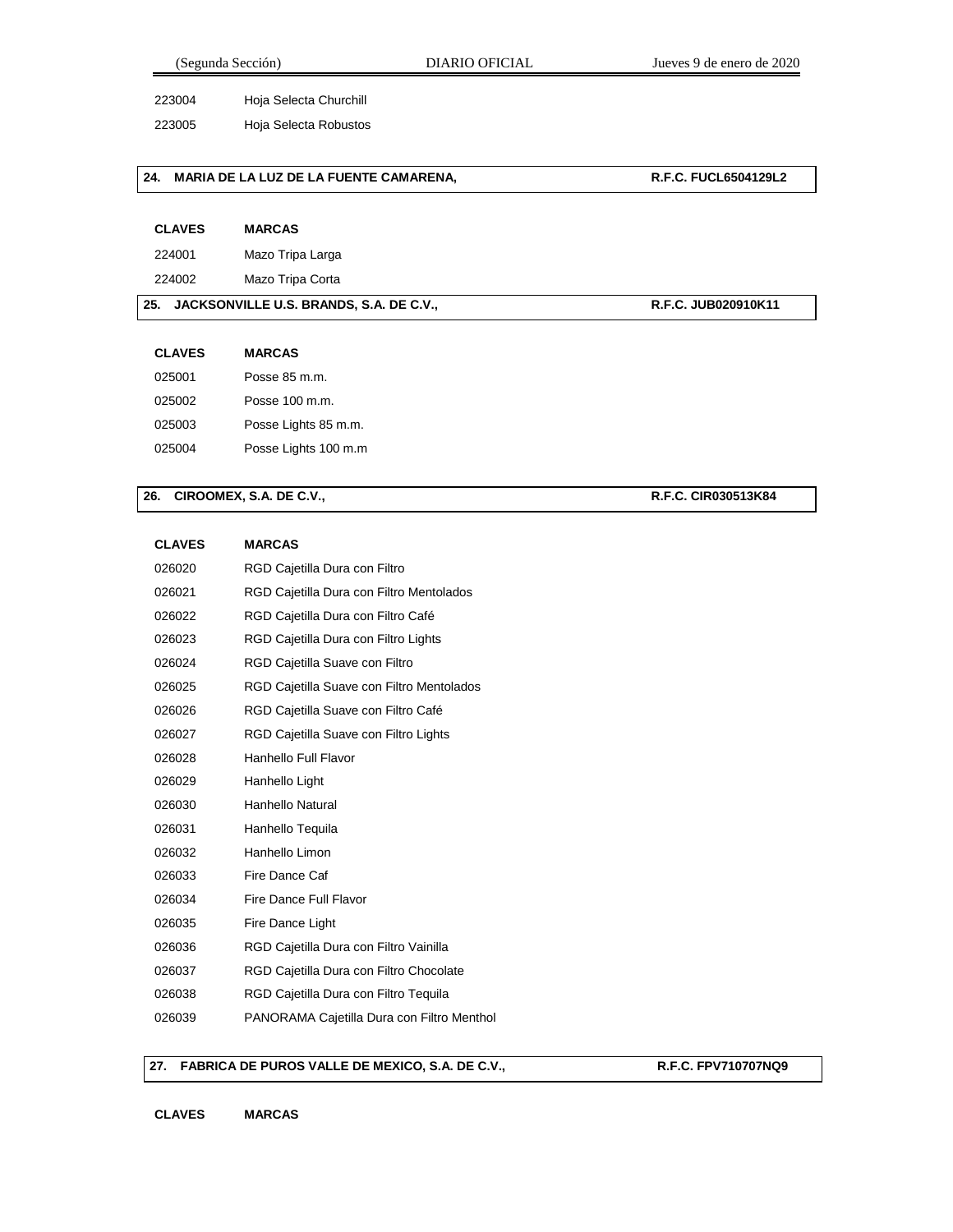Hoja Selecta Churchill

Hoja Selecta Robustos

#### **24. MARIA DE LA LUZ DE LA FUENTE CAMARENA, R.F.C. FUCL6504129L2**

| <b>CLAVES</b> | <b>MARCAS</b> |
|---------------|---------------|
|---------------|---------------|

Mazo Tripa Larga

Mazo Tripa Corta

#### **25. JACKSONVILLE U.S. BRANDS, S.A. DE C.V., R.F.C. JUB020910K11**

**CLAVES MARCAS**

| 025001 | Posse 85 m.m.        |
|--------|----------------------|
| 025002 | Posse 100 m.m.       |
| 025003 | Posse Lights 85 m.m. |
| 025004 | Posse Lights 100 m.m |

### **26. CIROOMEX, S.A. DE C.V., R.F.C. CIR030513K84**

| <b>CLAVES</b> | <b>MARCAS</b>                              |
|---------------|--------------------------------------------|
| 026020        | RGD Cajetilla Dura con Filtro              |
| 026021        | RGD Cajetilla Dura con Filtro Mentolados   |
| 026022        | RGD Cajetilla Dura con Filtro Café         |
| 026023        | RGD Cajetilla Dura con Filtro Lights       |
| 026024        | RGD Cajetilla Suave con Filtro             |
| 026025        | RGD Cajetilla Suave con Filtro Mentolados  |
| 026026        | RGD Cajetilla Suave con Filtro Café        |
| 026027        | RGD Cajetilla Suave con Filtro Lights      |
| 026028        | Hanhello Full Flavor                       |
| 026029        | Hanhello Light                             |
| 026030        | Hanhello Natural                           |
| 026031        | Hanhello Tequila                           |
| 026032        | Hanhello Limon                             |
| 026033        | Fire Dance Caf                             |
| 026034        | Fire Dance Full Flavor                     |
| 026035        | Fire Dance Light                           |
| 026036        | RGD Cajetilla Dura con Filtro Vainilla     |
| 026037        | RGD Cajetilla Dura con Filtro Chocolate    |
| 026038        | RGD Cajetilla Dura con Filtro Tequila      |
| 026039        | PANORAMA Cajetilla Dura con Filtro Menthol |

#### **27. FABRICA DE PUROS VALLE DE MEXICO, S.A. DE C.V., R.F.C. FPV710707NQ9**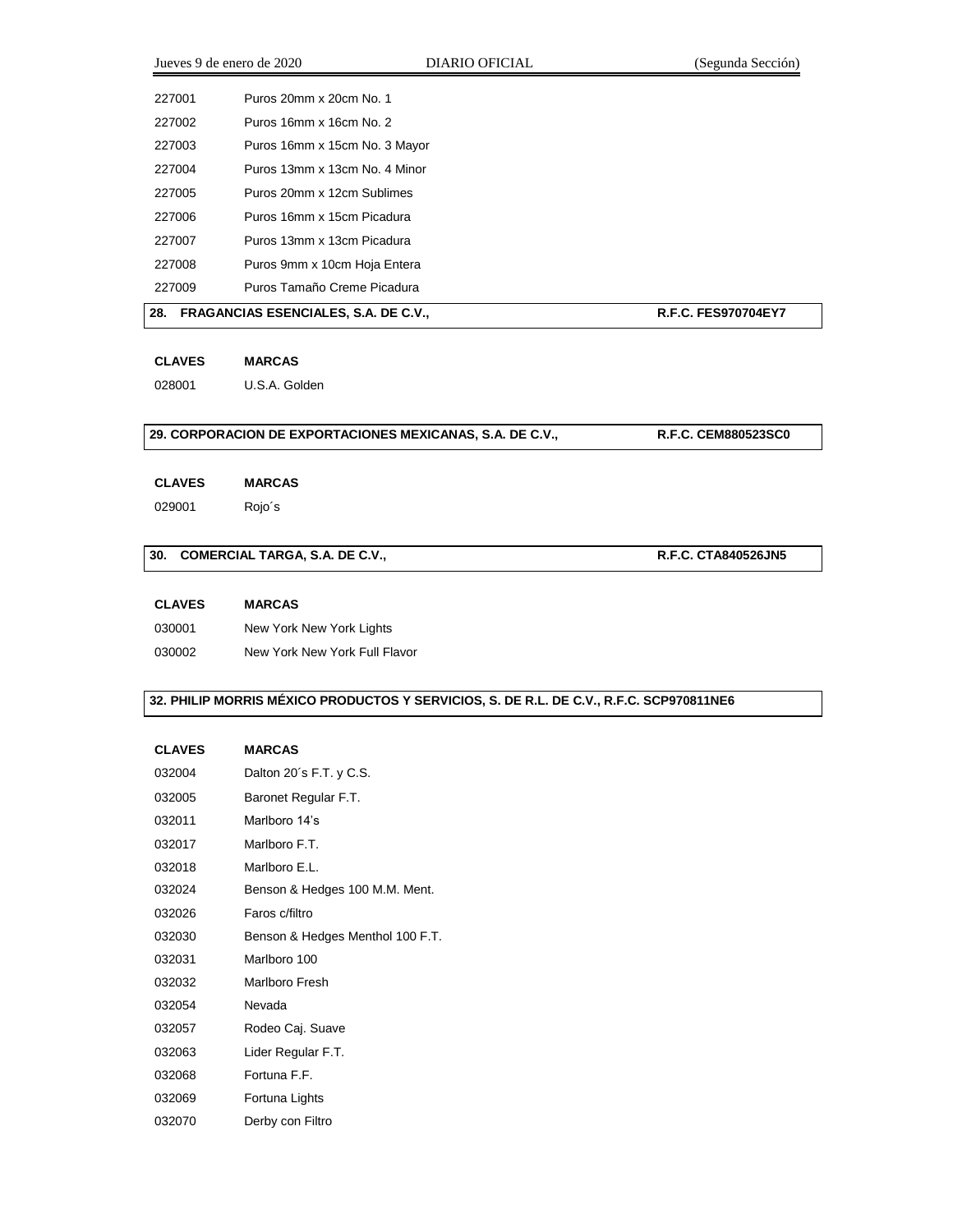|        | Jueves 9 de enero de 2020                   | DIARIO OFICIAL | (Segunda Sección)          |
|--------|---------------------------------------------|----------------|----------------------------|
| 227001 | Puros 20mm x 20cm No. 1                     |                |                            |
| 227002 | Puros 16mm x 16cm No. 2                     |                |                            |
| 227003 | Puros 16mm x 15cm No. 3 Mayor               |                |                            |
| 227004 | Puros 13mm x 13cm No. 4 Minor               |                |                            |
| 227005 | Puros 20mm x 12cm Sublimes                  |                |                            |
| 227006 | Puros 16mm x 15cm Picadura                  |                |                            |
| 227007 | Puros 13mm x 13cm Picadura                  |                |                            |
| 227008 | Puros 9mm x 10cm Hoja Entera                |                |                            |
| 227009 | Puros Tamaño Creme Picadura                 |                |                            |
| 28.    | <b>FRAGANCIAS ESENCIALES, S.A. DE C.V.,</b> |                | <b>R.F.C. FES970704EY7</b> |

**CLAVES MARCAS**

U.S.A. Golden

## **29. CORPORACION DE EXPORTACIONES MEXICANAS, S.A. DE C.V., R.F.C. CEM880523SC0**

#### **CLAVES MARCAS**

Rojo´s

### **30. COMERCIAL TARGA, S.A. DE C.V., <b>R.F.C. CTA840526JN5**

**CLAVES MARCAS**

New York New York Lights

New York New York Full Flavor

### **32. PHILIP MORRIS MÉXICO PRODUCTOS Y SERVICIOS, S. DE R.L. DE C.V., R.F.C. SCP970811NE6**

| 032004 | Dalton 20's F.T. y C.S.          |
|--------|----------------------------------|
| 032005 | Baronet Regular F.T.             |
| 032011 | Marlboro 14's                    |
| 032017 | Marlboro F.T.                    |
| 032018 | Marlboro E.L.                    |
| 032024 | Benson & Hedges 100 M.M. Ment.   |
| 032026 | Faros c/filtro                   |
| 032030 | Benson & Hedges Menthol 100 F.T. |
| 032031 | Marlboro 100                     |
| 032032 | Marlboro Fresh                   |
| 032054 | Nevada                           |
| 032057 | Rodeo Caj. Suave                 |
| 032063 | Lider Regular F.T.               |
| 032068 | Fortuna F.F.                     |
| 032069 | Fortuna Lights                   |
| 032070 | Derby con Filtro                 |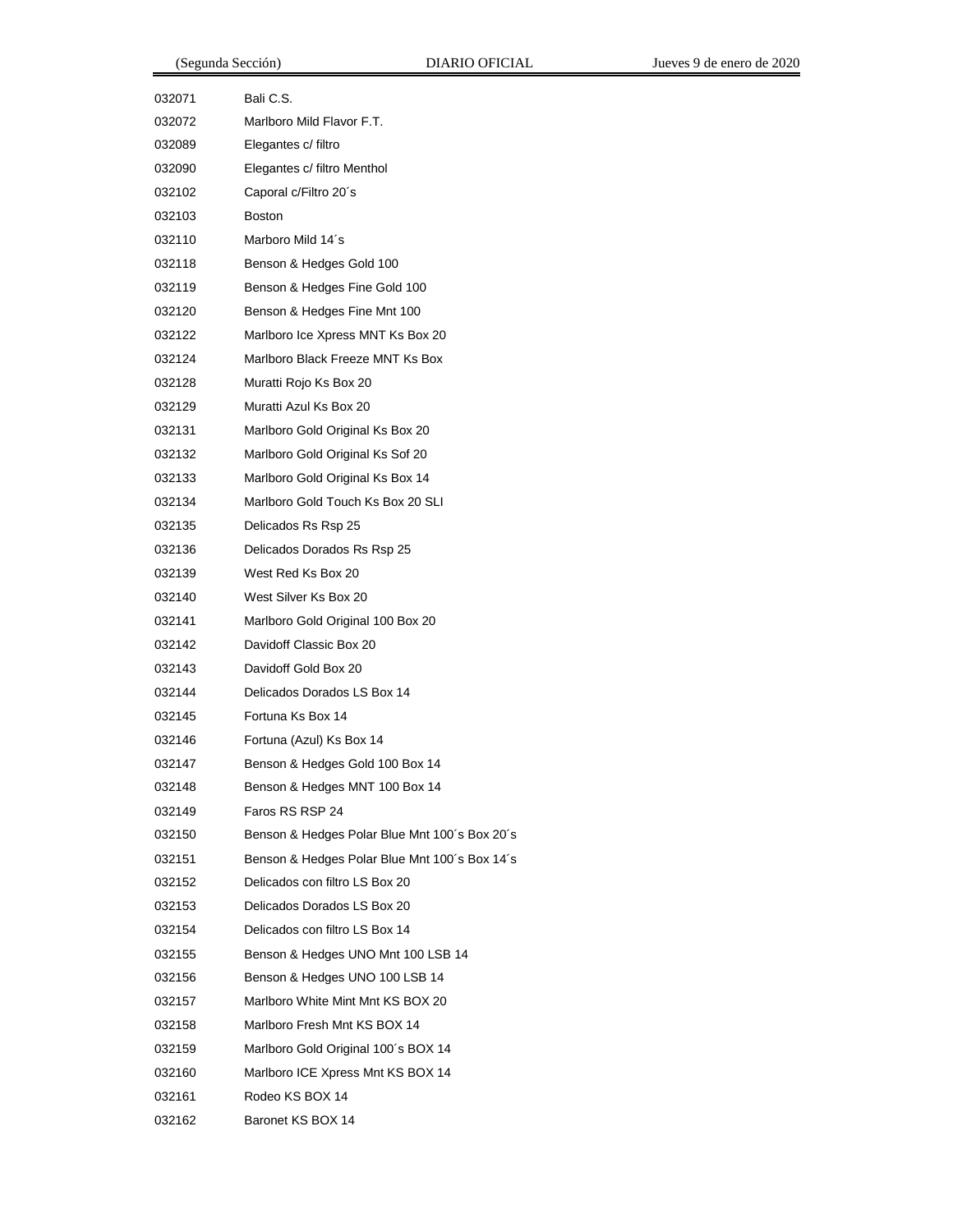| 032071 | Bali C.S.                                     |
|--------|-----------------------------------------------|
| 032072 | Marlboro Mild Flavor F.T.                     |
| 032089 | Elegantes c/ filtro                           |
| 032090 | Elegantes c/ filtro Menthol                   |
| 032102 | Caporal c/Filtro 20's                         |
| 032103 | <b>Boston</b>                                 |
| 032110 | Marboro Mild 14's                             |
| 032118 | Benson & Hedges Gold 100                      |
| 032119 | Benson & Hedges Fine Gold 100                 |
| 032120 | Benson & Hedges Fine Mnt 100                  |
| 032122 | Marlboro Ice Xpress MNT Ks Box 20             |
| 032124 | Marlboro Black Freeze MNT Ks Box              |
| 032128 | Muratti Rojo Ks Box 20                        |
| 032129 | Muratti Azul Ks Box 20                        |
| 032131 | Marlboro Gold Original Ks Box 20              |
| 032132 | Marlboro Gold Original Ks Sof 20              |
| 032133 | Marlboro Gold Original Ks Box 14              |
| 032134 | Marlboro Gold Touch Ks Box 20 SLI             |
| 032135 | Delicados Rs Rsp 25                           |
| 032136 | Delicados Dorados Rs Rsp 25                   |
| 032139 | West Red Ks Box 20                            |
| 032140 | West Silver Ks Box 20                         |
| 032141 | Marlboro Gold Original 100 Box 20             |
| 032142 | Davidoff Classic Box 20                       |
| 032143 | Davidoff Gold Box 20                          |
| 032144 | Delicados Dorados LS Box 14                   |
| 032145 | Fortuna Ks Box 14                             |
| 032146 | Fortuna (Azul) Ks Box 14                      |
| 032147 | Benson & Hedges Gold 100 Box 14               |
| 032148 | Benson & Hedges MNT 100 Box 14                |
| 032149 | Faros RS RSP 24                               |
| 032150 | Benson & Hedges Polar Blue Mnt 100's Box 20's |
| 032151 | Benson & Hedges Polar Blue Mnt 100's Box 14's |
| 032152 | Delicados con filtro LS Box 20                |
| 032153 | Delicados Dorados LS Box 20                   |
| 032154 | Delicados con filtro LS Box 14                |
| 032155 | Benson & Hedges UNO Mnt 100 LSB 14            |
| 032156 | Benson & Hedges UNO 100 LSB 14                |
| 032157 | Marlboro White Mint Mnt KS BOX 20             |
| 032158 | Marlboro Fresh Mnt KS BOX 14                  |
| 032159 | Marlboro Gold Original 100's BOX 14           |
| 032160 | Marlboro ICE Xpress Mnt KS BOX 14             |
| 032161 | Rodeo KS BOX 14                               |
| 032162 | Baronet KS BOX 14                             |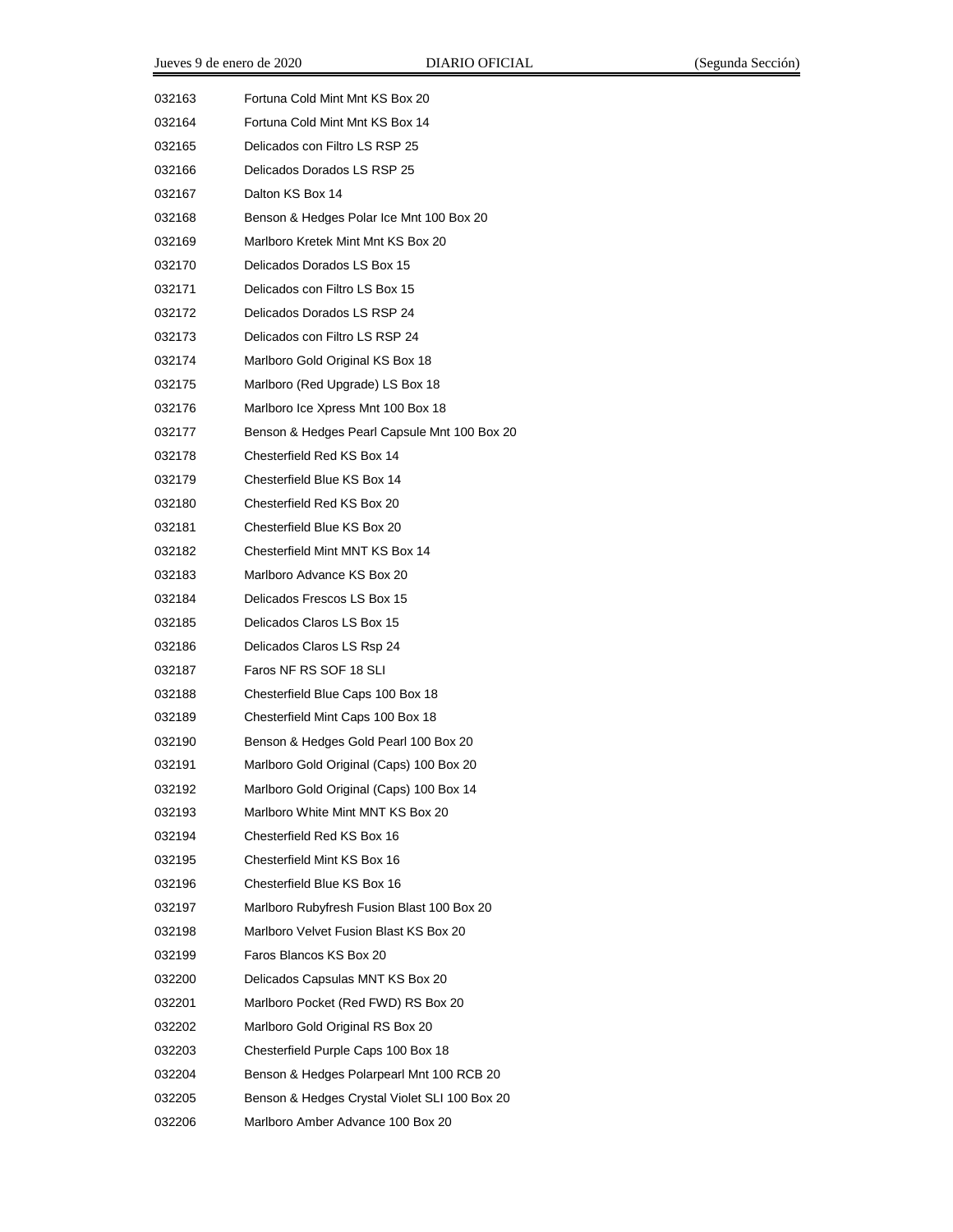| 032163 | Fortuna Cold Mint Mnt KS Box 20               |
|--------|-----------------------------------------------|
| 032164 | Fortuna Cold Mint Mnt KS Box 14               |
| 032165 | Delicados con Filtro LS RSP 25                |
| 032166 | Delicados Dorados LS RSP 25                   |
| 032167 | Dalton KS Box 14                              |
| 032168 | Benson & Hedges Polar Ice Mnt 100 Box 20      |
| 032169 | Marlboro Kretek Mint Mnt KS Box 20            |
| 032170 | Delicados Dorados LS Box 15                   |
| 032171 | Delicados con Filtro LS Box 15                |
| 032172 | Delicados Dorados LS RSP 24                   |
| 032173 | Delicados con Filtro LS RSP 24                |
| 032174 | Marlboro Gold Original KS Box 18              |
| 032175 | Marlboro (Red Upgrade) LS Box 18              |
| 032176 | Marlboro Ice Xpress Mnt 100 Box 18            |
| 032177 | Benson & Hedges Pearl Capsule Mnt 100 Box 20  |
| 032178 | Chesterfield Red KS Box 14                    |
| 032179 | Chesterfield Blue KS Box 14                   |
| 032180 | Chesterfield Red KS Box 20                    |
| 032181 | Chesterfield Blue KS Box 20                   |
| 032182 | Chesterfield Mint MNT KS Box 14               |
| 032183 | Marlboro Advance KS Box 20                    |
| 032184 | Delicados Frescos LS Box 15                   |
| 032185 | Delicados Claros LS Box 15                    |
| 032186 | Delicados Claros LS Rsp 24                    |
| 032187 | Faros NF RS SOF 18 SLI                        |
| 032188 | Chesterfield Blue Caps 100 Box 18             |
| 032189 | Chesterfield Mint Caps 100 Box 18             |
| 032190 | Benson & Hedges Gold Pearl 100 Box 20         |
| 032191 | Marlboro Gold Original (Caps) 100 Box 20      |
| 032192 | Marlboro Gold Original (Caps) 100 Box 14      |
| 032193 | Marlboro White Mint MNT KS Box 20             |
| 032194 | Chesterfield Red KS Box 16                    |
| 032195 | Chesterfield Mint KS Box 16                   |
| 032196 | Chesterfield Blue KS Box 16                   |
| 032197 | Marlboro Rubyfresh Fusion Blast 100 Box 20    |
| 032198 | Marlboro Velvet Fusion Blast KS Box 20        |
| 032199 | Faros Blancos KS Box 20                       |
| 032200 | Delicados Capsulas MNT KS Box 20              |
| 032201 | Marlboro Pocket (Red FWD) RS Box 20           |
| 032202 | Marlboro Gold Original RS Box 20              |
| 032203 | Chesterfield Purple Caps 100 Box 18           |
| 032204 | Benson & Hedges Polarpearl Mnt 100 RCB 20     |
| 032205 | Benson & Hedges Crystal Violet SLI 100 Box 20 |
| 032206 | Marlboro Amber Advance 100 Box 20             |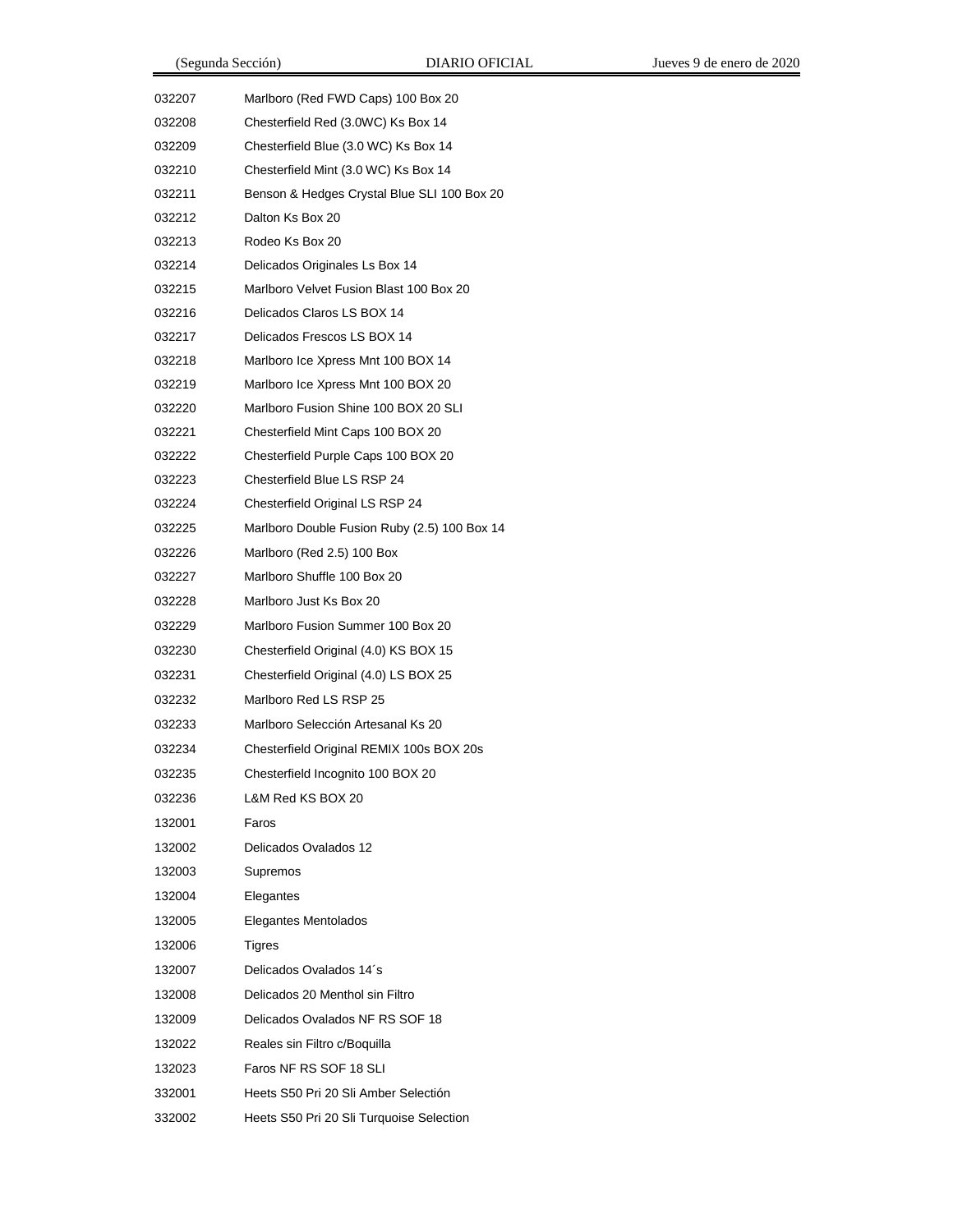| 032207 | Marlboro (Red FWD Caps) 100 Box 20           |
|--------|----------------------------------------------|
| 032208 | Chesterfield Red (3.0WC) Ks Box 14           |
| 032209 | Chesterfield Blue (3.0 WC) Ks Box 14         |
| 032210 | Chesterfield Mint (3.0 WC) Ks Box 14         |
| 032211 | Benson & Hedges Crystal Blue SLI 100 Box 20  |
| 032212 | Dalton Ks Box 20                             |
| 032213 | Rodeo Ks Box 20                              |
| 032214 | Delicados Originales Ls Box 14               |
| 032215 | Marlboro Velvet Fusion Blast 100 Box 20      |
| 032216 | Delicados Claros LS BOX 14                   |
| 032217 | Delicados Frescos LS BOX 14                  |
| 032218 | Marlboro Ice Xpress Mnt 100 BOX 14           |
| 032219 | Marlboro Ice Xpress Mnt 100 BOX 20           |
| 032220 | Marlboro Fusion Shine 100 BOX 20 SLI         |
| 032221 | Chesterfield Mint Caps 100 BOX 20            |
| 032222 | Chesterfield Purple Caps 100 BOX 20          |
| 032223 | Chesterfield Blue LS RSP 24                  |
| 032224 | Chesterfield Original LS RSP 24              |
| 032225 | Marlboro Double Fusion Ruby (2.5) 100 Box 14 |
| 032226 | Marlboro (Red 2.5) 100 Box                   |
| 032227 | Marlboro Shuffle 100 Box 20                  |
| 032228 | Marlboro Just Ks Box 20                      |
| 032229 | Marlboro Fusion Summer 100 Box 20            |
| 032230 | Chesterfield Original (4.0) KS BOX 15        |
| 032231 | Chesterfield Original (4.0) LS BOX 25        |
| 032232 | Marlboro Red LS RSP 25                       |
| 032233 | Marlboro Selección Artesanal Ks 20           |
| 032234 | Chesterfield Original REMIX 100s BOX 20s     |
| 032235 | Chesterfield Incognito 100 BOX 20            |
| 032236 | L&M Red KS BOX 20                            |
| 132001 | Faros                                        |
| 132002 | Delicados Ovalados 12                        |
| 132003 | Supremos                                     |
| 132004 | Elegantes                                    |
| 132005 | Elegantes Mentolados                         |
| 132006 | Tigres                                       |
| 132007 | Delicados Ovalados 14's                      |
| 132008 | Delicados 20 Menthol sin Filtro              |
| 132009 | Delicados Ovalados NF RS SOF 18              |
| 132022 | Reales sin Filtro c/Boquilla                 |
| 132023 | Faros NF RS SOF 18 SLI                       |
| 332001 | Heets S50 Pri 20 Sli Amber Selectión         |
| 332002 | Heets S50 Pri 20 Sli Turquoise Selection     |
|        |                                              |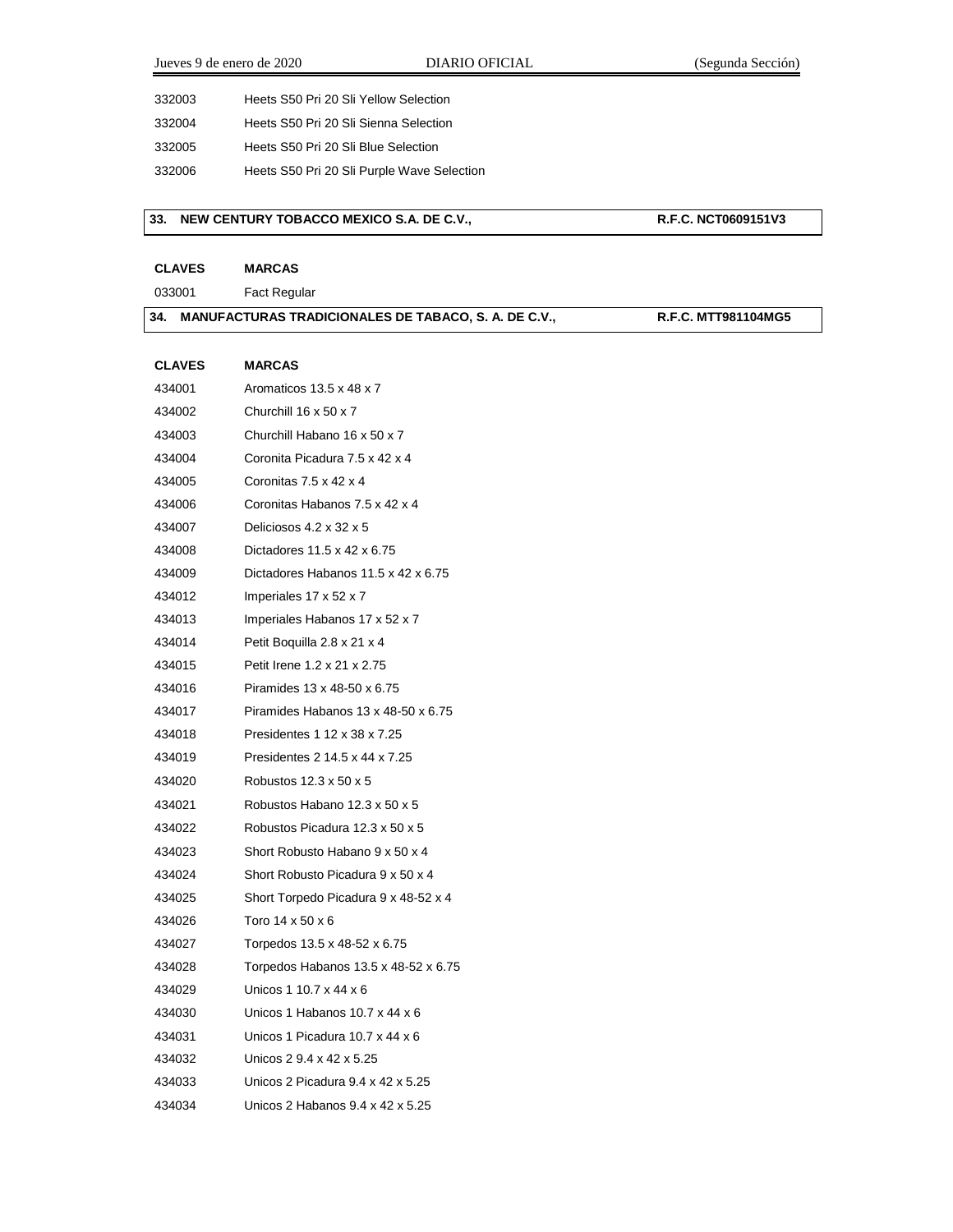Jueves 9 de enero de 2020 DIARIO OFICIAL (Segunda Sección)

| 332003 | Heets S50 Pri 20 Sli Yellow Selection |
|--------|---------------------------------------|
| 332004 | Heets S50 Pri 20 Sli Sienna Selection |

Heets S50 Pri 20 Sli Blue Selection

Heets S50 Pri 20 Sli Purple Wave Selection

#### **33. NEW CENTURY TOBACCO MEXICO S.A. DE C.V., R.F.C. NCT0609151V3**

**CLAVES MARCAS**

Fact Regular

#### **34. MANUFACTURAS TRADICIONALES DE TABACO, S. A. DE C.V., R.F.C. MTT981104MG5**

**CLAVES MARCAS** Aromaticos 13.5 x 48 x 7 Churchill 16 x 50 x 7 Churchill Habano 16 x 50 x 7 Coronita Picadura 7.5 x 42 x 4 Coronitas 7.5 x 42 x 4 Coronitas Habanos 7.5 x 42 x 4 Deliciosos 4.2 x 32 x 5 Dictadores 11.5 x 42 x 6.75 Dictadores Habanos 11.5 x 42 x 6.75 Imperiales 17 x 52 x 7 Imperiales Habanos 17 x 52 x 7 Petit Boquilla 2.8 x 21 x 4 Petit Irene 1.2 x 21 x 2.75 Piramides 13 x 48-50 x 6.75 Piramides Habanos 13 x 48-50 x 6.75 Presidentes 1 12 x 38 x 7.25 Presidentes 2 14.5 x 44 x 7.25 Robustos 12.3 x 50 x 5 Robustos Habano 12.3 x 50 x 5 Robustos Picadura 12.3 x 50 x 5 Short Robusto Habano 9 x 50 x 4 Short Robusto Picadura 9 x 50 x 4 Short Torpedo Picadura 9 x 48-52 x 4 Toro 14 x 50 x 6 Torpedos 13.5 x 48-52 x 6.75 Torpedos Habanos 13.5 x 48-52 x 6.75 Unicos 1 10.7 x 44 x 6 Unicos 1 Habanos 10.7 x 44 x 6 Unicos 1 Picadura 10.7 x 44 x 6 Unicos 2 9.4 x 42 x 5.25 Unicos 2 Picadura 9.4 x 42 x 5.25 Unicos 2 Habanos 9.4 x 42 x 5.25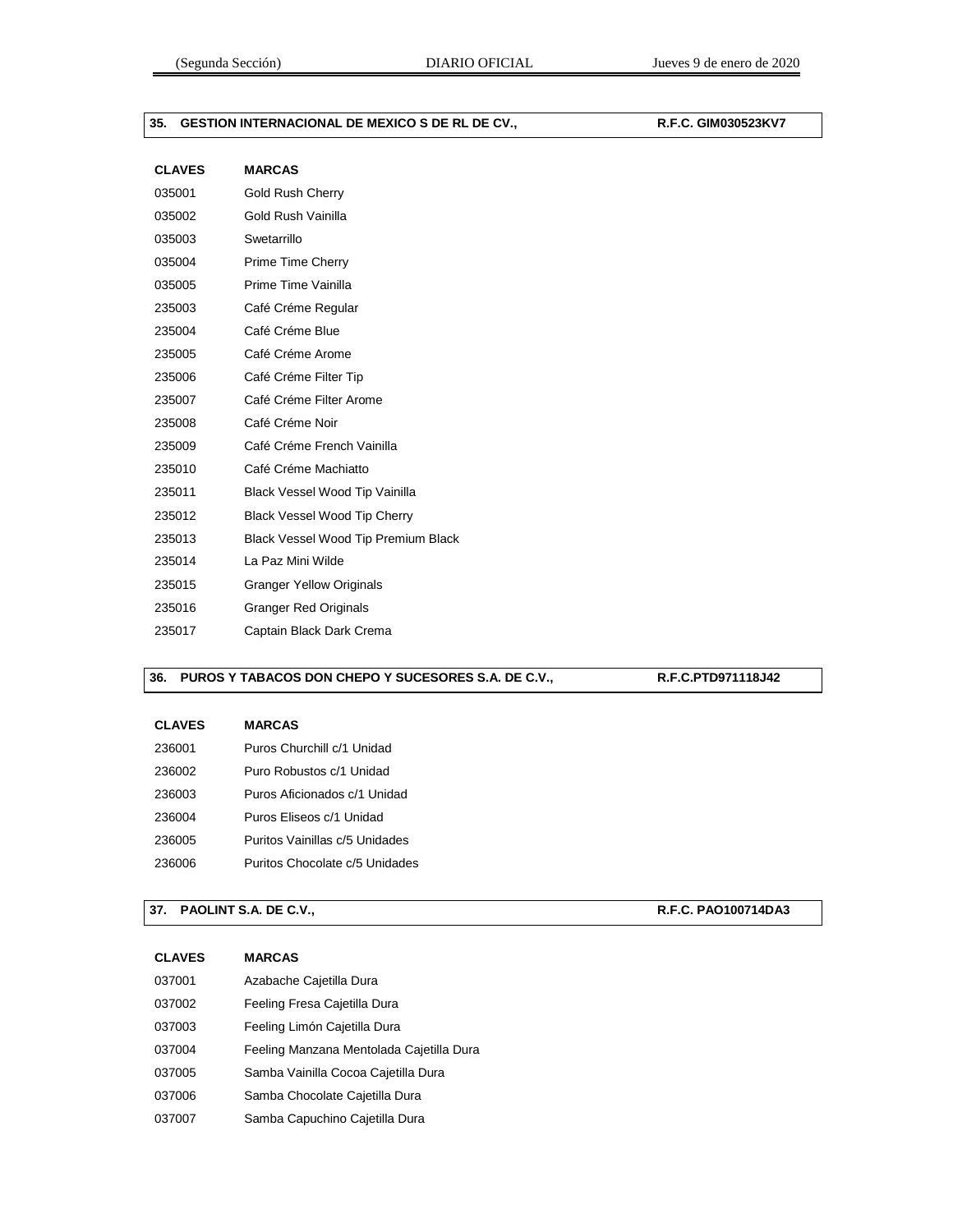## **35. GESTION INTERNACIONAL DE MEXICO S DE RL DE CV., R.F.C. GIM030523KV7**

| <b>CLAVES</b> | <b>MARCAS</b>                       |
|---------------|-------------------------------------|
| 035001        | <b>Gold Rush Cherry</b>             |
| 035002        | Gold Rush Vainilla                  |
| 035003        | Swetarrillo                         |
| 035004        | Prime Time Cherry                   |
| 035005        | Prime Time Vainilla                 |
| 235003        | Café Créme Regular                  |
| 235004        | Café Créme Blue                     |
| 235005        | Café Créme Arome                    |
| 235006        | Café Créme Filter Tip               |
| 235007        | Café Créme Filter Arome             |
| 235008        | Café Créme Noir                     |
| 235009        | Café Créme French Vainilla          |
| 235010        | Café Créme Machiatto                |
| 235011        | Black Vessel Wood Tip Vainilla      |
| 235012        | Black Vessel Wood Tip Cherry        |
| 235013        | Black Vessel Wood Tip Premium Black |
| 235014        | La Paz Mini Wilde                   |
| 235015        | <b>Granger Yellow Originals</b>     |
| 235016        | <b>Granger Red Originals</b>        |
| 235017        | Captain Black Dark Crema            |

## **36. PUROS Y TABACOS DON CHEPO Y SUCESORES S.A. DE C.V., R.F.C.PTD971118J42**

| <b>CLAVES</b> | <b>MARCAS</b>                  |
|---------------|--------------------------------|
| 236001        | Puros Churchill c/1 Unidad     |
| 236002        | Puro Robustos c/1 Unidad       |
| 236003        | Puros Aficionados c/1 Unidad   |
| 236004        | Puros Eliseos c/1 Unidad       |
| 236005        | Puritos Vainillas c/5 Unidades |
| 236006        | Puritos Chocolate c/5 Unidades |

## **37. PAOLINT S.A. DE C.V., R.F.C. PAO100714DA3**

| <b>CLAVES</b> | <b>MARCAS</b>                            |
|---------------|------------------------------------------|
| 037001        | Azabache Cajetilla Dura                  |
| 037002        | Feeling Fresa Cajetilla Dura             |
| 037003        | Feeling Limón Cajetilla Dura             |
| 037004        | Feeling Manzana Mentolada Cajetilla Dura |
| 037005        | Samba Vainilla Cocoa Cajetilla Dura      |
| 037006        | Samba Chocolate Cajetilla Dura           |
| 037007        | Samba Capuchino Cajetilla Dura           |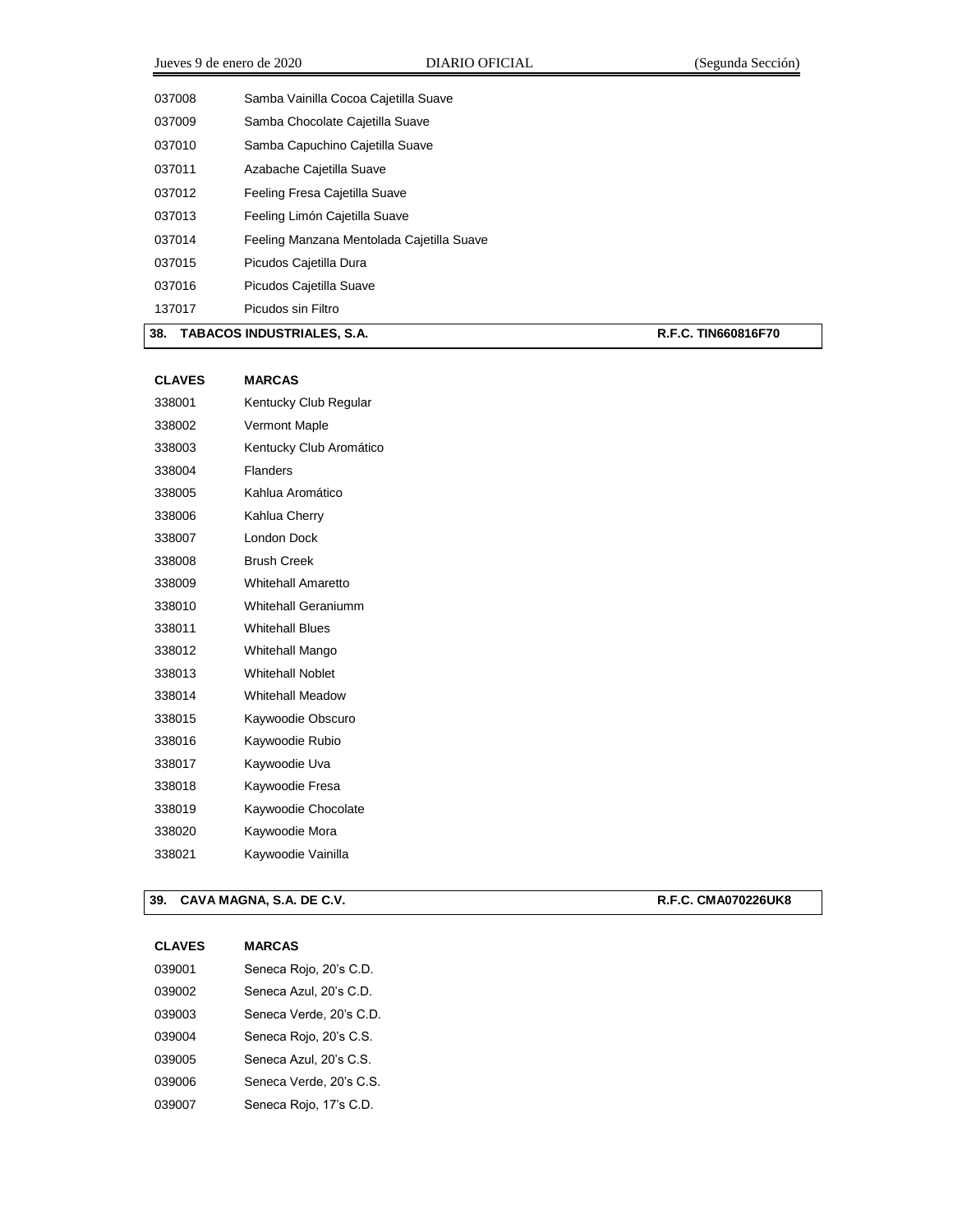Samba Vainilla Cocoa Cajetilla Suave Samba Chocolate Cajetilla Suave Samba Capuchino Cajetilla Suave Azabache Cajetilla Suave Feeling Fresa Cajetilla Suave Feeling Limón Cajetilla Suave Feeling Manzana Mentolada Cajetilla Suave Picudos Cajetilla Dura Picudos Cajetilla Suave Picudos sin Filtro

## **38. TABACOS INDUSTRIALES, S.A. R.F.C. TIN660816F70**

| <b>CLAVES</b> | <b>MARCAS</b>              |
|---------------|----------------------------|
| 338001        | Kentucky Club Regular      |
| 338002        | <b>Vermont Maple</b>       |
| 338003        | Kentucky Club Aromático    |
| 338004        | <b>Flanders</b>            |
| 338005        | Kahlua Aromático           |
| 338006        | Kahlua Cherry              |
| 338007        | London Dock                |
| 338008        | <b>Brush Creek</b>         |
| 338009        | Whitehall Amaretto         |
| 338010        | <b>Whitehall Geraniumm</b> |
| 338011        | <b>Whitehall Blues</b>     |
| 338012        | <b>Whitehall Mango</b>     |
| 338013        | <b>Whitehall Noblet</b>    |
| 338014        | <b>Whitehall Meadow</b>    |
| 338015        | Kaywoodie Obscuro          |
| 338016        | Kaywoodie Rubio            |
| 338017        | Kaywoodie Uva              |
| 338018        | Kaywoodie Fresa            |
| 338019        | Kaywoodie Chocolate        |
| 338020        | Kaywoodie Mora             |
| 338021        | Kaywoodie Vainilla         |
|               |                            |

#### **39. CAVA MAGNA, S.A. DE C.V. R.F.C. CMA070226UK8**

| 039001 | Seneca Rojo, 20's C.D.  |
|--------|-------------------------|
| 039002 | Seneca Azul. 20's C.D.  |
| 039003 | Seneca Verde, 20's C.D. |
| 039004 | Seneca Rojo, 20's C.S.  |
| 039005 | Seneca Azul. 20's C.S.  |
| 039006 | Seneca Verde, 20's C.S. |
| 039007 | Seneca Rojo, 17's C.D.  |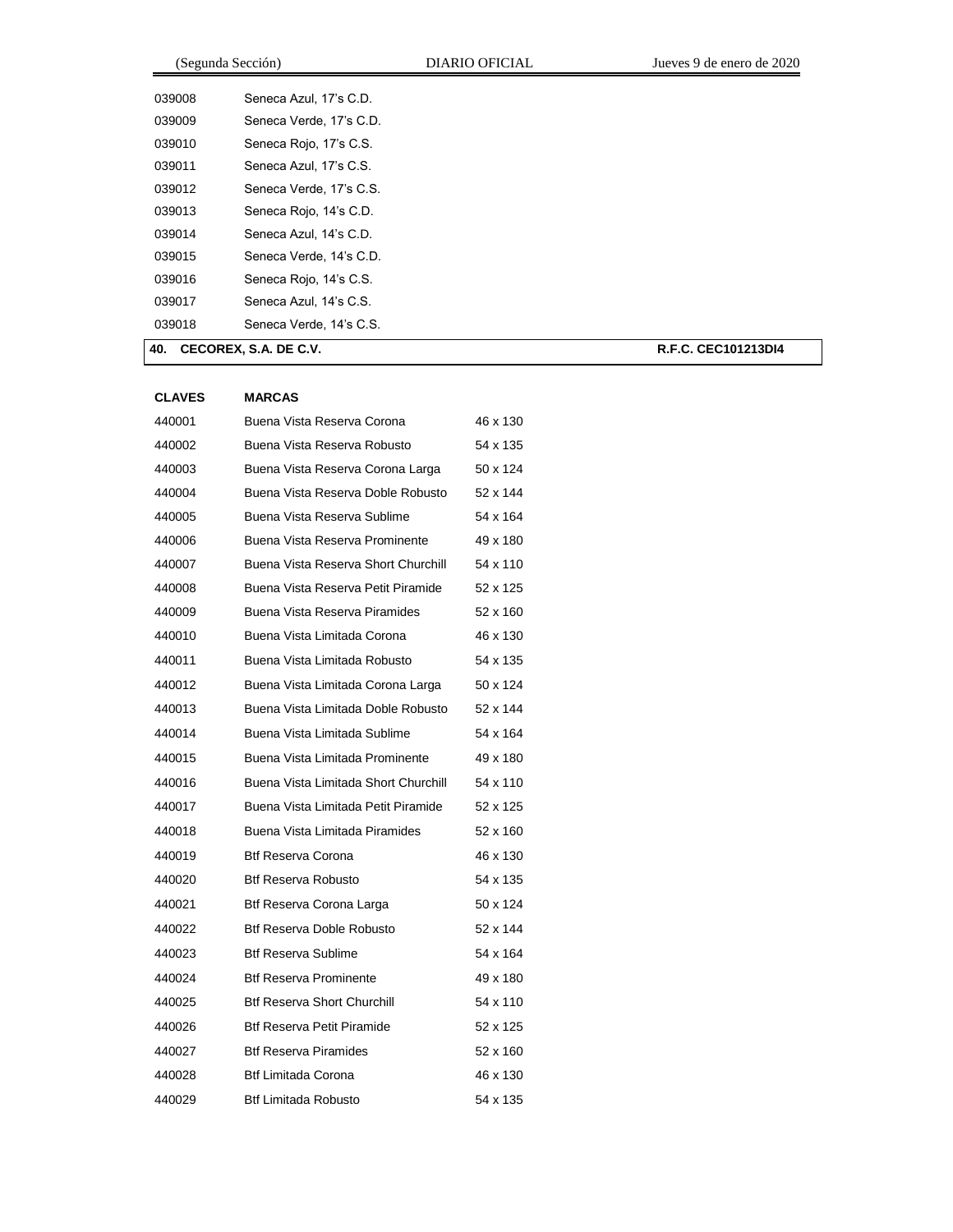|        | (Segunda Sección)       | DIARIO OFICIAL | Jueves 9 de enero de 2020 |
|--------|-------------------------|----------------|---------------------------|
| 039008 | Seneca Azul, 17's C.D.  |                |                           |
| 039009 | Seneca Verde, 17's C.D. |                |                           |
| 039010 | Seneca Rojo, 17's C.S.  |                |                           |
| 039011 | Seneca Azul, 17's C.S.  |                |                           |
| 039012 | Seneca Verde, 17's C.S. |                |                           |
| 039013 | Seneca Rojo, 14's C.D.  |                |                           |
| 039014 | Seneca Azul, 14's C.D.  |                |                           |
| 039015 | Seneca Verde, 14's C.D. |                |                           |
| 039016 | Seneca Rojo, 14's C.S.  |                |                           |
| 039017 | Seneca Azul, 14's C.S.  |                |                           |
| 039018 | Seneca Verde, 14's C.S. |                |                           |
| 40.    | CECOREX, S.A. DE C.V.   |                | R.F.C. CEC101213DI4       |

| <b>CLAVES</b> | <b>MARCAS</b>                        |          |
|---------------|--------------------------------------|----------|
| 440001        | Buena Vista Reserva Corona           | 46 x 130 |
| 440002        | Buena Vista Reserva Robusto          | 54 x 135 |
| 440003        | Buena Vista Reserva Corona Larga     | 50 x 124 |
| 440004        | Buena Vista Reserva Doble Robusto    | 52 x 144 |
| 440005        | Buena Vista Reserva Sublime          | 54 x 164 |
| 440006        | Buena Vista Reserva Prominente       | 49 x 180 |
| 440007        | Buena Vista Reserva Short Churchill  | 54 x 110 |
| 440008        | Buena Vista Reserva Petit Piramide   | 52 x 125 |
| 440009        | Buena Vista Reserva Piramides        | 52 x 160 |
| 440010        | Buena Vista Limitada Corona          | 46 x 130 |
| 440011        | Buena Vista Limitada Robusto         | 54 x 135 |
| 440012        | Buena Vista Limitada Corona Larga    | 50 x 124 |
| 440013        | Buena Vista Limitada Doble Robusto   | 52 x 144 |
| 440014        | Buena Vista Limitada Sublime         | 54 x 164 |
| 440015        | Buena Vista Limitada Prominente      | 49 x 180 |
| 440016        | Buena Vista Limitada Short Churchill | 54 x 110 |
| 440017        | Buena Vista Limitada Petit Piramide  | 52 x 125 |
| 440018        | Buena Vista Limitada Piramides       | 52 x 160 |
| 440019        | <b>Btf Reserva Corona</b>            | 46 x 130 |
| 440020        | <b>Btf Reserva Robusto</b>           | 54 x 135 |
| 440021        | Btf Reserva Corona Larga             | 50 x 124 |
| 440022        | Btf Reserva Doble Robusto            | 52 x 144 |
| 440023        | <b>Btf Reserva Sublime</b>           | 54 x 164 |
| 440024        | <b>Btf Reserva Prominente</b>        | 49 x 180 |
| 440025        | <b>Btf Reserva Short Churchill</b>   | 54 x 110 |
| 440026        | <b>Btf Reserva Petit Piramide</b>    | 52 x 125 |
| 440027        | <b>Btf Reserva Piramides</b>         | 52 x 160 |
| 440028        | <b>Btf Limitada Corona</b>           | 46 x 130 |
| 440029        | <b>Btf Limitada Robusto</b>          | 54 x 135 |
|               |                                      |          |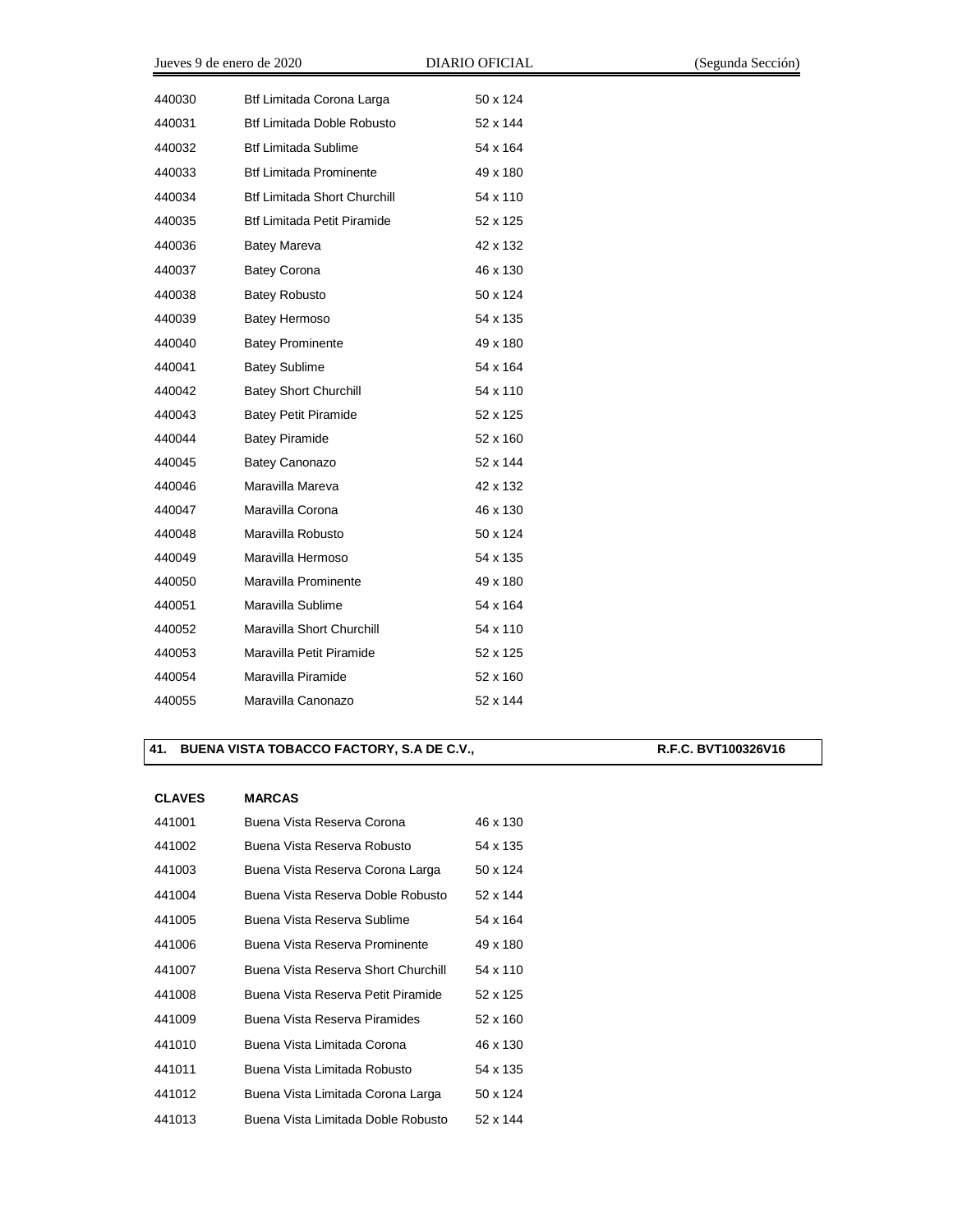| Jueves 9 de enero de 2020 |                                     | <b>DIARIO OFICIAL</b> |
|---------------------------|-------------------------------------|-----------------------|
| 440030                    | Btf Limitada Corona Larga           | 50 x 124              |
|                           |                                     |                       |
| 440031                    | Btf Limitada Doble Robusto          | 52 x 144              |
| 440032                    | <b>Btf Limitada Sublime</b>         | 54 x 164              |
| 440033                    | <b>Btf Limitada Prominente</b>      | 49 x 180              |
| 440034                    | <b>Btf Limitada Short Churchill</b> | 54 x 110              |
| 440035                    | <b>Btf Limitada Petit Piramide</b>  | 52 x 125              |
| 440036                    | Batey Mareva                        | 42 x 132              |
| 440037                    | <b>Batey Corona</b>                 | 46 x 130              |
| 440038                    | <b>Batey Robusto</b>                | 50 x 124              |
| 440039                    | Batey Hermoso                       | 54 x 135              |
| 440040                    | <b>Batey Prominente</b>             | 49 x 180              |
| 440041                    | <b>Batey Sublime</b>                | 54 x 164              |
| 440042                    | <b>Batey Short Churchill</b>        | 54 x 110              |
| 440043                    | <b>Batey Petit Piramide</b>         | 52 x 125              |
| 440044                    | <b>Batey Piramide</b>               | 52 x 160              |
| 440045                    | <b>Batey Canonazo</b>               | 52 x 144              |
| 440046                    | Maravilla Mareva                    | 42 x 132              |
| 440047                    | Maravilla Corona                    | 46 x 130              |
| 440048                    | Maravilla Robusto                   | 50 x 124              |
| 440049                    | Maravilla Hermoso                   | 54 x 135              |
| 440050                    | Maravilla Prominente                | 49 x 180              |
| 440051                    | Maravilla Sublime                   | 54 x 164              |
| 440052                    | Maravilla Short Churchill           | 54 x 110              |
| 440053                    | Maravilla Petit Piramide            | 52 x 125              |
| 440054                    | Maravilla Piramide                  | 52 x 160              |
| 440055                    | Maravilla Canonazo                  | 52 x 144              |

## **41. BUENA VISTA TOBACCO FACTORY, S.A DE C.V., R.F.C. BVT100326V16**

| <b>CLAVES</b> | <b>MARCAS</b>                       |          |
|---------------|-------------------------------------|----------|
| 441001        | Buena Vista Reserva Corona          | 46 x 130 |
| 441002        | Buena Vista Reserva Robusto         | 54 x 135 |
| 441003        | Buena Vista Reserva Corona Larga    | 50 x 124 |
| 441004        | Buena Vista Reserva Doble Robusto   | 52 x 144 |
| 441005        | Buena Vista Reserva Sublime         | 54 x 164 |
| 441006        | Buena Vista Reserva Prominente      | 49 x 180 |
| 441007        | Buena Vista Reserva Short Churchill | 54 x 110 |
| 441008        | Buena Vista Reserva Petit Piramide  | 52 x 125 |
| 441009        | Buena Vista Reserva Piramides       | 52 x 160 |
| 441010        | Buena Vista Limitada Corona         | 46 x 130 |
| 441011        | Buena Vista Limitada Robusto        | 54 x 135 |
| 441012        | Buena Vista Limitada Corona Larga   | 50 x 124 |
| 441013        | Buena Vista Limitada Doble Robusto  | 52 x 144 |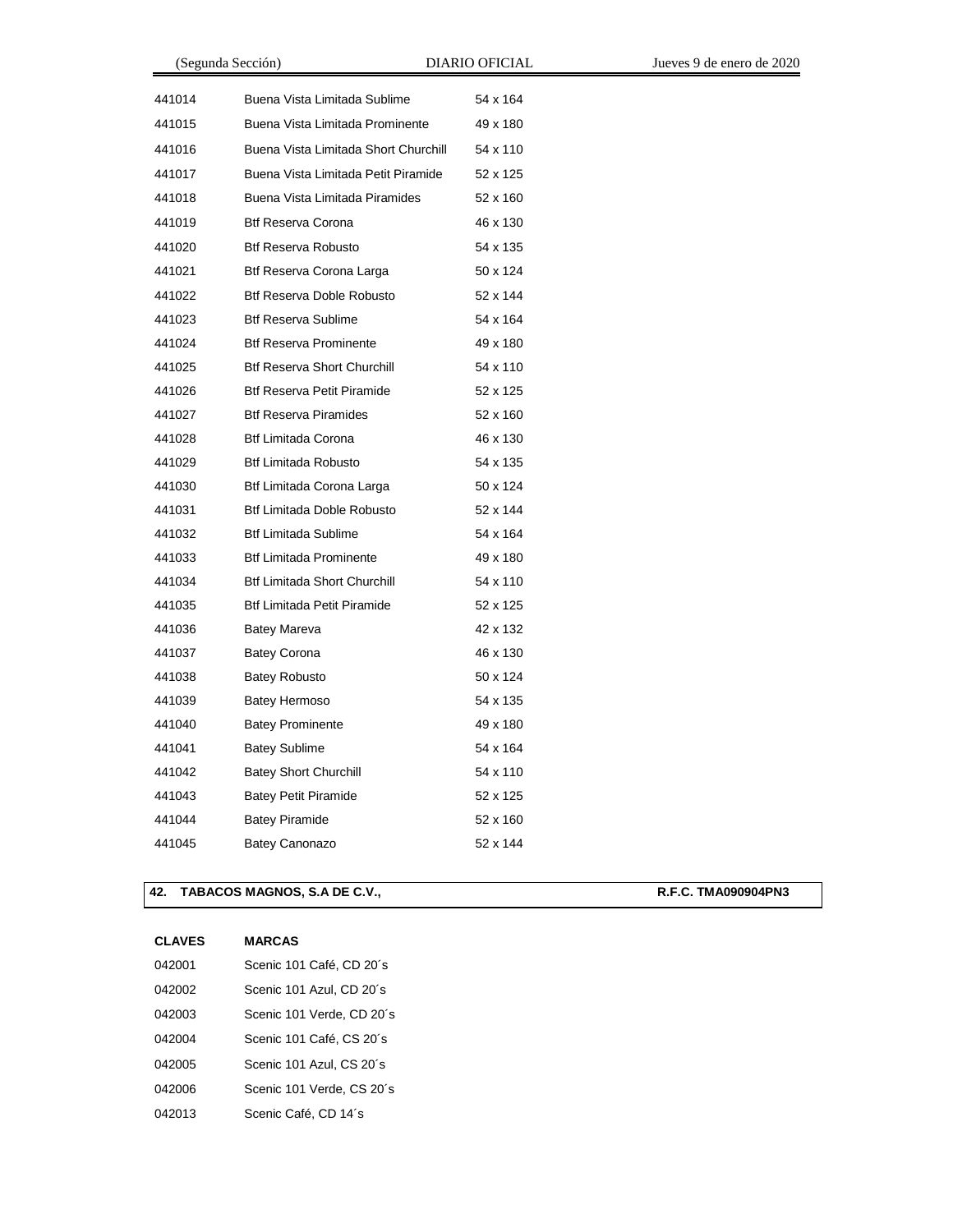| (Segunda Sección) |                                      | <b>DIARIO OFICIAL</b> | Jueves 9 de enero de 2020 |
|-------------------|--------------------------------------|-----------------------|---------------------------|
| 441014            | Buena Vista Limitada Sublime         | 54 x 164              |                           |
| 441015            | Buena Vista Limitada Prominente      | 49 x 180              |                           |
| 441016            | Buena Vista Limitada Short Churchill | 54 x 110              |                           |
| 441017            | Buena Vista Limitada Petit Piramide  | 52 x 125              |                           |
| 441018            | Buena Vista Limitada Piramides       | 52 x 160              |                           |
| 441019            | <b>Btf Reserva Corona</b>            | 46 x 130              |                           |
| 441020            | <b>Btf Reserva Robusto</b>           | 54 x 135              |                           |
| 441021            | Btf Reserva Corona Larga             | 50 x 124              |                           |
| 441022            | <b>Btf Reserva Doble Robusto</b>     | 52 x 144              |                           |
| 441023            | <b>Btf Reserva Sublime</b>           | 54 x 164              |                           |
| 441024            | <b>Btf Reserva Prominente</b>        | 49 x 180              |                           |
| 441025            | <b>Btf Reserva Short Churchill</b>   | 54 x 110              |                           |
| 441026            | <b>Btf Reserva Petit Piramide</b>    | 52 x 125              |                           |
| 441027            | <b>Btf Reserva Piramides</b>         | 52 x 160              |                           |
| 441028            | <b>Btf Limitada Corona</b>           | 46 x 130              |                           |
| 441029            | <b>Btf Limitada Robusto</b>          | 54 x 135              |                           |
| 441030            | Btf Limitada Corona Larga            | 50 x 124              |                           |
| 441031            | Btf Limitada Doble Robusto           | 52 x 144              |                           |
| 441032            | <b>Btf Limitada Sublime</b>          | 54 x 164              |                           |
| 441033            | <b>Btf Limitada Prominente</b>       | 49 x 180              |                           |
| 441034            | <b>Btf Limitada Short Churchill</b>  | 54 x 110              |                           |
| 441035            | <b>Btf Limitada Petit Piramide</b>   | 52 x 125              |                           |
| 441036            | <b>Batey Mareva</b>                  | 42 x 132              |                           |
| 441037            | <b>Batey Corona</b>                  | 46 x 130              |                           |
| 441038            | <b>Batey Robusto</b>                 | 50 x 124              |                           |
| 441039            | Batey Hermoso                        | 54 x 135              |                           |
| 441040            | <b>Batey Prominente</b>              | 49 x 180              |                           |
| 441041            | <b>Batey Sublime</b>                 | 54 x 164              |                           |
| 441042            | <b>Batey Short Churchill</b>         | 54 x 110              |                           |
| 441043            | <b>Batey Petit Piramide</b>          | 52 x 125              |                           |
| 441044            | <b>Batey Piramide</b>                | 52 x 160              |                           |
| 441045            | <b>Batey Canonazo</b>                | 52 x 144              |                           |

## 42. TABACOS MAGNOS, S.A DE C.V., **R.F.C. TMA090904PN3**

| 042001 | Scenic 101 Café, CD 20's  |
|--------|---------------------------|
| 042002 | Scenic 101 Azul, CD 20's  |
| 042003 | Scenic 101 Verde, CD 20's |
| 042004 | Scenic 101 Café, CS 20's  |
| 042005 | Scenic 101 Azul, CS 20's  |
| 042006 | Scenic 101 Verde, CS 20's |
| 042013 | Scenic Café, CD 14's      |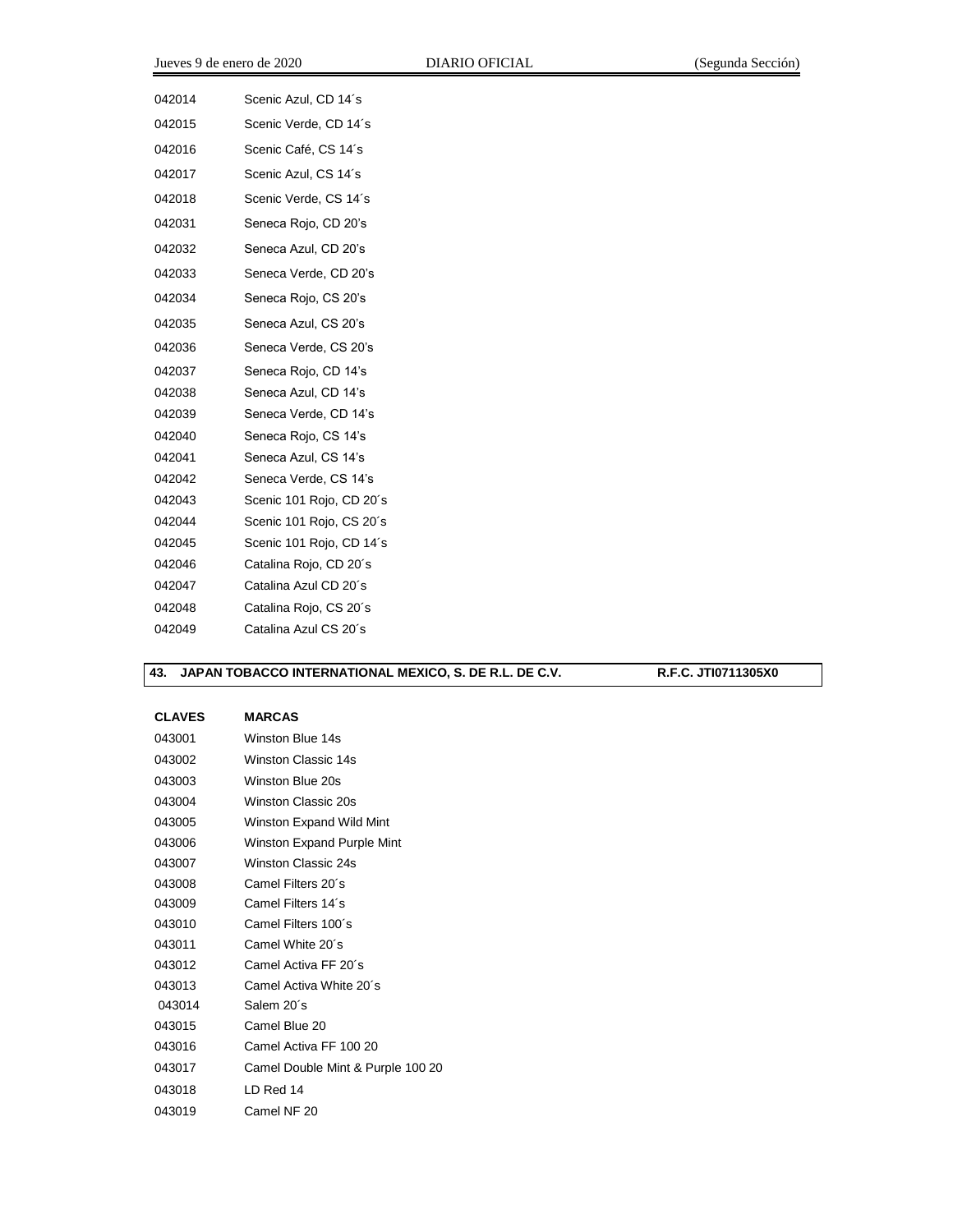| 042014 | Scenic Azul, CD 14's     |
|--------|--------------------------|
| 042015 | Scenic Verde, CD 14's    |
| 042016 | Scenic Café, CS 14's     |
| 042017 | Scenic Azul, CS 14's     |
| 042018 | Scenic Verde, CS 14's    |
| 042031 | Seneca Rojo, CD 20's     |
| 042032 | Seneca Azul, CD 20's     |
| 042033 | Seneca Verde, CD 20's    |
| 042034 | Seneca Rojo, CS 20's     |
| 042035 | Seneca Azul, CS 20's     |
| 042036 | Seneca Verde, CS 20's    |
| 042037 | Seneca Rojo, CD 14's     |
| 042038 | Seneca Azul, CD 14's     |
| 042039 | Seneca Verde, CD 14's    |
| 042040 | Seneca Rojo, CS 14's     |
| 042041 | Seneca Azul, CS 14's     |
| 042042 | Seneca Verde, CS 14's    |
| 042043 | Scenic 101 Rojo, CD 20's |
| 042044 | Scenic 101 Rojo, CS 20's |
| 042045 | Scenic 101 Rojo, CD 14's |
| 042046 | Catalina Rojo, CD 20's   |
| 042047 | Catalina Azul CD 20's    |
| 042048 | Catalina Rojo, CS 20's   |
| 042049 | Catalina Azul CS 20's    |

## **43. JAPAN TOBACCO INTERNATIONAL MEXICO, S. DE R.L. DE C.V. R.F.C. JTI0711305X0**

| 043001 | Winston Blue 14s                  |
|--------|-----------------------------------|
| 043002 | Winston Classic 14s               |
| 043003 | Winston Blue 20s                  |
| 043004 | Winston Classic 20s               |
| 043005 | Winston Expand Wild Mint          |
| 043006 | Winston Expand Purple Mint        |
| 043007 | Winston Classic 24s               |
| 043008 | Camel Filters 20´s                |
| 043009 | Camel Filters 14´s                |
| 043010 | Camel Filters 100's               |
| 043011 | Camel White 20's                  |
| 043012 | Camel Activa FF 20's              |
| 043013 | Camel Activa White 20's           |
| 043014 | Salem 20´s                        |
| 043015 | Camel Blue 20                     |
| 043016 | Camel Activa FF 100 20            |
| 043017 | Camel Double Mint & Purple 100 20 |
| 043018 | I D Red 14                        |
| 043019 | Camel NF 20                       |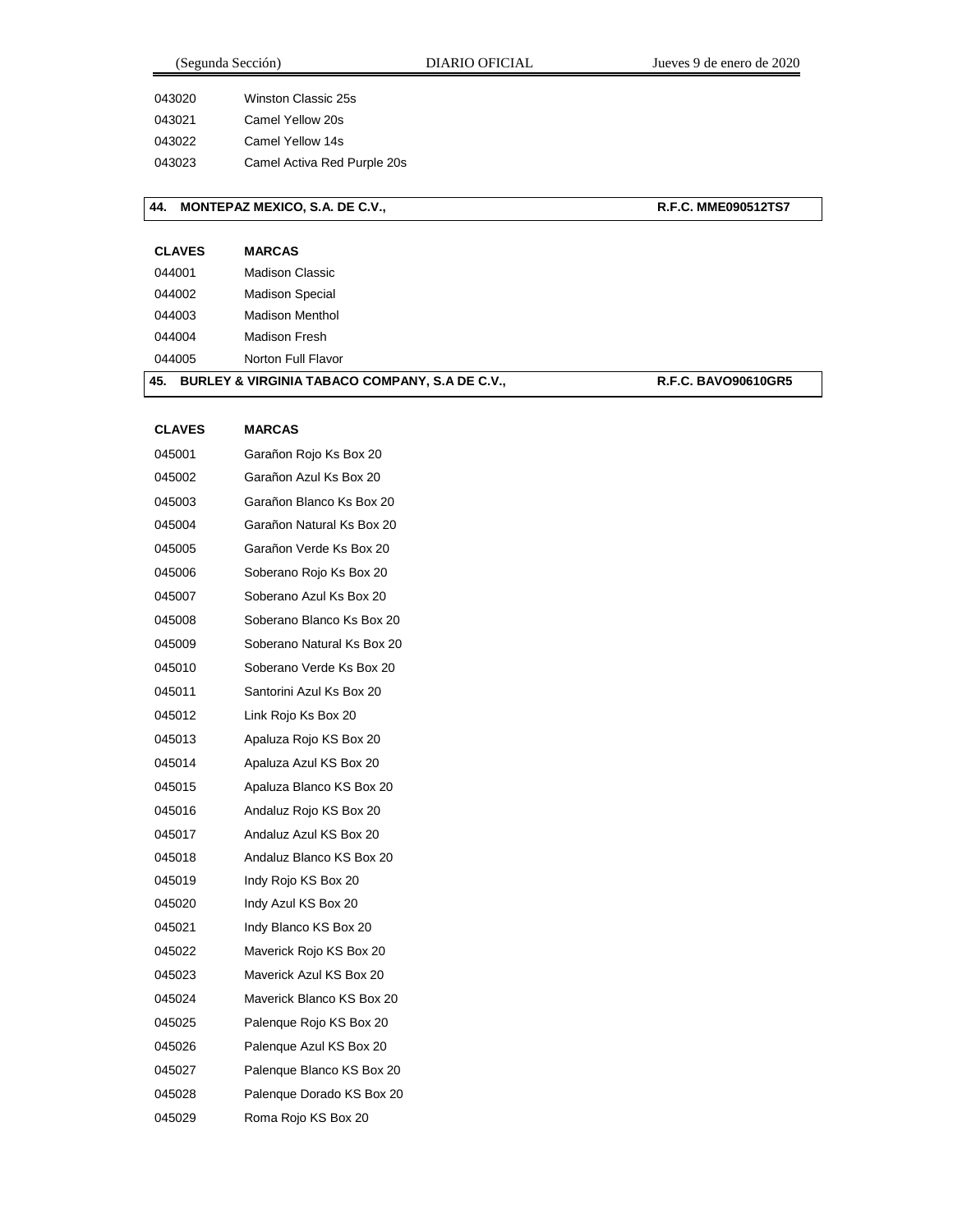| 043020 | Winston Classic 25s         |
|--------|-----------------------------|
| 043021 | Camel Yellow 20s            |
| 043022 | Camel Yellow 14s            |
| 043023 | Camel Activa Red Purple 20s |
|        |                             |

## **44. MONTEPAZ MEXICO, S.A. DE C.V., R.F.C. MME090512TS7**

| <b>CLAVES</b> | <b>MARCAS</b>          |
|---------------|------------------------|
| 044001        | Madison Classic        |
| 044002        | <b>Madison Special</b> |
| 044003        | Madison Menthol        |
| 044004        | Madison Fresh          |
|               |                        |

Norton Full Flavor

## 45. **BURLEY & VIRGINIA TABACO COMPANY, S.A DE C.V., R.F.C. BAVO90610GR5**

| <b>CLAVES</b> | <b>MARCAS</b>              |
|---------------|----------------------------|
| 045001        | Garañon Rojo Ks Box 20     |
| 045002        | Garañon Azul Ks Box 20     |
| 045003        | Garañon Blanco Ks Box 20   |
| 045004        | Garañon Natural Ks Box 20  |
| 045005        | Garañon Verde Ks Box 20    |
| 045006        | Soberano Rojo Ks Box 20    |
| 045007        | Soberano Azul Ks Box 20    |
| 045008        | Soberano Blanco Ks Box 20  |
| 045009        | Soberano Natural Ks Box 20 |
| 045010        | Soberano Verde Ks Box 20   |
| 045011        | Santorini Azul Ks Box 20   |
| 045012        | Link Rojo Ks Box 20        |
| 045013        | Apaluza Rojo KS Box 20     |
| 045014        | Apaluza Azul KS Box 20     |
| 045015        | Apaluza Blanco KS Box 20   |
| 045016        | Andaluz Rojo KS Box 20     |
| 045017        | Andaluz Azul KS Box 20     |
| 045018        | Andaluz Blanco KS Box 20   |
| 045019        | Indy Rojo KS Box 20        |
| 045020        | Indy Azul KS Box 20        |
| 045021        | Indy Blanco KS Box 20      |
| 045022        | Maverick Rojo KS Box 20    |
| 045023        | Maverick Azul KS Box 20    |
| 045024        | Maverick Blanco KS Box 20  |
| 045025        | Palenque Rojo KS Box 20    |
| 045026        | Palenque Azul KS Box 20    |
| 045027        | Palenque Blanco KS Box 20  |
| 045028        | Palenque Dorado KS Box 20  |
| 045029        | Roma Rojo KS Box 20        |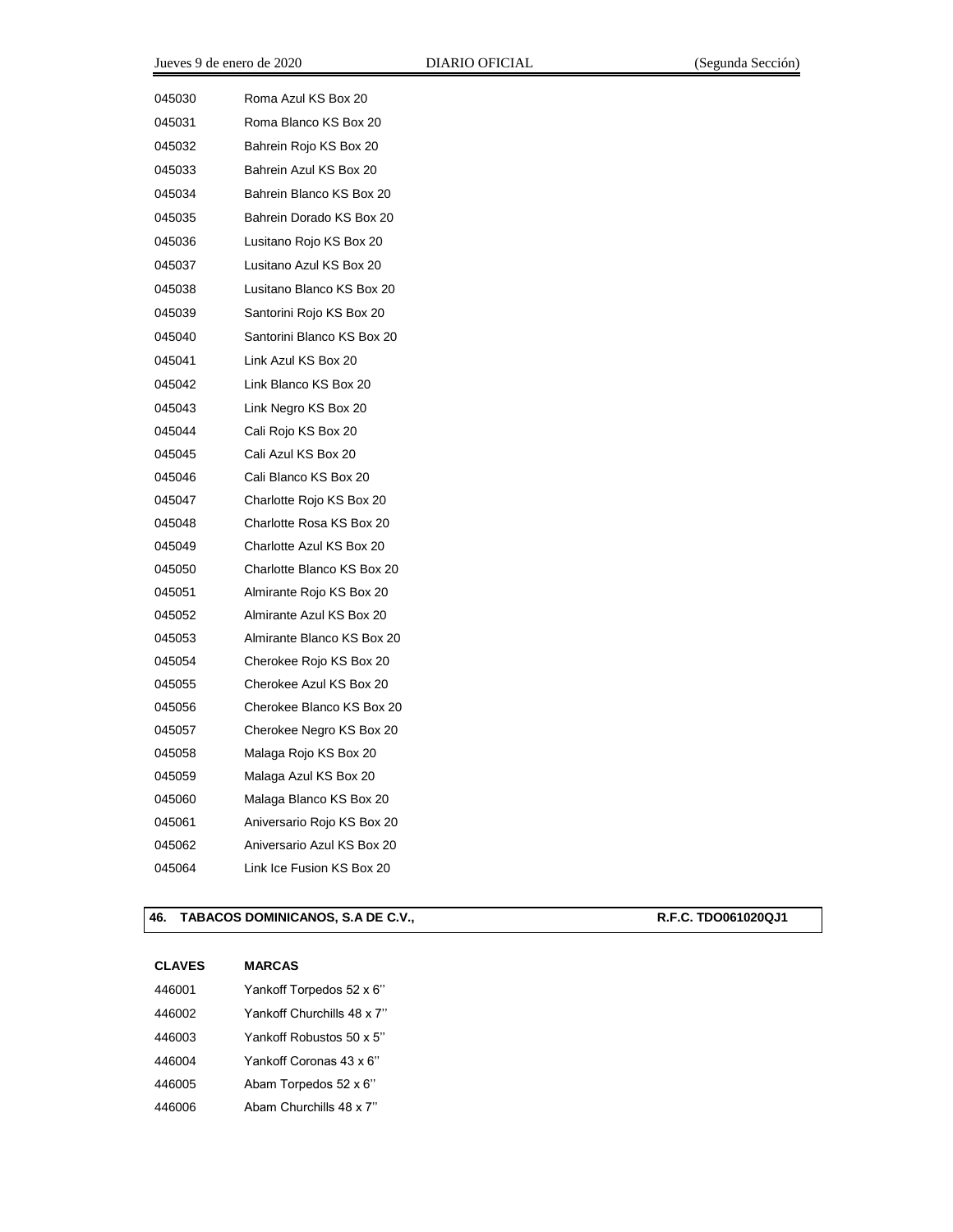| 045030 | Roma Azul KS Box 20        |
|--------|----------------------------|
| 045031 | Roma Blanco KS Box 20      |
| 045032 | Bahrein Rojo KS Box 20     |
| 045033 | Bahrein Azul KS Box 20     |
| 045034 | Bahrein Blanco KS Box 20   |
| 045035 | Bahrein Dorado KS Box 20   |
| 045036 | Lusitano Rojo KS Box 20    |
| 045037 | Lusitano Azul KS Box 20    |
| 045038 | Lusitano Blanco KS Box 20  |
| 045039 | Santorini Rojo KS Box 20   |
| 045040 | Santorini Blanco KS Box 20 |
| 045041 | Link Azul KS Box 20        |
| 045042 | Link Blanco KS Box 20      |
| 045043 | Link Negro KS Box 20       |
| 045044 | Cali Rojo KS Box 20        |
| 045045 | Cali Azul KS Box 20        |
| 045046 | Cali Blanco KS Box 20      |
| 045047 | Charlotte Rojo KS Box 20   |
| 045048 | Charlotte Rosa KS Box 20   |
| 045049 | Charlotte Azul KS Box 20   |
| 045050 | Charlotte Blanco KS Box 20 |
| 045051 | Almirante Rojo KS Box 20   |
| 045052 | Almirante Azul KS Box 20   |
| 045053 | Almirante Blanco KS Box 20 |
| 045054 | Cherokee Rojo KS Box 20    |
| 045055 | Cherokee Azul KS Box 20    |
| 045056 | Cherokee Blanco KS Box 20  |
| 045057 | Cherokee Negro KS Box 20   |
| 045058 | Malaga Rojo KS Box 20      |
| 045059 | Malaga Azul KS Box 20      |
| 045060 | Malaga Blanco KS Box 20    |
| 045061 | Aniversario Rojo KS Box 20 |
| 045062 | Aniversario Azul KS Box 20 |
| 045064 | Link Ice Fusion KS Box 20  |

## **46. TABACOS DOMINICANOS, S.A DE C.V., R.F.C. TDO061020QJ1**

| 446001 | Yankoff Torpedos 52 x 6"   |
|--------|----------------------------|
| 446002 | Yankoff Churchills 48 x 7" |
| 446003 | Yankoff Robustos 50 x 5"   |
| 446004 | Yankoff Coronas 43 x 6"    |
| 446005 | Abam Torpedos 52 x 6"      |
| 446006 | Abam Churchills 48 x 7"    |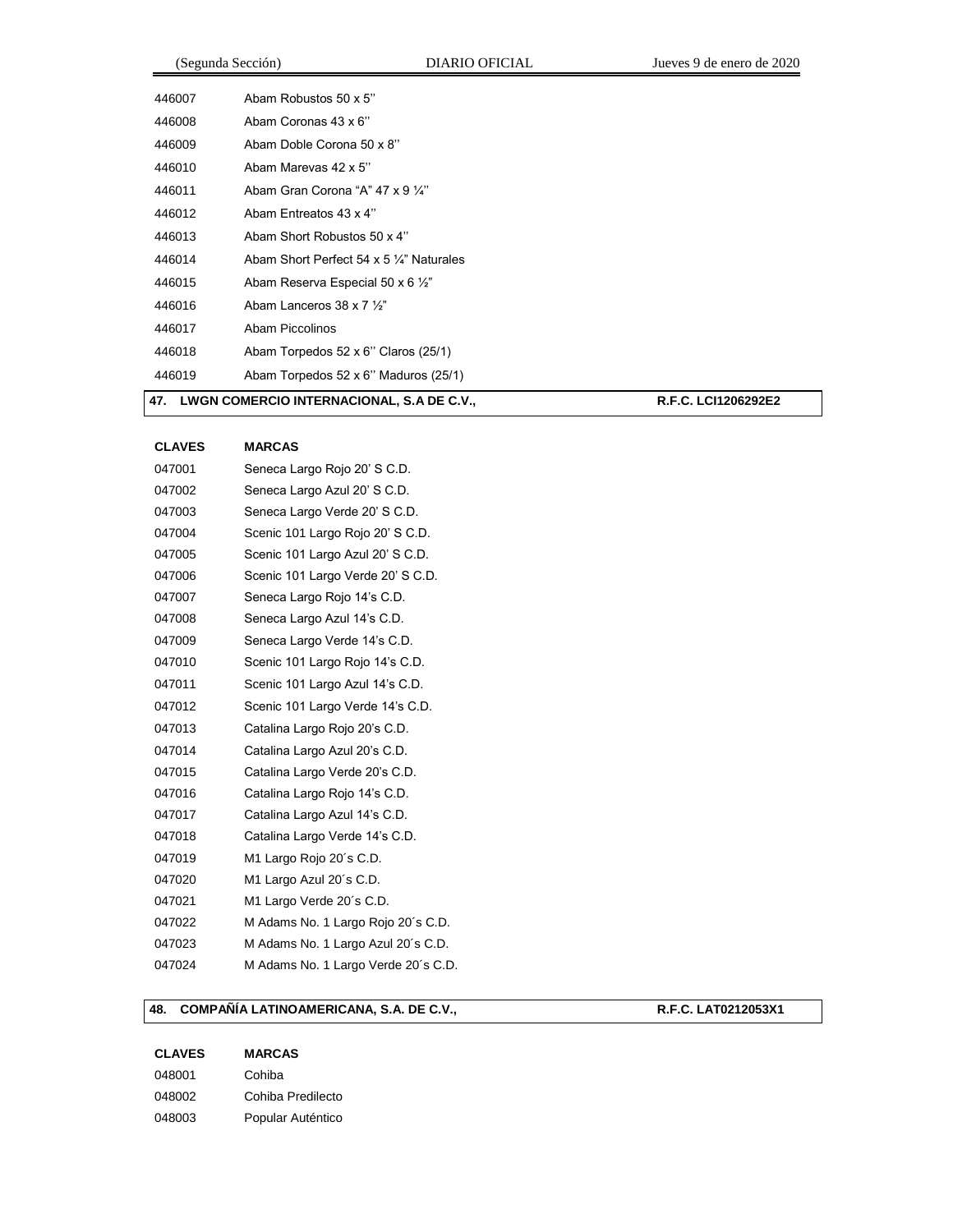|        | (Segunda Sección)                                   | DIARIO OFICIAL | Jueves 9 de enero de 2020 |
|--------|-----------------------------------------------------|----------------|---------------------------|
| 446007 | Abam Robustos 50 x 5"                               |                |                           |
| 446008 | Abam Coronas 43 x 6"                                |                |                           |
| 446009 | Abam Doble Corona 50 x 8"                           |                |                           |
| 446010 | Abam Marevas 42 x 5"                                |                |                           |
| 446011 | Abam Gran Corona "A" 47 x 9 1/4"                    |                |                           |
| 446012 | Abam Entreatos 43 x 4"                              |                |                           |
| 446013 | Abam Short Robustos 50 x 4"                         |                |                           |
| 446014 | Abam Short Perfect 54 x 5 $\frac{1}{4}$ " Naturales |                |                           |
| 446015 | Abam Reserva Especial 50 x 6 $\frac{1}{2}$ "        |                |                           |
| 446016 | Abam Lanceros 38 x 7 1/ <sub>2</sub> "              |                |                           |
| 446017 | Abam Piccolinos                                     |                |                           |
| 446018 | Abam Torpedos 52 x 6" Claros (25/1)                 |                |                           |
| 446019 | Abam Torpedos 52 x 6" Maduros (25/1)                |                |                           |
|        | 47. LWGN COMERCIO INTERNACIONAL, S.A DE C.V.,       |                | R.F.C. LCI1206292E2       |

# **CLAVES MARCAS** Seneca Largo Rojo 20' S C.D. 047002 Seneca Largo Azul 20' S C.D. Seneca Largo Verde 20' S C.D. Scenic 101 Largo Rojo 20' S C.D. Scenic 101 Largo Azul 20' S C.D. Scenic 101 Largo Verde 20' S C.D. Seneca Largo Rojo 14's C.D. Seneca Largo Azul 14's C.D. Seneca Largo Verde 14's C.D. Scenic 101 Largo Rojo 14's C.D. Scenic 101 Largo Azul 14's C.D. Scenic 101 Largo Verde 14's C.D. Catalina Largo Rojo 20's C.D. Catalina Largo Azul 20's C.D. Catalina Largo Verde 20's C.D. Catalina Largo Rojo 14's C.D. Catalina Largo Azul 14's C.D. Catalina Largo Verde 14's C.D. M1 Largo Rojo 20´s C.D. M1 Largo Azul 20´s C.D. M1 Largo Verde 20´s C.D. M Adams No. 1 Largo Rojo 20´s C.D. M Adams No. 1 Largo Azul 20´s C.D. M Adams No. 1 Largo Verde 20´s C.D.

#### **48. COMPAÑÍA LATINOAMERICANA, S.A. DE C.V., R.F.C. LAT0212053X1**

## **CLAVES MARCAS** Cohiba Cohiba Predilecto Popular Auténtico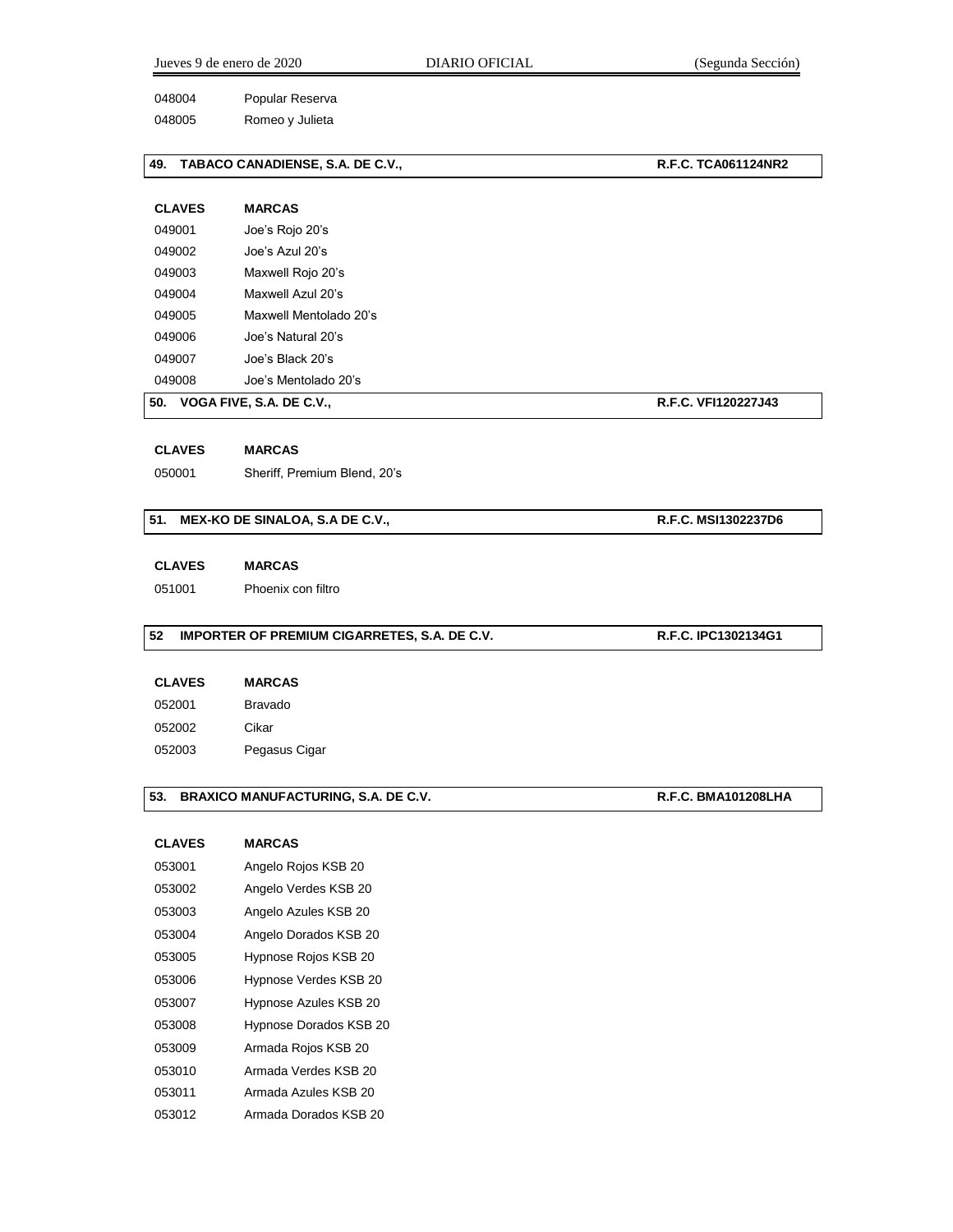|               | Jueves 9 de enero de 2020<br>DIARIO OFICIAL  | (Segunda Sección)          |
|---------------|----------------------------------------------|----------------------------|
| 048004        | Popular Reserva                              |                            |
| 048005        | Romeo y Julieta                              |                            |
| 49.           | TABACO CANADIENSE, S.A. DE C.V.,             | <b>R.F.C. TCA061124NR2</b> |
| <b>CLAVES</b> | <b>MARCAS</b>                                |                            |
| 049001        | Joe's Rojo 20's                              |                            |
| 049002        | Joe's Azul 20's                              |                            |
| 049003        | Maxwell Rojo 20's                            |                            |
| 049004        | Maxwell Azul 20's                            |                            |
| 049005        | Maxwell Mentolado 20's                       |                            |
| 049006        | Joe's Natural 20's                           |                            |
| 049007        | Joe's Black 20's                             |                            |
| 049008        | Joe's Mentolado 20's                         |                            |
|               | 50. VOGA FIVE, S.A. DE C.V.,                 | R.F.C. VFI120227J43        |
| <b>CLAVES</b> | <b>MARCAS</b>                                |                            |
| 050001        | Sheriff, Premium Blend, 20's                 |                            |
| 51.           | MEX-KO DE SINALOA, S.A DE C.V.,              | R.F.C. MSI1302237D6        |
| <b>CLAVES</b> | <b>MARCAS</b>                                |                            |
| 051001        | Phoenix con filtro                           |                            |
| 52            | IMPORTER OF PREMIUM CIGARRETES, S.A. DE C.V. | R.F.C. IPC1302134G1        |
| <b>CLAVES</b> | <b>MARCAS</b>                                |                            |
| 052001        | <b>Bravado</b>                               |                            |
| 052002        | Cikar                                        |                            |
|               |                                              |                            |

## **53. BRAXICO MANUFACTURING, S.A. DE C.V. R.F.C. BMA101208LHA**

| 053001 | Angelo Rojos KSB 20    |
|--------|------------------------|
| 053002 | Angelo Verdes KSB 20   |
| 053003 | Angelo Azules KSB 20   |
| 053004 | Angelo Dorados KSB 20  |
| 053005 | Hypnose Rojos KSB 20   |
| 053006 | Hypnose Verdes KSB 20  |
| 053007 | Hypnose Azules KSB 20  |
| 053008 | Hypnose Dorados KSB 20 |
| 053009 | Armada Rojos KSB 20    |
| 053010 | Armada Verdes KSB 20   |
| 053011 | Armada Azules KSB 20   |
| 053012 | Armada Dorados KSB 20  |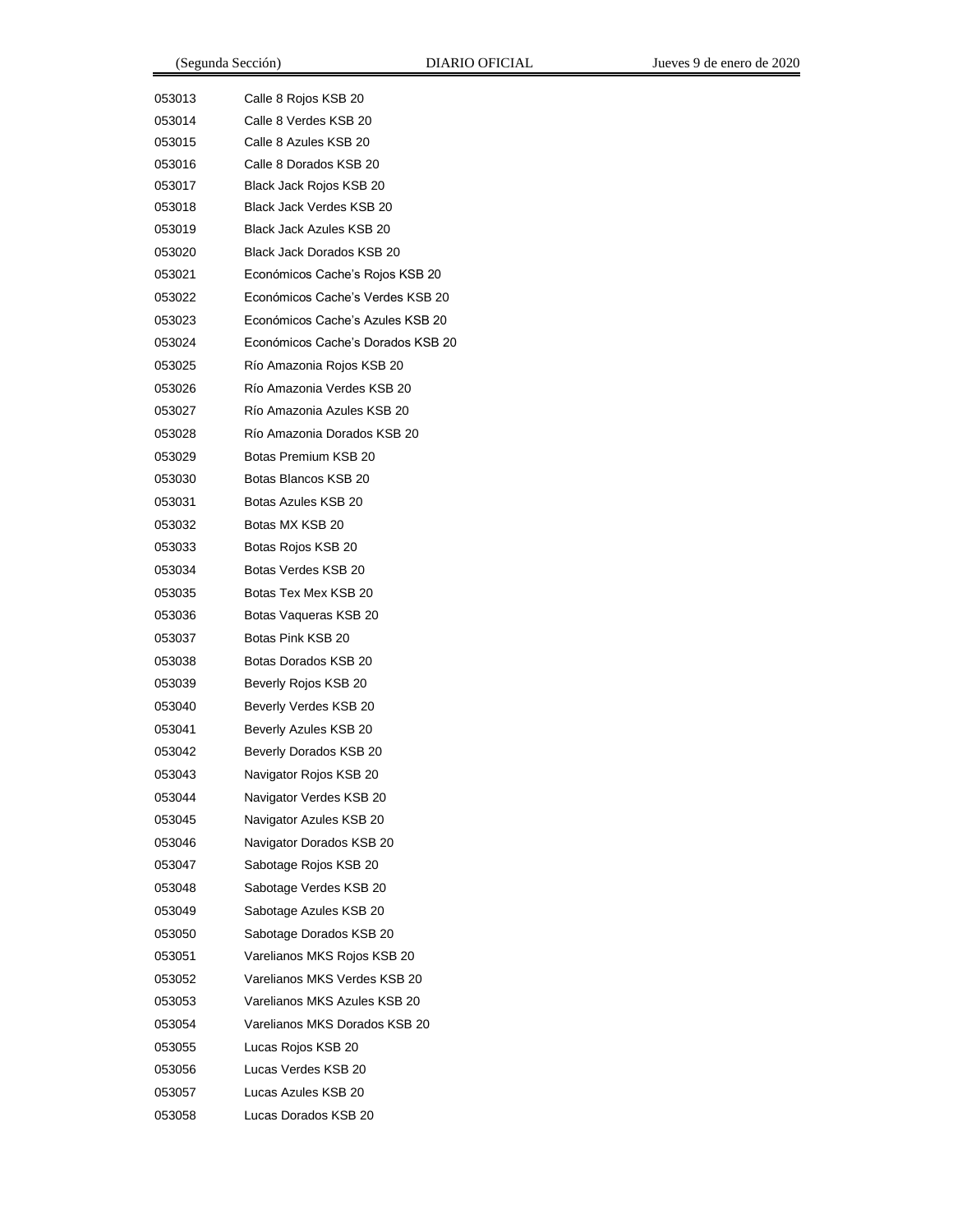| 053013 | Calle 8 Rojos KSB 20              |
|--------|-----------------------------------|
| 053014 | Calle 8 Verdes KSB 20             |
| 053015 | Calle 8 Azules KSB 20             |
| 053016 | Calle 8 Dorados KSB 20            |
| 053017 | Black Jack Rojos KSB 20           |
| 053018 | Black Jack Verdes KSB 20          |
| 053019 | Black Jack Azules KSB 20          |
| 053020 | Black Jack Dorados KSB 20         |
| 053021 | Económicos Cache's Rojos KSB 20   |
| 053022 | Económicos Cache's Verdes KSB 20  |
| 053023 | Económicos Cache's Azules KSB 20  |
| 053024 | Económicos Cache's Dorados KSB 20 |
| 053025 | Río Amazonia Rojos KSB 20         |
| 053026 | Río Amazonia Verdes KSB 20        |
| 053027 | Río Amazonia Azules KSB 20        |
| 053028 | Río Amazonia Dorados KSB 20       |
| 053029 | Botas Premium KSB 20              |
| 053030 | Botas Blancos KSB 20              |
| 053031 | Botas Azules KSB 20               |
| 053032 | Botas MX KSB 20                   |
| 053033 | Botas Rojos KSB 20                |
| 053034 | Botas Verdes KSB 20               |
| 053035 | Botas Tex Mex KSB 20              |
| 053036 | Botas Vaqueras KSB 20             |
| 053037 | Botas Pink KSB 20                 |
| 053038 | Botas Dorados KSB 20              |
| 053039 | Beverly Rojos KSB 20              |
| 053040 | Beverly Verdes KSB 20             |
| 053041 | Beverly Azules KSB 20             |
| 053042 | Beverly Dorados KSB 20            |
| 053043 | Navigator Rojos KSB 20            |
| 053044 | Navigator Verdes KSB 20           |
| 053045 | Navigator Azules KSB 20           |
| 053046 | Navigator Dorados KSB 20          |
| 053047 | Sabotage Rojos KSB 20             |
| 053048 | Sabotage Verdes KSB 20            |
| 053049 | Sabotage Azules KSB 20            |
| 053050 | Sabotage Dorados KSB 20           |
| 053051 | Varelianos MKS Rojos KSB 20       |
| 053052 | Varelianos MKS Verdes KSB 20      |
| 053053 | Varelianos MKS Azules KSB 20      |
| 053054 | Varelianos MKS Dorados KSB 20     |
| 053055 | Lucas Rojos KSB 20                |
| 053056 | Lucas Verdes KSB 20               |
| 053057 | Lucas Azules KSB 20               |
| 053058 | Lucas Dorados KSB 20              |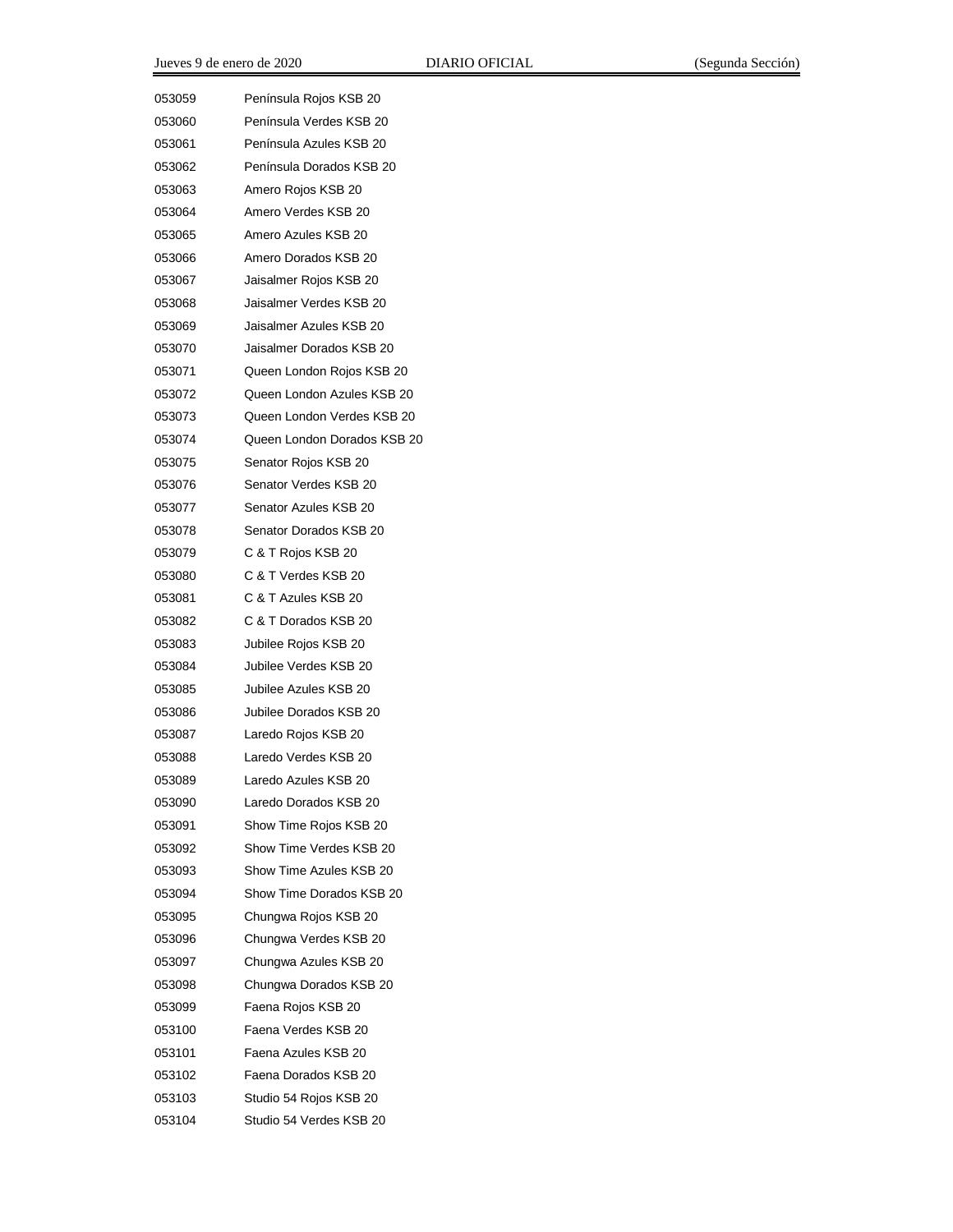| 053059 | Península Rojos KSB 20      |
|--------|-----------------------------|
| 053060 | Península Verdes KSB 20     |
| 053061 | Península Azules KSB 20     |
| 053062 | Península Dorados KSB 20    |
| 053063 | Amero Rojos KSB 20          |
| 053064 | Amero Verdes KSB 20         |
| 053065 | Amero Azules KSB 20         |
| 053066 | Amero Dorados KSB 20        |
| 053067 | Jaisalmer Rojos KSB 20      |
| 053068 | Jaisalmer Verdes KSB 20     |
| 053069 | Jaisalmer Azules KSB 20     |
| 053070 | Jaisalmer Dorados KSB 20    |
| 053071 | Queen London Rojos KSB 20   |
| 053072 | Queen London Azules KSB 20  |
| 053073 | Queen London Verdes KSB 20  |
| 053074 | Queen London Dorados KSB 20 |
| 053075 | Senator Rojos KSB 20        |
| 053076 | Senator Verdes KSB 20       |
| 053077 | Senator Azules KSB 20       |
| 053078 | Senator Dorados KSB 20      |
| 053079 | C & T Rojos KSB 20          |
| 053080 | C & T Verdes KSB 20         |
| 053081 | C & T Azules KSB 20         |
| 053082 | C & T Dorados KSB 20        |
| 053083 | Jubilee Rojos KSB 20        |
| 053084 | Jubilee Verdes KSB 20       |
| 053085 | Jubilee Azules KSB 20       |
| 053086 | Jubilee Dorados KSB 20      |
| 053087 | Laredo Rojos KSB 20         |
| 053088 | Laredo Verdes KSB 20        |
| 053089 | Laredo Azules KSB 20        |
| 053090 | Laredo Dorados KSB 20       |
| 053091 | Show Time Rojos KSB 20      |
| 053092 | Show Time Verdes KSB 20     |
| 053093 | Show Time Azules KSB 20     |
| 053094 | Show Time Dorados KSB 20    |
| 053095 | Chungwa Rojos KSB 20        |
| 053096 | Chungwa Verdes KSB 20       |
| 053097 | Chungwa Azules KSB 20       |
| 053098 | Chungwa Dorados KSB 20      |
| 053099 | Faena Rojos KSB 20          |
| 053100 | Faena Verdes KSB 20         |
| 053101 | Faena Azules KSB 20         |
| 053102 | Faena Dorados KSB 20        |
| 053103 | Studio 54 Rojos KSB 20      |
| 053104 | Studio 54 Verdes KSB 20     |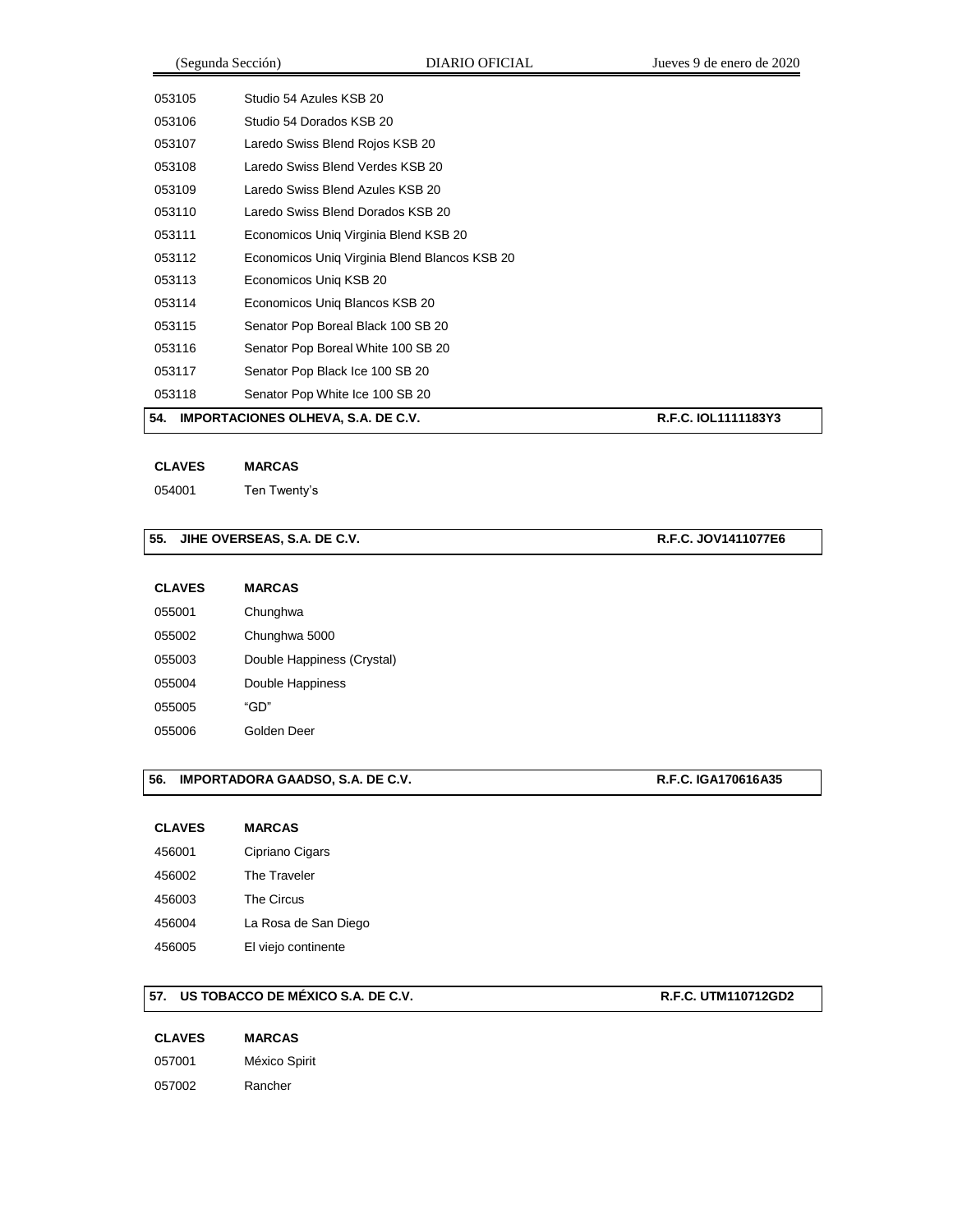| 54.    | <b>IMPORTACIONES OLHEVA, S.A. DE C.V.</b>     | R.F.C. IOL1111183Y3 |
|--------|-----------------------------------------------|---------------------|
| 053118 | Senator Pop White Ice 100 SB 20               |                     |
| 053117 | Senator Pop Black Ice 100 SB 20               |                     |
| 053116 | Senator Pop Boreal White 100 SB 20            |                     |
| 053115 | Senator Pop Boreal Black 100 SB 20            |                     |
| 053114 | Economicos Unig Blancos KSB 20                |                     |
| 053113 | Economicos Uniq KSB 20                        |                     |
| 053112 | Economicos Uniq Virginia Blend Blancos KSB 20 |                     |
| 053111 | Economicos Uniq Virginia Blend KSB 20         |                     |
| 053110 | Laredo Swiss Blend Dorados KSB 20             |                     |
| 053109 | Laredo Swiss Blend Azules KSB 20              |                     |
| 053108 | Laredo Swiss Blend Verdes KSB 20              |                     |
| 053107 | Laredo Swiss Blend Rojos KSB 20               |                     |
| 053106 | Studio 54 Dorados KSB 20                      |                     |
| 053105 | Studio 54 Azules KSB 20                       |                     |
|        |                                               |                     |

#### **CLAVES MARCAS**

Ten Twenty's

## **55. JIHE OVERSEAS, S.A. DE C.V. R.F.C. JOV1411077E6**

| <b>CLAVES</b> | <b>MARCAS</b>              |
|---------------|----------------------------|
| 055001        | Chunghwa                   |
| 055002        | Chunghwa 5000              |
| 055003        | Double Happiness (Crystal) |
| 055004        | Double Happiness           |
| 055005        | "GD"                       |
| 055006        | Golden Deer                |

## **56. IMPORTADORA GAADSO, S.A. DE C.V. R.F.C. IGA170616A35**

| <b>CLAVES</b> | <b>MARCAS</b>        |
|---------------|----------------------|
| 456001        | Cipriano Cigars      |
| 456002        | The Traveler         |
| 456003        | The Circus           |
| 456004        | La Rosa de San Diego |
| 456005        | El viejo continente  |

#### **57. US TOBACCO DE MÉXICO S.A. DE C.V. R.F.C. UTM110712GD2**

| 057001 | México Spirit |  |  |
|--------|---------------|--|--|
| 057002 | Rancher       |  |  |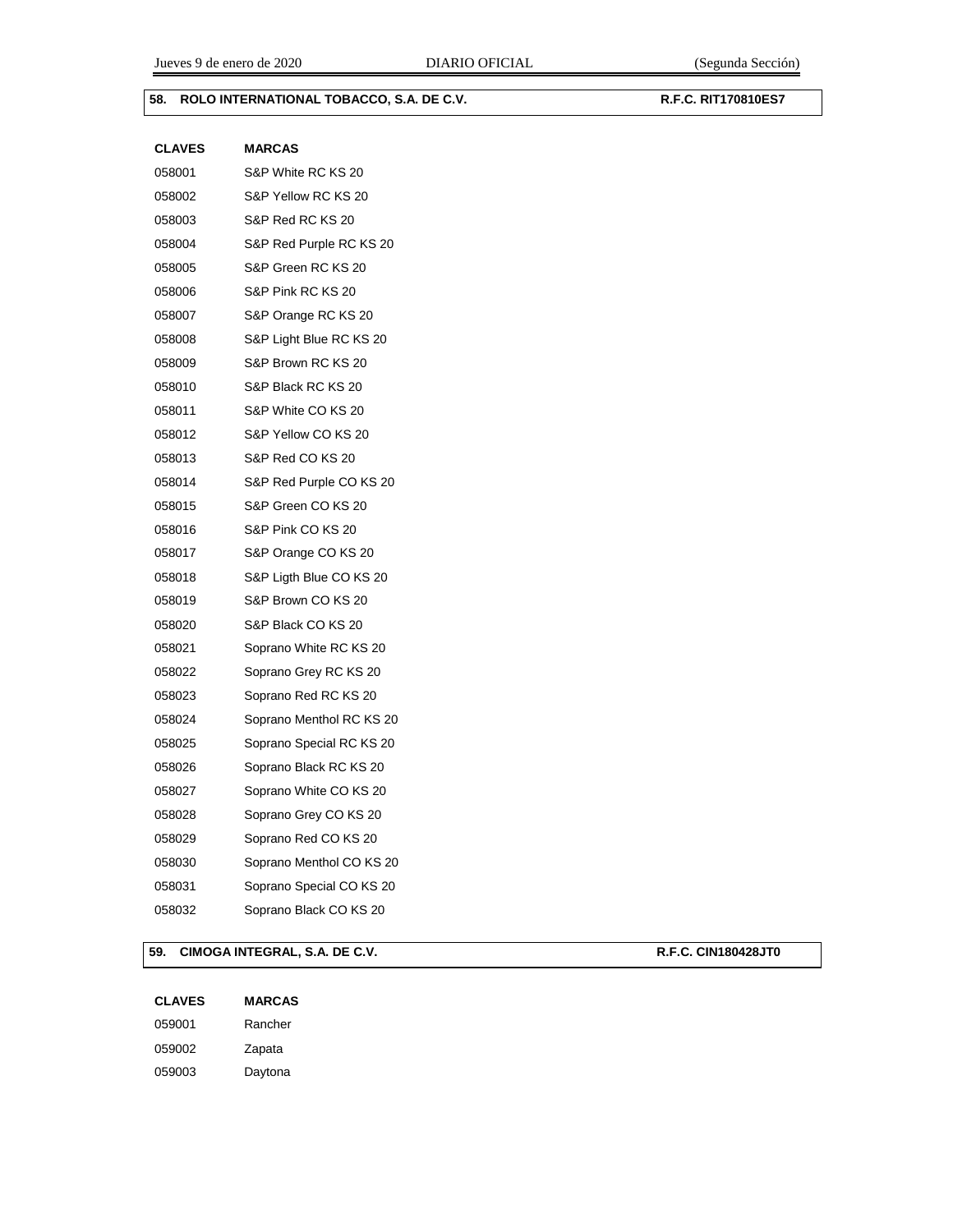### **58. ROLO INTERNATIONAL TOBACCO, S.A. DE C.V. R.F.C. RIT170810ES7**

| <b>CLAVES</b> | <b>MARCAS</b>            |
|---------------|--------------------------|
| 058001        | S&P White RC KS 20       |
| 058002        | S&P Yellow RC KS 20      |
| 058003        | S&P Red RC KS 20         |
| 058004        | S&P Red Purple RC KS 20  |
| 058005        | S&P Green RC KS 20       |
| 058006        | S&P Pink RC KS 20        |
| 058007        | S&P Orange RC KS 20      |
| 058008        | S&P Light Blue RC KS 20  |
| 058009        | S&P Brown RC KS 20       |
| 058010        | S&P Black RC KS 20       |
| 058011        | S&P White CO KS 20       |
| 058012        | S&P Yellow CO KS 20      |
| 058013        | S&P Red CO KS 20         |
| 058014        | S&P Red Purple CO KS 20  |
| 058015        | S&P Green CO KS 20       |
| 058016        | S&P Pink CO KS 20        |
| 058017        | S&P Orange CO KS 20      |
| 058018        | S&P Ligth Blue CO KS 20  |
| 058019        | S&P Brown CO KS 20       |
| 058020        | S&P Black CO KS 20       |
| 058021        | Soprano White RC KS 20   |
| 058022        | Soprano Grey RC KS 20    |
| 058023        | Soprano Red RC KS 20     |
| 058024        | Soprano Menthol RC KS 20 |
| 058025        | Soprano Special RC KS 20 |
| 058026        | Soprano Black RC KS 20   |
| 058027        | Soprano White CO KS 20   |
| 058028        | Soprano Grey CO KS 20    |
| 058029        | Soprano Red CO KS 20     |
| 058030        | Soprano Menthol CO KS 20 |
| 058031        | Soprano Special CO KS 20 |
| 058032        | Soprano Black CO KS 20   |

## **59. CIMOGA INTEGRAL, S.A. DE C.V. R.F.C. CIN180428JT0**

| <b>CLAVES</b> | <b>MARCAS</b> |
|---------------|---------------|
| 059001        | Rancher       |
| 059002        | Zapata        |
| 059003        | Daytona       |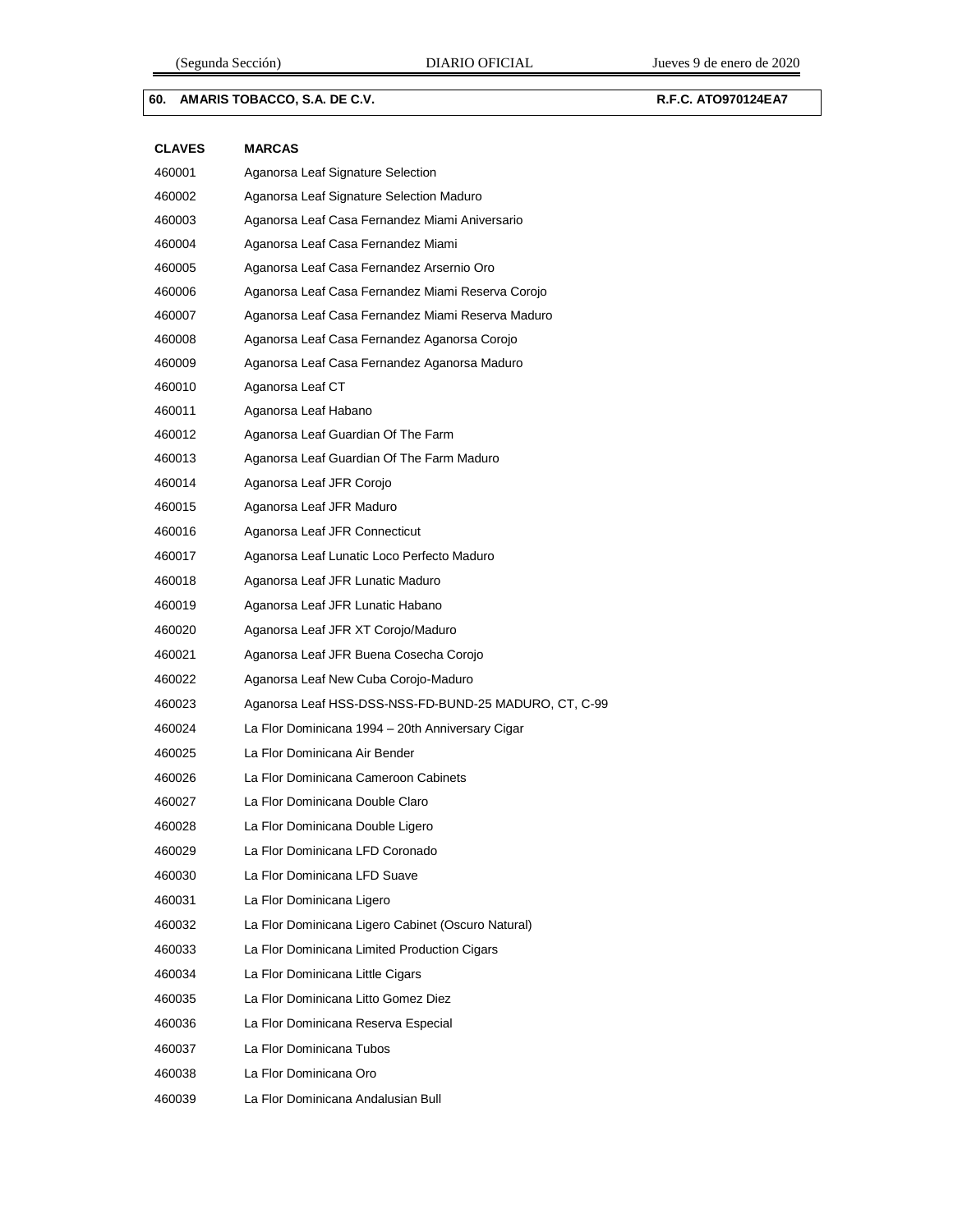## **60. AMARIS TOBACCO, S.A. DE C.V. R.F.C. ATO970124EA7**

| <b>CLAVES</b> | <b>MARCAS</b>                                         |
|---------------|-------------------------------------------------------|
| 460001        | Aganorsa Leaf Signature Selection                     |
| 460002        | Aganorsa Leaf Signature Selection Maduro              |
| 460003        | Aganorsa Leaf Casa Fernandez Miami Aniversario        |
| 460004        | Aganorsa Leaf Casa Fernandez Miami                    |
| 460005        | Aganorsa Leaf Casa Fernandez Arsernio Oro             |
| 460006        | Aganorsa Leaf Casa Fernandez Miami Reserva Corojo     |
| 460007        | Aganorsa Leaf Casa Fernandez Miami Reserva Maduro     |
| 460008        | Aganorsa Leaf Casa Fernandez Aganorsa Corojo          |
| 460009        | Aganorsa Leaf Casa Fernandez Aganorsa Maduro          |
| 460010        | Aganorsa Leaf CT                                      |
| 460011        | Aganorsa Leaf Habano                                  |
| 460012        | Aganorsa Leaf Guardian Of The Farm                    |
| 460013        | Aganorsa Leaf Guardian Of The Farm Maduro             |
| 460014        | Aganorsa Leaf JFR Corojo                              |
| 460015        | Aganorsa Leaf JFR Maduro                              |
| 460016        | Aganorsa Leaf JFR Connecticut                         |
| 460017        | Aganorsa Leaf Lunatic Loco Perfecto Maduro            |
| 460018        | Aganorsa Leaf JFR Lunatic Maduro                      |
| 460019        | Aganorsa Leaf JFR Lunatic Habano                      |
| 460020        | Aganorsa Leaf JFR XT Corojo/Maduro                    |
| 460021        | Aganorsa Leaf JFR Buena Cosecha Corojo                |
| 460022        | Aganorsa Leaf New Cuba Corojo-Maduro                  |
| 460023        | Aganorsa Leaf HSS-DSS-NSS-FD-BUND-25 MADURO, CT, C-99 |
| 460024        | La Flor Dominicana 1994 - 20th Anniversary Cigar      |
| 460025        | La Flor Dominicana Air Bender                         |
| 460026        | La Flor Dominicana Cameroon Cabinets                  |
| 460027        | La Flor Dominicana Double Claro                       |
| 460028        | La Flor Dominicana Double Ligero                      |
| 460029        | La Flor Dominicana LFD Coronado                       |
| 460030        | La Flor Dominicana LFD Suave                          |
| 460031        | La Flor Dominicana Ligero                             |
| 460032        | La Flor Dominicana Ligero Cabinet (Oscuro Natural)    |
| 460033        | La Flor Dominicana Limited Production Cigars          |
| 460034        | La Flor Dominicana Little Cigars                      |
| 460035        | La Flor Dominicana Litto Gomez Diez                   |
| 460036        | La Flor Dominicana Reserva Especial                   |
| 460037        | La Flor Dominicana Tubos                              |
| 460038        | La Flor Dominicana Oro                                |
| 460039        | La Flor Dominicana Andalusian Bull                    |
|               |                                                       |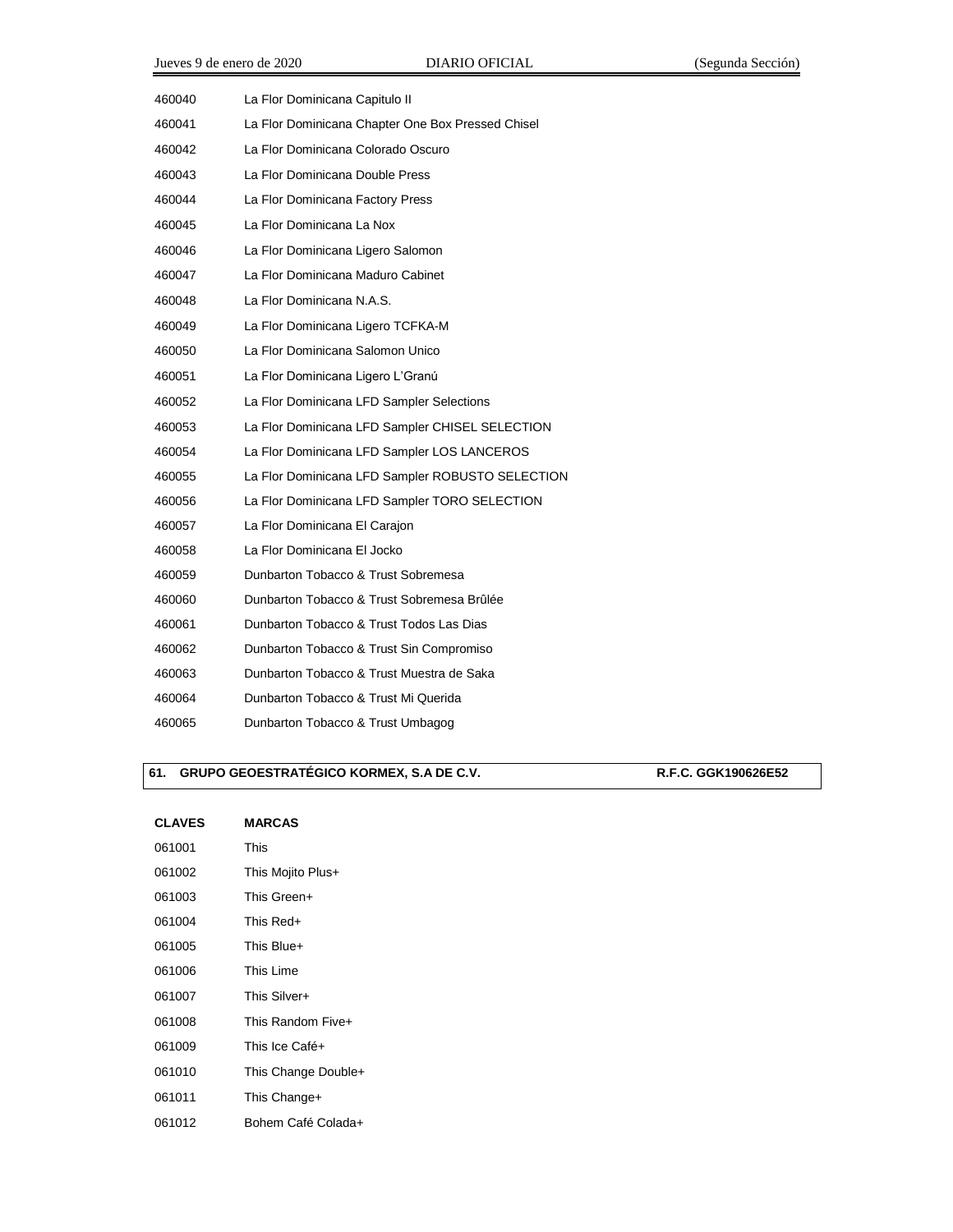| 460040 | La Flor Dominicana Capitulo II                    |
|--------|---------------------------------------------------|
| 460041 | La Flor Dominicana Chapter One Box Pressed Chisel |
| 460042 | La Flor Dominicana Colorado Oscuro                |
| 460043 | La Flor Dominicana Double Press                   |
| 460044 | La Flor Dominicana Factory Press                  |
| 460045 | La Flor Dominicana La Nox                         |
| 460046 | La Flor Dominicana Ligero Salomon                 |
| 460047 | La Flor Dominicana Maduro Cabinet                 |
| 460048 | La Flor Dominicana N.A.S.                         |
| 460049 | La Flor Dominicana Ligero TCFKA-M                 |
| 460050 | La Flor Dominicana Salomon Unico                  |
| 460051 | La Flor Dominicana Ligero L'Granú                 |
| 460052 | La Flor Dominicana LFD Sampler Selections         |
| 460053 | La Flor Dominicana LFD Sampler CHISEL SELECTION   |
| 460054 | La Flor Dominicana LFD Sampler LOS LANCEROS       |
| 460055 | La Flor Dominicana LFD Sampler ROBUSTO SELECTION  |
| 460056 | La Flor Dominicana LFD Sampler TORO SELECTION     |
| 460057 | La Flor Dominicana El Carajon                     |
| 460058 | La Flor Dominicana El Jocko                       |
| 460059 | Dunbarton Tobacco & Trust Sobremesa               |
| 460060 | Dunbarton Tobacco & Trust Sobremesa Brûlée        |
| 460061 | Dunbarton Tobacco & Trust Todos Las Dias          |
| 460062 | Dunbarton Tobacco & Trust Sin Compromiso          |
| 460063 | Dunbarton Tobacco & Trust Muestra de Saka         |
| 460064 | Dunbarton Tobacco & Trust Mi Querida              |
| 460065 | Dunbarton Tobacco & Trust Umbagog                 |

## **61. GRUPO GEOESTRATÉGICO KORMEX, S.A DE C.V. R.F.C. GGK190626E52**

| <b>CLAVES</b> | <b>MARCAS</b>       |
|---------------|---------------------|
| 061001        | This                |
| 061002        | This Mojito Plus+   |
| 061003        | This Green+         |
| 061004        | This Red+           |
| 061005        | This Blue+          |
| 061006        | This Lime           |
| 061007        | This Silver+        |
| 061008        | This Random Five+   |
| 061009        | This Ice Café+      |
| 061010        | This Change Double+ |
| 061011        | This Change+        |
| 061012        | Bohem Café Colada+  |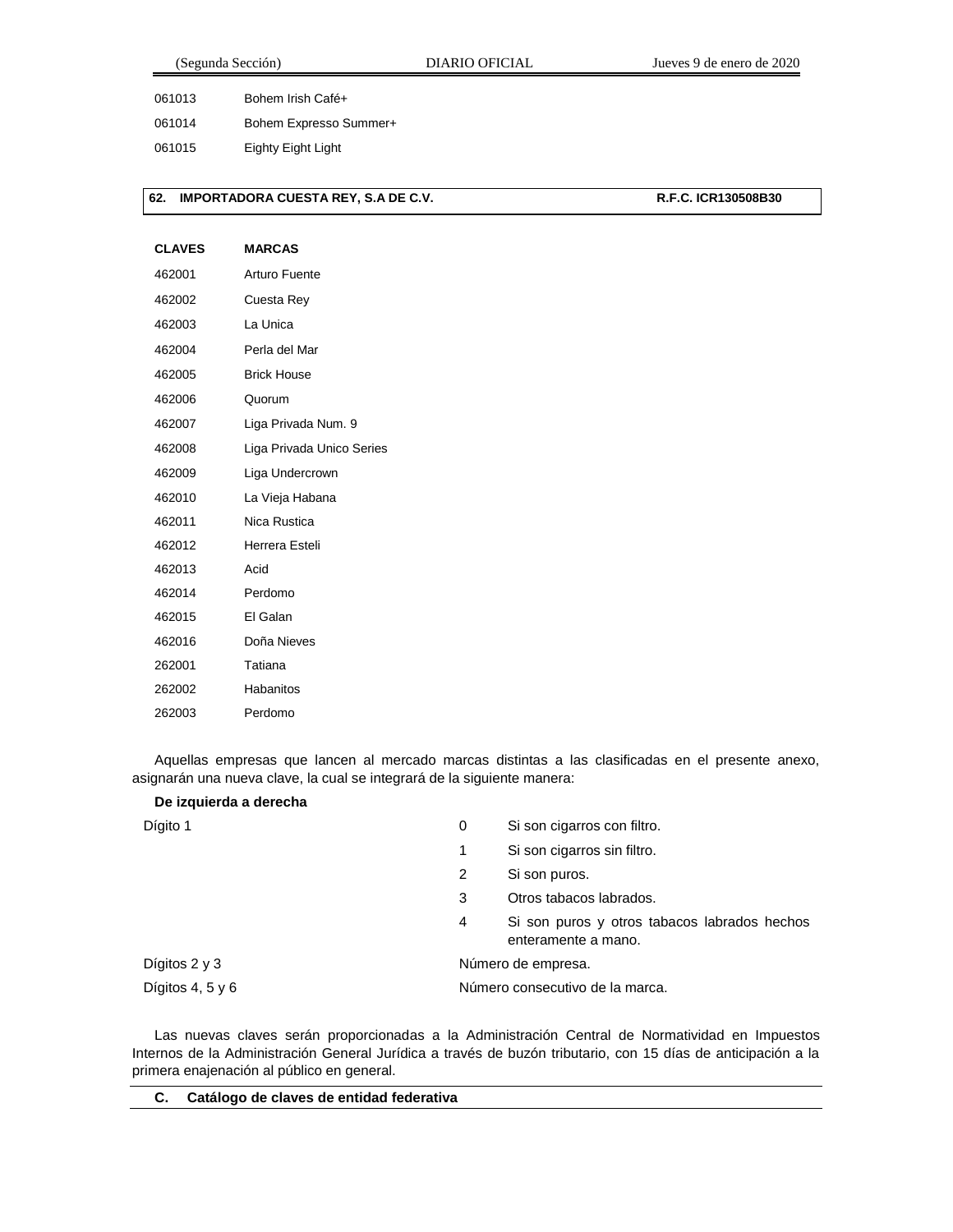| Segunda Sección) |  |  |  |
|------------------|--|--|--|
|                  |  |  |  |

061013 Bohem Irish Café+

061014 Bohem Expresso Summer+

061015 Eighty Eight Light

## **62. IMPORTADORA CUESTA REY, S.A DE C.V. R.F.C. ICR130508B30**

# **CLAVES MARCAS** 462001 Arturo Fuente 462002 Cuesta Rey 462003 La Unica 462004 Perla del Mar 462005 Brick House 462006 Quorum 462007 Liga Privada Num. 9 462008 Liga Privada Unico Series 462009 Liga Undercrown 462010 La Vieja Habana 462011 Nica Rustica 462012 Herrera Esteli 462013 Acid 462014 Perdomo 462015 El Galan 462016 Doña Nieves 262001 Tatiana 262002 Habanitos 262003 Perdomo

Aquellas empresas que lancen al mercado marcas distintas a las clasificadas en el presente anexo, asignarán una nueva clave, la cual se integrará de la siguiente manera:

| De izquierda a derecha |                                 |                                                                     |  |
|------------------------|---------------------------------|---------------------------------------------------------------------|--|
| Dígito 1               | 0                               | Si son cigarros con filtro.                                         |  |
|                        | 1                               | Si son cigarros sin filtro.                                         |  |
|                        | 2                               | Si son puros.                                                       |  |
|                        | 3                               | Otros tabacos labrados.                                             |  |
|                        | 4                               | Si son puros y otros tabacos labrados hechos<br>enteramente a mano. |  |
| Dígitos $2 \vee 3$     | Número de empresa.              |                                                                     |  |
| Dígitos 4, 5 y 6       | Número consecutivo de la marca. |                                                                     |  |

Las nuevas claves serán proporcionadas a la Administración Central de Normatividad en Impuestos Internos de la Administración General Jurídica a través de buzón tributario, con 15 días de anticipación a la primera enajenación al público en general.

| Catálogo de claves de entidad federativa |
|------------------------------------------|
|                                          |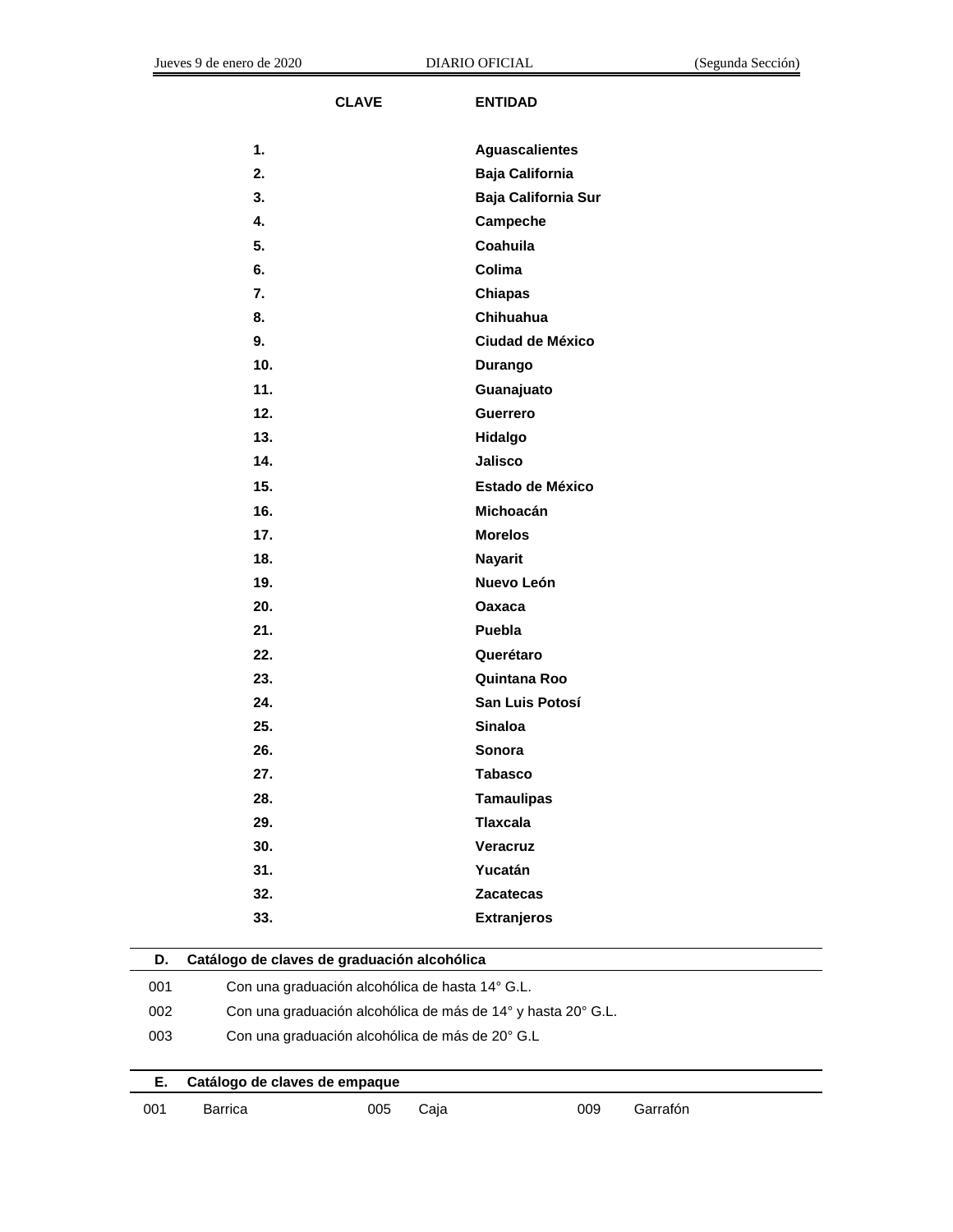$\overline{a}$ 

J.

| <b>CLAVE</b>                                      | <b>ENTIDAD</b>          |
|---------------------------------------------------|-------------------------|
|                                                   |                         |
| 1.                                                | <b>Aguascalientes</b>   |
| 2.                                                | <b>Baja California</b>  |
| 3.                                                | Baja California Sur     |
| 4.                                                | Campeche                |
| 5.                                                | Coahuila                |
| 6.                                                | Colima                  |
| 7.                                                | <b>Chiapas</b>          |
| 8.                                                | Chihuahua               |
| 9.                                                | <b>Ciudad de México</b> |
| 10.                                               | Durango                 |
| 11.                                               | Guanajuato              |
| 12.                                               | Guerrero                |
| 13.                                               | Hidalgo                 |
| 14.                                               | <b>Jalisco</b>          |
| 15.                                               | <b>Estado de México</b> |
| 16.                                               | <b>Michoacán</b>        |
| 17.                                               | <b>Morelos</b>          |
| 18.                                               | <b>Nayarit</b>          |
| 19.                                               | Nuevo León              |
| 20.                                               | Oaxaca                  |
| 21.                                               | Puebla                  |
| 22.                                               | Querétaro               |
| 23.                                               | Quintana Roo            |
| 24.                                               | San Luis Potosí         |
| 25.                                               | <b>Sinaloa</b>          |
| 26.                                               | Sonora                  |
| 27.                                               | <b>Tabasco</b>          |
| 28.                                               | <b>Tamaulipas</b>       |
| 29.                                               | <b>Tlaxcala</b>         |
| 30.                                               | Veracruz                |
| 31.                                               | Yucatán                 |
| 32.                                               | <b>Zacatecas</b>        |
| 33.                                               | <b>Extranjeros</b>      |
| Catálogo de claves de graduación alcohólica<br>D. |                         |
|                                                   |                         |

| υ.  | Catalogo de claves de graduación alconolica                  |     |      |  |     |          |  |
|-----|--------------------------------------------------------------|-----|------|--|-----|----------|--|
| 001 | Con una graduación alcohólica de hasta 14° G.L.              |     |      |  |     |          |  |
| 002 | Con una graduación alcohólica de más de 14° y hasta 20° G.L. |     |      |  |     |          |  |
| 003 | Con una graduación alcohólica de más de 20° G.L              |     |      |  |     |          |  |
|     |                                                              |     |      |  |     |          |  |
| Е.  | Catálogo de claves de empague                                |     |      |  |     |          |  |
| 001 | Barrica                                                      | 005 | Caia |  | 009 | Garrafón |  |